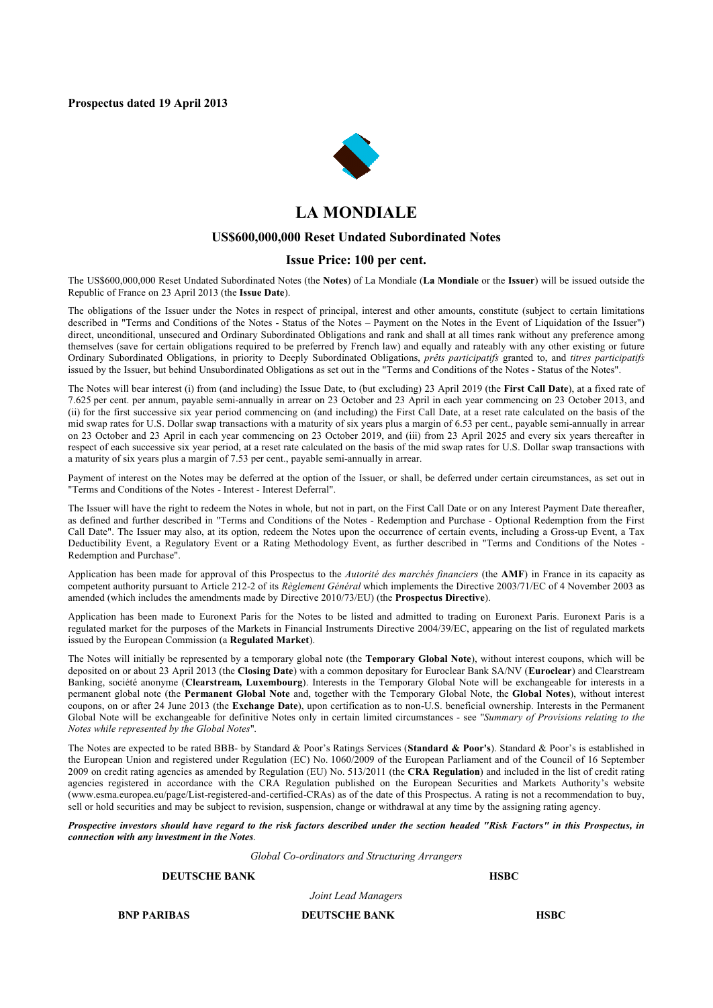**Prospectus dated 19 April 2013**



# **LA MONDIALE**

#### **US\$600,000,000 Reset Undated Subordinated Notes**

#### **Issue Price: 100 per cent.**

The US\$600,000,000 Reset Undated Subordinated Notes (the **Notes**) of La Mondiale (**La Mondiale** or the **Issuer**) will be issued outside the Republic of France on 23 April 2013 (the **Issue Date**).

The obligations of the Issuer under the Notes in respect of principal, interest and other amounts, constitute (subject to certain limitations described in "Terms and Conditions of the Notes - Status of the Notes – Payment on the Notes in the Event of Liquidation of the Issuer") direct, unconditional, unsecured and Ordinary Subordinated Obligations and rank and shall at all times rank without any preference among themselves (save for certain obligations required to be preferred by French law) and equally and rateably with any other existing or future Ordinary Subordinated Obligations, in priority to Deeply Subordinated Obligations, *prêts participatifs* granted to, and *titres participatifs*  issued by the Issuer, but behind Unsubordinated Obligations as set out in the "Terms and Conditions of the Notes - Status of the Notes".

The Notes will bear interest (i) from (and including) the Issue Date, to (but excluding) 23 April 2019 (the **First Call Date**), at a fixed rate of 7.625 per cent. per annum, payable semi-annually in arrear on 23 October and 23 April in each year commencing on 23 October 2013, and (ii) for the first successive six year period commencing on (and including) the First Call Date, at a reset rate calculated on the basis of the mid swap rates for U.S. Dollar swap transactions with a maturity of six years plus a margin of 6.53 per cent., payable semi-annually in arrear on 23 October and 23 April in each year commencing on 23 October 2019, and (iii) from 23 April 2025 and every six years thereafter in respect of each successive six year period, at a reset rate calculated on the basis of the mid swap rates for U.S. Dollar swap transactions with a maturity of six years plus a margin of 7.53 per cent., payable semi-annually in arrear.

Payment of interest on the Notes may be deferred at the option of the Issuer, or shall, be deferred under certain circumstances, as set out in "Terms and Conditions of the Notes - Interest - Interest Deferral".

The Issuer will have the right to redeem the Notes in whole, but not in part, on the First Call Date or on any Interest Payment Date thereafter, as defined and further described in "Terms and Conditions of the Notes - Redemption and Purchase - Optional Redemption from the First Call Date". The Issuer may also, at its option, redeem the Notes upon the occurrence of certain events, including a Gross-up Event, a Tax Deductibility Event, a Regulatory Event or a Rating Methodology Event, as further described in "Terms and Conditions of the Notes - Redemption and Purchase".

Application has been made for approval of this Prospectus to the *Autorité des marchés financiers* (the **AMF**) in France in its capacity as competent authority pursuant to Article 212-2 of its *Règlement Général* which implements the Directive 2003/71/EC of 4 November 2003 as amended (which includes the amendments made by Directive 2010/73/EU) (the **Prospectus Directive**).

Application has been made to Euronext Paris for the Notes to be listed and admitted to trading on Euronext Paris. Euronext Paris is a regulated market for the purposes of the Markets in Financial Instruments Directive 2004/39/EC, appearing on the list of regulated markets issued by the European Commission (a **Regulated Market**).

The Notes will initially be represented by a temporary global note (the **Temporary Global Note**), without interest coupons, which will be deposited on or about 23 April 2013 (the **Closing Date**) with a common depositary for Euroclear Bank SA/NV (**Euroclear**) and Clearstream Banking, société anonyme (**Clearstream, Luxembourg**). Interests in the Temporary Global Note will be exchangeable for interests in a permanent global note (the **Permanent Global Note** and, together with the Temporary Global Note, the **Global Notes**), without interest coupons, on or after 24 June 2013 (the **Exchange Date**), upon certification as to non-U.S. beneficial ownership. Interests in the Permanent Global Note will be exchangeable for definitive Notes only in certain limited circumstances - see "*Summary of Provisions relating to the Notes while represented by the Global Notes*".

The Notes are expected to be rated BBB- by Standard & Poor's Ratings Services (**Standard & Poor's**). Standard & Poor's is established in the European Union and registered under Regulation (EC) No. 1060/2009 of the European Parliament and of the Council of 16 September 2009 on credit rating agencies as amended by Regulation (EU) No. 513/2011 (the **CRA Regulation**) and included in the list of credit rating agencies registered in accordance with the CRA Regulation published on the European Securities and Markets Authority's website ([www.esma.europea.eu/page/List-registered-and-certified-CRAs\)](www.esma.europea.eu/page/List-registered-and-certified-CRAs)) as of the date of this Prospectus. A rating is not a recommendation to buy, sell or hold securities and may be subject to revision, suspension, change or withdrawal at any time by the assigning rating agency.

*Prospective investors should have regard to the risk factors described under the section headed "Risk Factors" in this Prospectus, in connection with any investment in the Notes.*

*Global Co-ordinators and Structuring Arrangers*

**DEUTSCHE BANK HSBC** 

*Joint Lead Managers*

**BNP PARIBAS DEUTSCHE BANK HSBC**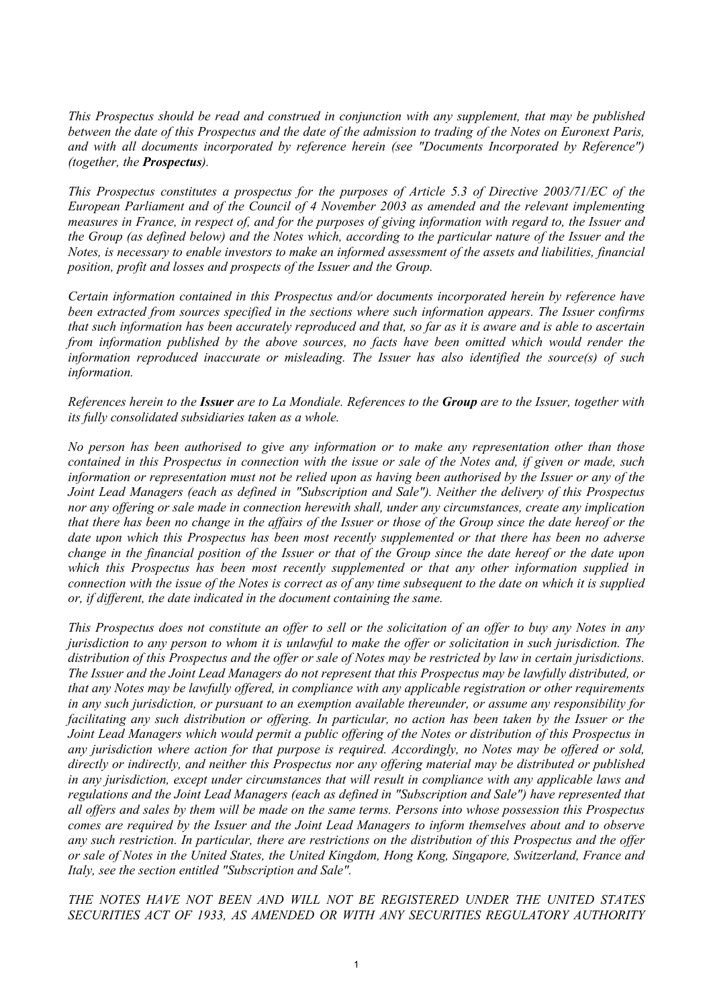*This Prospectus should be read and construed in conjunction with any supplement, that may be published between the date of this Prospectus and the date of the admission to trading of the Notes on Euronext Paris, and with all documents incorporated by reference herein (see "Documents Incorporated by Reference") (together, the Prospectus).*

*This Prospectus constitutes a prospectus for the purposes of Article 5.3 of Directive 2003/71/EC of the European Parliament and of the Council of 4 November 2003 as amended and the relevant implementing measures in France, in respect of, and for the purposes of giving information with regard to, the Issuer and the Group (as defined below) and the Notes which, according to the particular nature of the Issuer and the Notes, is necessary to enable investors to make an informed assessment of the assets and liabilities, financial position, profit and losses and prospects of the Issuer and the Group.*

*Certain information contained in this Prospectus and/or documents incorporated herein by reference have been extracted from sources specified in the sections where such information appears. The Issuer confirms that such information has been accurately reproduced and that, so far as it is aware and is able to ascertain from information published by the above sources, no facts have been omitted which would render the information reproduced inaccurate or misleading. The Issuer has also identified the source(s) of such information.*

*References herein to the Issuer are to La Mondiale. References to the Group are to the Issuer, together with its fully consolidated subsidiaries taken as a whole.*

*No person has been authorised to give any information or to make any representation other than those contained in this Prospectus in connection with the issue or sale of the Notes and, if given or made, such information or representation must not be relied upon as having been authorised by the Issuer or any of the Joint Lead Managers (each as defined in "Subscription and Sale"). Neither the delivery of this Prospectus nor any offering or sale made in connection herewith shall, under any circumstances, create any implication that there has been no change in the affairs of the Issuer or those of the Group since the date hereof or the date upon which this Prospectus has been most recently supplemented or that there has been no adverse change in the financial position of the Issuer or that of the Group since the date hereof or the date upon which this Prospectus has been most recently supplemented or that any other information supplied in connection with the issue of the Notes is correct as of any time subsequent to the date on which it is supplied or, if different, the date indicated in the document containing the same.*

*This Prospectus does not constitute an offer to sell or the solicitation of an offer to buy any Notes in any jurisdiction to any person to whom it is unlawful to make the offer or solicitation in such jurisdiction. The distribution of this Prospectus and the offer or sale of Notes may be restricted by law in certain jurisdictions. The Issuer and the Joint Lead Managers do not represent that this Prospectus may be lawfully distributed, or that any Notes may be lawfully offered, in compliance with any applicable registration or other requirements in any such jurisdiction, or pursuant to an exemption available thereunder, or assume any responsibility for facilitating any such distribution or offering. In particular, no action has been taken by the Issuer or the Joint Lead Managers which would permit a public offering of the Notes or distribution of this Prospectus in any jurisdiction where action for that purpose is required. Accordingly, no Notes may be offered or sold, directly or indirectly, and neither this Prospectus nor any offering material may be distributed or published in any jurisdiction, except under circumstances that will result in compliance with any applicable laws and regulations and the Joint Lead Managers (each as defined in "Subscription and Sale") have represented that all offers and sales by them will be made on the same terms. Persons into whose possession this Prospectus comes are required by the Issuer and the Joint Lead Managers to inform themselves about and to observe any such restriction. In particular, there are restrictions on the distribution of this Prospectus and the offer or sale of Notes in the United States, the United Kingdom, Hong Kong, Singapore, Switzerland, France and Italy, see the section entitled "Subscription and Sale".*

*THE NOTES HAVE NOT BEEN AND WILL NOT BE REGISTERED UNDER THE UNITED STATES SECURITIES ACT OF 1933, AS AMENDED OR WITH ANY SECURITIES REGULATORY AUTHORITY*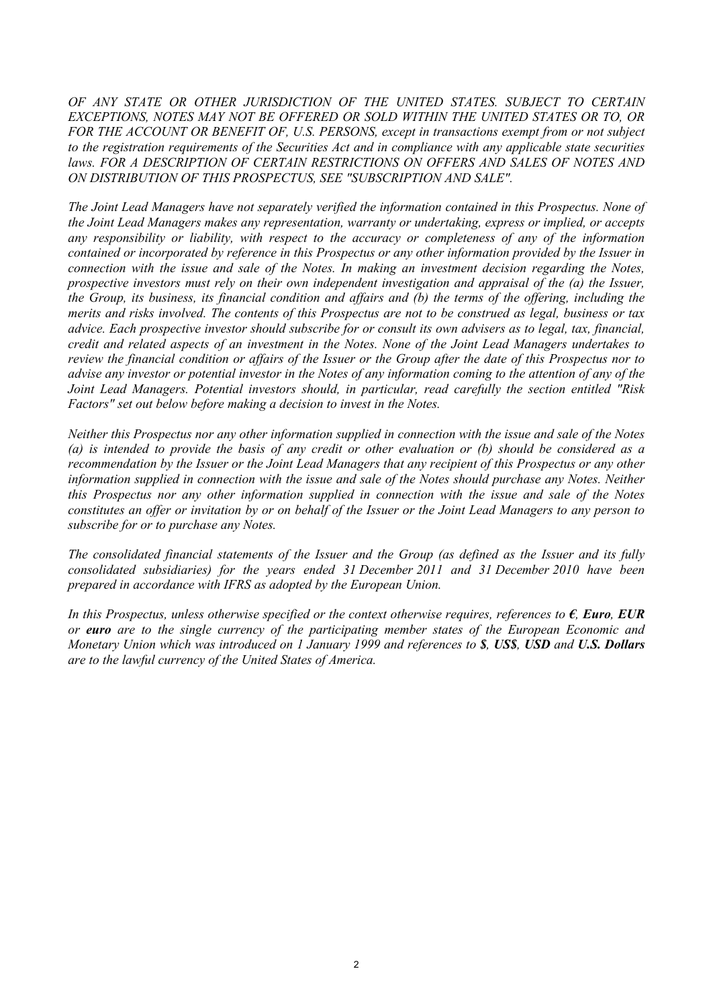*OF ANY STATE OR OTHER JURISDICTION OF THE UNITED STATES. SUBJECT TO CERTAIN EXCEPTIONS, NOTES MAY NOT BE OFFERED OR SOLD WITHIN THE UNITED STATES OR TO, OR FOR THE ACCOUNT OR BENEFIT OF, U.S. PERSONS, except in transactions exempt from or not subject to the registration requirements of the Securities Act and in compliance with any applicable state securities*  laws. FOR A DESCRIPTION OF CERTAIN RESTRICTIONS ON OFFERS AND SALES OF NOTES AND *ON DISTRIBUTION OF THIS PROSPECTUS, SEE "SUBSCRIPTION AND SALE".*

*The Joint Lead Managers have not separately verified the information contained in this Prospectus. None of the Joint Lead Managers makes any representation, warranty or undertaking, express or implied, or accepts any responsibility or liability, with respect to the accuracy or completeness of any of the information contained or incorporated by reference in this Prospectus or any other information provided by the Issuer in connection with the issue and sale of the Notes. In making an investment decision regarding the Notes, prospective investors must rely on their own independent investigation and appraisal of the (a) the Issuer, the Group, its business, its financial condition and affairs and (b) the terms of the offering, including the merits and risks involved. The contents of this Prospectus are not to be construed as legal, business or tax advice. Each prospective investor should subscribe for or consult its own advisers as to legal, tax, financial, credit and related aspects of an investment in the Notes. None of the Joint Lead Managers undertakes to review the financial condition or affairs of the Issuer or the Group after the date of this Prospectus nor to advise any investor or potential investor in the Notes of any information coming to the attention of any of the Joint Lead Managers. Potential investors should, in particular, read carefully the section entitled "Risk Factors" set out below before making a decision to invest in the Notes.*

*Neither this Prospectus nor any other information supplied in connection with the issue and sale of the Notes (a) is intended to provide the basis of any credit or other evaluation or (b) should be considered as a recommendation by the Issuer or the Joint Lead Managers that any recipient of this Prospectus or any other information supplied in connection with the issue and sale of the Notes should purchase any Notes. Neither this Prospectus nor any other information supplied in connection with the issue and sale of the Notes constitutes an offer or invitation by or on behalf of the Issuer or the Joint Lead Managers to any person to subscribe for or to purchase any Notes.*

*The consolidated financial statements of the Issuer and the Group (as defined as the Issuer and its fully consolidated subsidiaries) for the years ended 31 December 2011 and 31 December 2010 have been prepared in accordance with IFRS as adopted by the European Union.*

*In this Prospectus, unless otherwise specified or the context otherwise requires, references to*  $\epsilon$ *, Euro, <i>EUR or euro are to the single currency of the participating member states of the European Economic and Monetary Union which was introduced on 1 January 1999 and references to \$, US\$, USD and U.S. Dollars are to the lawful currency of the United States of America.*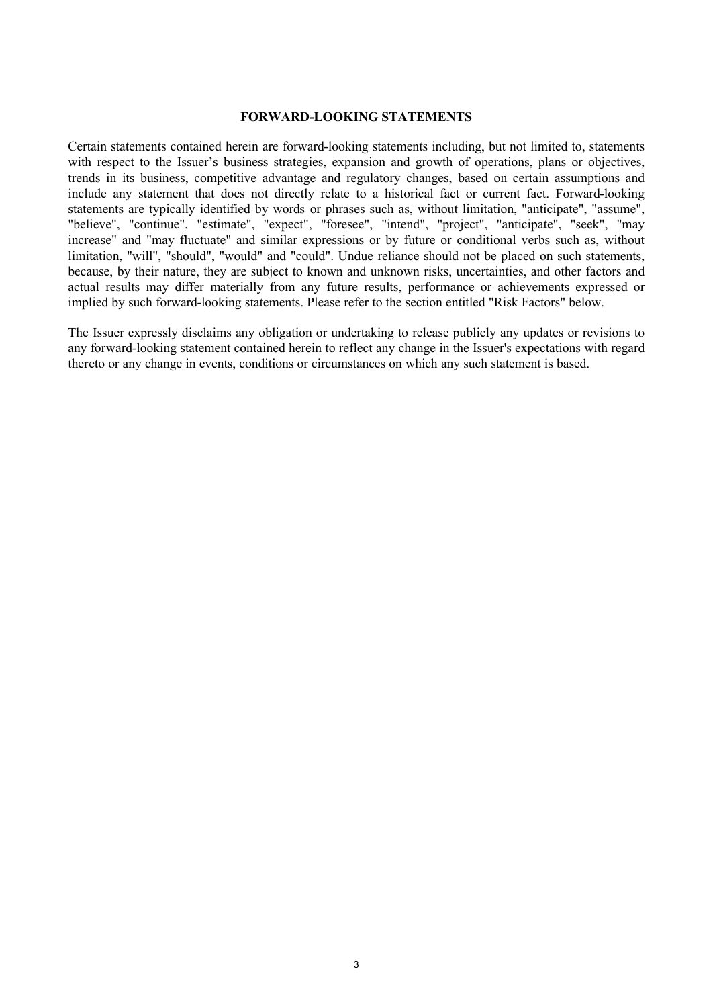#### **FORWARD-LOOKING STATEMENTS**

Certain statements contained herein are forward-looking statements including, but not limited to, statements with respect to the Issuer's business strategies, expansion and growth of operations, plans or objectives, trends in its business, competitive advantage and regulatory changes, based on certain assumptions and include any statement that does not directly relate to a historical fact or current fact. Forward-looking statements are typically identified by words or phrases such as, without limitation, "anticipate", "assume", "believe", "continue", "estimate", "expect", "foresee", "intend", "project", "anticipate", "seek", "may increase" and "may fluctuate" and similar expressions or by future or conditional verbs such as, without limitation, "will", "should", "would" and "could". Undue reliance should not be placed on such statements, because, by their nature, they are subject to known and unknown risks, uncertainties, and other factors and actual results may differ materially from any future results, performance or achievements expressed or implied by such forward-looking statements. Please refer to the section entitled "Risk Factors" below.

The Issuer expressly disclaims any obligation or undertaking to release publicly any updates or revisions to any forward-looking statement contained herein to reflect any change in the Issuer's expectations with regard thereto or any change in events, conditions or circumstances on which any such statement is based.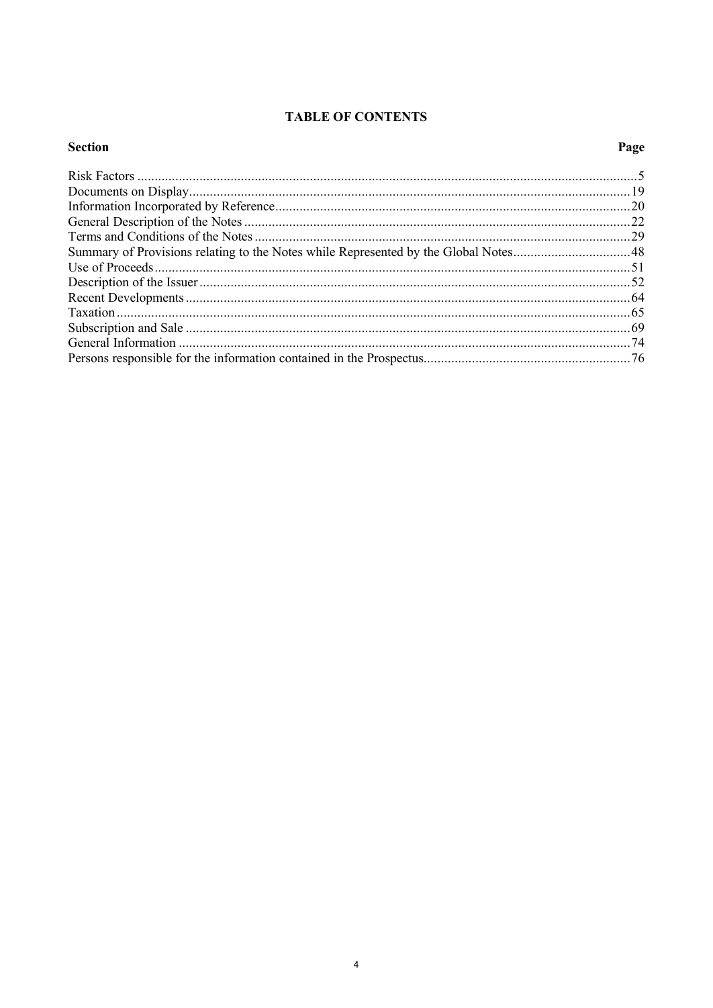# **TABLE OF CONTENTS**

# **Section** Page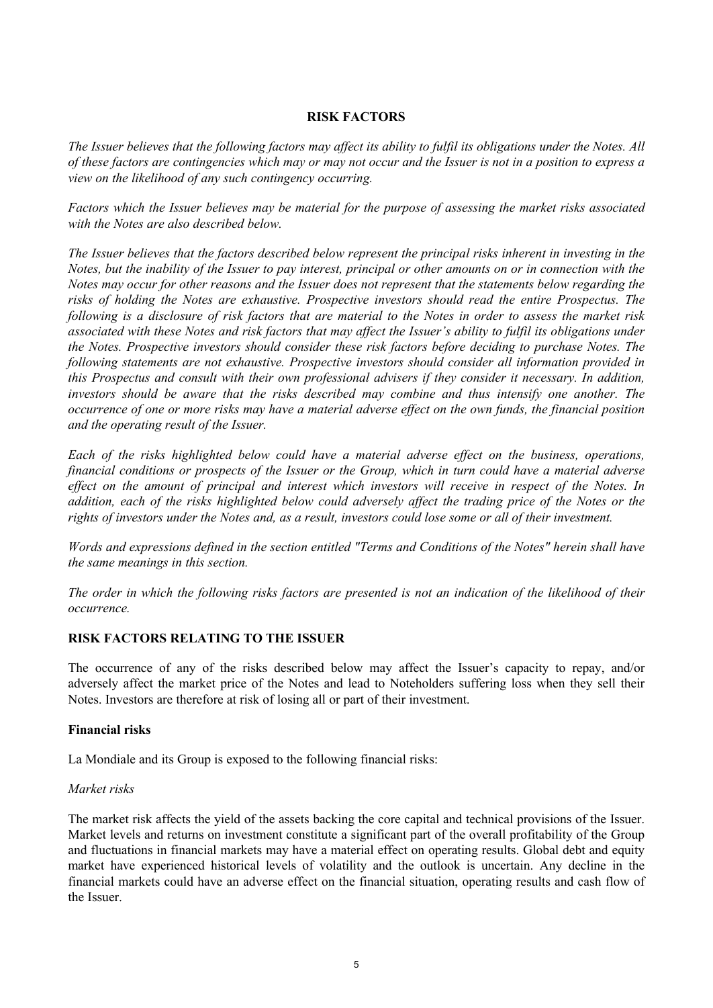# **RISK FACTORS**

*The Issuer believes that the following factors may affect its ability to fulfil its obligations under the Notes. All of these factors are contingencies which may or may not occur and the Issuer is not in a position to express a view on the likelihood of any such contingency occurring.*

*Factors which the Issuer believes may be material for the purpose of assessing the market risks associated with the Notes are also described below.*

*The Issuer believes that the factors described below represent the principal risks inherent in investing in the Notes, but the inability of the Issuer to pay interest, principal or other amounts on or in connection with the Notes may occur for other reasons and the Issuer does not represent that the statements below regarding the risks of holding the Notes are exhaustive. Prospective investors should read the entire Prospectus. The following is a disclosure of risk factors that are material to the Notes in order to assess the market risk associated with these Notes and risk factors that may affect the Issuer's ability to fulfil its obligations under the Notes. Prospective investors should consider these risk factors before deciding to purchase Notes. The following statements are not exhaustive. Prospective investors should consider all information provided in this Prospectus and consult with their own professional advisers if they consider it necessary. In addition, investors should be aware that the risks described may combine and thus intensify one another. The occurrence of one or more risks may have a material adverse effect on the own funds, the financial position and the operating result of the Issuer.*

*Each of the risks highlighted below could have a material adverse effect on the business, operations, financial conditions or prospects of the Issuer or the Group, which in turn could have a material adverse effect on the amount of principal and interest which investors will receive in respect of the Notes. In addition, each of the risks highlighted below could adversely affect the trading price of the Notes or the rights of investors under the Notes and, as a result, investors could lose some or all of their investment.* 

*Words and expressions defined in the section entitled "Terms and Conditions of the Notes" herein shall have the same meanings in this section.* 

*The order in which the following risks factors are presented is not an indication of the likelihood of their occurrence.*

# **RISK FACTORS RELATING TO THE ISSUER**

The occurrence of any of the risks described below may affect the Issuer's capacity to repay, and/or adversely affect the market price of the Notes and lead to Noteholders suffering loss when they sell their Notes. Investors are therefore at risk of losing all or part of their investment.

# **Financial risks**

La Mondiale and its Group is exposed to the following financial risks:

#### *Market risks*

The market risk affects the yield of the assets backing the core capital and technical provisions of the Issuer. Market levels and returns on investment constitute a significant part of the overall profitability of the Group and fluctuations in financial markets may have a material effect on operating results. Global debt and equity market have experienced historical levels of volatility and the outlook is uncertain. Any decline in the financial markets could have an adverse effect on the financial situation, operating results and cash flow of the Issuer.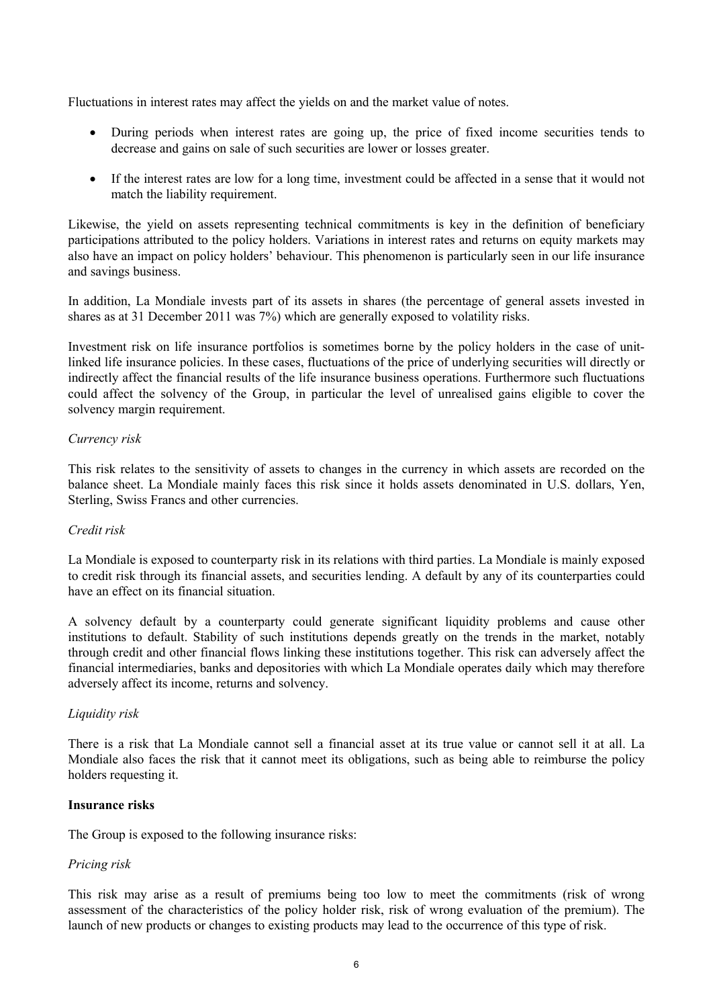Fluctuations in interest rates may affect the yields on and the market value of notes.

- · During periods when interest rates are going up, the price of fixed income securities tends to decrease and gains on sale of such securities are lower or losses greater.
- · If the interest rates are low for a long time, investment could be affected in a sense that it would not match the liability requirement.

Likewise, the yield on assets representing technical commitments is key in the definition of beneficiary participations attributed to the policy holders. Variations in interest rates and returns on equity markets may also have an impact on policy holders' behaviour. This phenomenon is particularly seen in our life insurance and savings business.

In addition, La Mondiale invests part of its assets in shares (the percentage of general assets invested in shares as at 31 December 2011 was 7%) which are generally exposed to volatility risks.

Investment risk on life insurance portfolios is sometimes borne by the policy holders in the case of unitlinked life insurance policies. In these cases, fluctuations of the price of underlying securities will directly or indirectly affect the financial results of the life insurance business operations. Furthermore such fluctuations could affect the solvency of the Group, in particular the level of unrealised gains eligible to cover the solvency margin requirement.

# *Currency risk*

This risk relates to the sensitivity of assets to changes in the currency in which assets are recorded on the balance sheet. La Mondiale mainly faces this risk since it holds assets denominated in U.S. dollars, Yen, Sterling, Swiss Francs and other currencies.

# *Credit risk*

La Mondiale is exposed to counterparty risk in its relations with third parties. La Mondiale is mainly exposed to credit risk through its financial assets, and securities lending. A default by any of its counterparties could have an effect on its financial situation.

A solvency default by a counterparty could generate significant liquidity problems and cause other institutions to default. Stability of such institutions depends greatly on the trends in the market, notably through credit and other financial flows linking these institutions together. This risk can adversely affect the financial intermediaries, banks and depositories with which La Mondiale operates daily which may therefore adversely affect its income, returns and solvency.

# *Liquidity risk*

There is a risk that La Mondiale cannot sell a financial asset at its true value or cannot sell it at all. La Mondiale also faces the risk that it cannot meet its obligations, such as being able to reimburse the policy holders requesting it.

# **Insurance risks**

The Group is exposed to the following insurance risks:

# *Pricing risk*

This risk may arise as a result of premiums being too low to meet the commitments (risk of wrong assessment of the characteristics of the policy holder risk, risk of wrong evaluation of the premium). The launch of new products or changes to existing products may lead to the occurrence of this type of risk.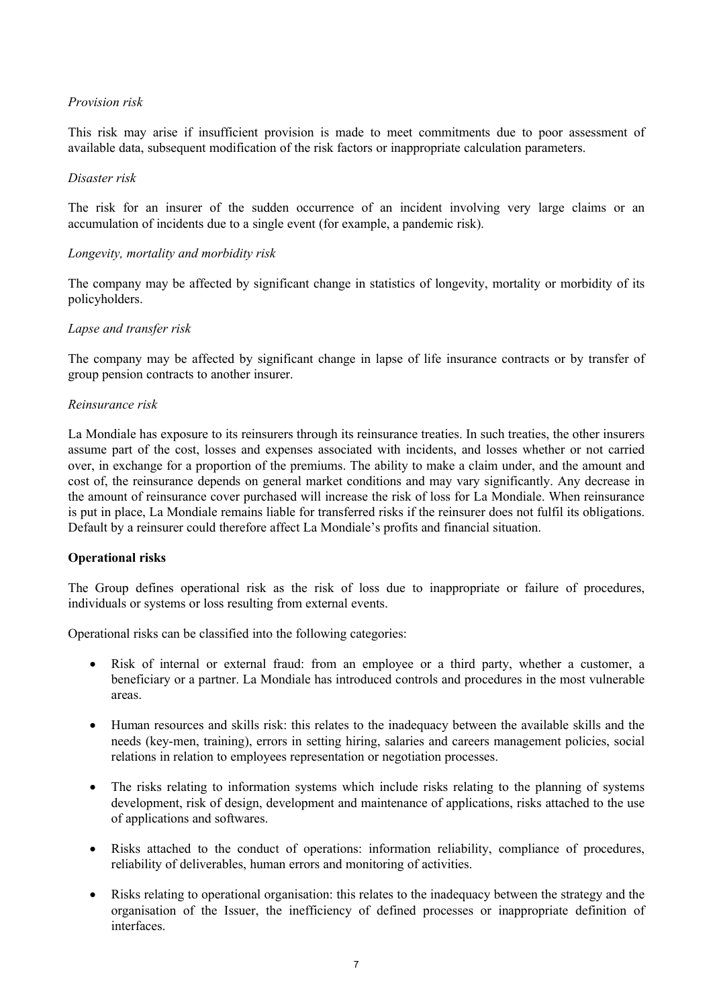# *Provision risk*

This risk may arise if insufficient provision is made to meet commitments due to poor assessment of available data, subsequent modification of the risk factors or inappropriate calculation parameters.

## *Disaster risk*

The risk for an insurer of the sudden occurrence of an incident involving very large claims or an accumulation of incidents due to a single event (for example, a pandemic risk).

# *Longevity, mortality and morbidity risk*

The company may be affected by significant change in statistics of longevity, mortality or morbidity of its policyholders.

# *Lapse and transfer risk*

The company may be affected by significant change in lapse of life insurance contracts or by transfer of group pension contracts to another insurer.

# *Reinsurance risk*

La Mondiale has exposure to its reinsurers through its reinsurance treaties. In such treaties, the other insurers assume part of the cost, losses and expenses associated with incidents, and losses whether or not carried over, in exchange for a proportion of the premiums. The ability to make a claim under, and the amount and cost of, the reinsurance depends on general market conditions and may vary significantly. Any decrease in the amount of reinsurance cover purchased will increase the risk of loss for La Mondiale. When reinsurance is put in place, La Mondiale remains liable for transferred risks if the reinsurer does not fulfil its obligations. Default by a reinsurer could therefore affect La Mondiale's profits and financial situation.

# **Operational risks**

The Group defines operational risk as the risk of loss due to inappropriate or failure of procedures, individuals or systems or loss resulting from external events.

Operational risks can be classified into the following categories:

- Risk of internal or external fraud: from an employee or a third party, whether a customer, a beneficiary or a partner. La Mondiale has introduced controls and procedures in the most vulnerable areas.
- · Human resources and skills risk: this relates to the inadequacy between the available skills and the needs (key-men, training), errors in setting hiring, salaries and careers management policies, social relations in relation to employees representation or negotiation processes.
- The risks relating to information systems which include risks relating to the planning of systems development, risk of design, development and maintenance of applications, risks attached to the use of applications and softwares.
- · Risks attached to the conduct of operations: information reliability, compliance of procedures, reliability of deliverables, human errors and monitoring of activities.
- · Risks relating to operational organisation: this relates to the inadequacy between the strategy and the organisation of the Issuer, the inefficiency of defined processes or inappropriate definition of interfaces.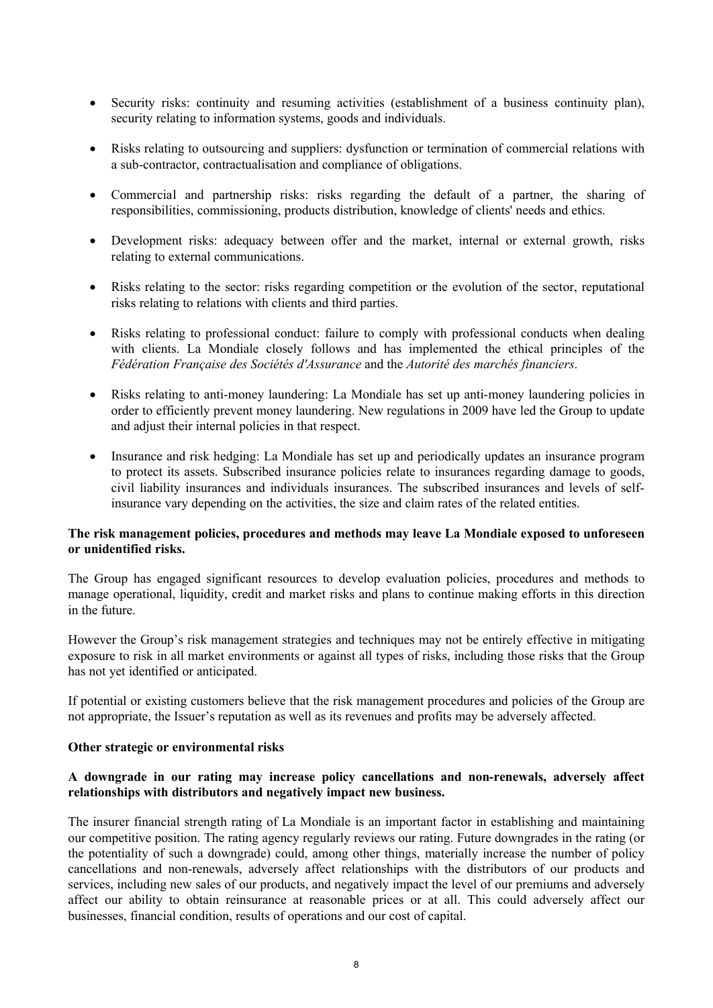- · Security risks: continuity and resuming activities (establishment of a business continuity plan), security relating to information systems, goods and individuals.
- · Risks relating to outsourcing and suppliers: dysfunction or termination of commercial relations with a sub-contractor, contractualisation and compliance of obligations.
- · Commercial and partnership risks: risks regarding the default of a partner, the sharing of responsibilities, commissioning, products distribution, knowledge of clients' needs and ethics.
- Development risks: adequacy between offer and the market, internal or external growth, risks relating to external communications.
- · Risks relating to the sector: risks regarding competition or the evolution of the sector, reputational risks relating to relations with clients and third parties.
- Risks relating to professional conduct: failure to comply with professional conducts when dealing with clients. La Mondiale closely follows and has implemented the ethical principles of the *Fédération Française des Sociétés d'Assurance* and the *Autorité des marchés financiers*.
- · Risks relating to anti-money laundering: La Mondiale has set up anti-money laundering policies in order to efficiently prevent money laundering. New regulations in 2009 have led the Group to update and adjust their internal policies in that respect.
- · Insurance and risk hedging: La Mondiale has set up and periodically updates an insurance program to protect its assets. Subscribed insurance policies relate to insurances regarding damage to goods, civil liability insurances and individuals insurances. The subscribed insurances and levels of selfinsurance vary depending on the activities, the size and claim rates of the related entities.

# **The risk management policies, procedures and methods may leave La Mondiale exposed to unforeseen or unidentified risks.**

The Group has engaged significant resources to develop evaluation policies, procedures and methods to manage operational, liquidity, credit and market risks and plans to continue making efforts in this direction in the future.

However the Group's risk management strategies and techniques may not be entirely effective in mitigating exposure to risk in all market environments or against all types of risks, including those risks that the Group has not yet identified or anticipated.

If potential or existing customers believe that the risk management procedures and policies of the Group are not appropriate, the Issuer's reputation as well as its revenues and profits may be adversely affected.

# **Other strategic or environmental risks**

# **A downgrade in our rating may increase policy cancellations and non-renewals, adversely affect relationships with distributors and negatively impact new business.**

The insurer financial strength rating of La Mondiale is an important factor in establishing and maintaining our competitive position. The rating agency regularly reviews our rating. Future downgrades in the rating (or the potentiality of such a downgrade) could, among other things, materially increase the number of policy cancellations and non-renewals, adversely affect relationships with the distributors of our products and services, including new sales of our products, and negatively impact the level of our premiums and adversely affect our ability to obtain reinsurance at reasonable prices or at all. This could adversely affect our businesses, financial condition, results of operations and our cost of capital.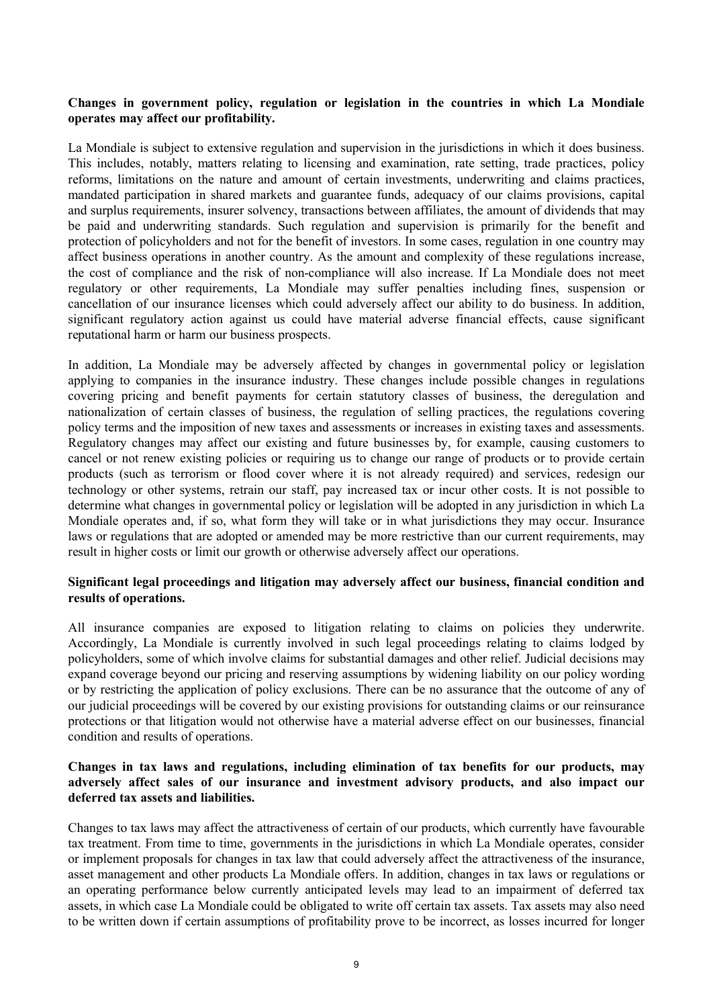# **Changes in government policy, regulation or legislation in the countries in which La Mondiale operates may affect our profitability.**

La Mondiale is subject to extensive regulation and supervision in the jurisdictions in which it does business. This includes, notably, matters relating to licensing and examination, rate setting, trade practices, policy reforms, limitations on the nature and amount of certain investments, underwriting and claims practices, mandated participation in shared markets and guarantee funds, adequacy of our claims provisions, capital and surplus requirements, insurer solvency, transactions between affiliates, the amount of dividends that may be paid and underwriting standards. Such regulation and supervision is primarily for the benefit and protection of policyholders and not for the benefit of investors. In some cases, regulation in one country may affect business operations in another country. As the amount and complexity of these regulations increase, the cost of compliance and the risk of non-compliance will also increase. If La Mondiale does not meet regulatory or other requirements, La Mondiale may suffer penalties including fines, suspension or cancellation of our insurance licenses which could adversely affect our ability to do business. In addition, significant regulatory action against us could have material adverse financial effects, cause significant reputational harm or harm our business prospects.

In addition, La Mondiale may be adversely affected by changes in governmental policy or legislation applying to companies in the insurance industry. These changes include possible changes in regulations covering pricing and benefit payments for certain statutory classes of business, the deregulation and nationalization of certain classes of business, the regulation of selling practices, the regulations covering policy terms and the imposition of new taxes and assessments or increases in existing taxes and assessments. Regulatory changes may affect our existing and future businesses by, for example, causing customers to cancel or not renew existing policies or requiring us to change our range of products or to provide certain products (such as terrorism or flood cover where it is not already required) and services, redesign our technology or other systems, retrain our staff, pay increased tax or incur other costs. It is not possible to determine what changes in governmental policy or legislation will be adopted in any jurisdiction in which La Mondiale operates and, if so, what form they will take or in what jurisdictions they may occur. Insurance laws or regulations that are adopted or amended may be more restrictive than our current requirements, may result in higher costs or limit our growth or otherwise adversely affect our operations.

# **Significant legal proceedings and litigation may adversely affect our business, financial condition and results of operations.**

All insurance companies are exposed to litigation relating to claims on policies they underwrite. Accordingly, La Mondiale is currently involved in such legal proceedings relating to claims lodged by policyholders, some of which involve claims for substantial damages and other relief. Judicial decisions may expand coverage beyond our pricing and reserving assumptions by widening liability on our policy wording or by restricting the application of policy exclusions. There can be no assurance that the outcome of any of our judicial proceedings will be covered by our existing provisions for outstanding claims or our reinsurance protections or that litigation would not otherwise have a material adverse effect on our businesses, financial condition and results of operations.

# **Changes in tax laws and regulations, including elimination of tax benefits for our products, may adversely affect sales of our insurance and investment advisory products, and also impact our deferred tax assets and liabilities.**

Changes to tax laws may affect the attractiveness of certain of our products, which currently have favourable tax treatment. From time to time, governments in the jurisdictions in which La Mondiale operates, consider or implement proposals for changes in tax law that could adversely affect the attractiveness of the insurance, asset management and other products La Mondiale offers. In addition, changes in tax laws or regulations or an operating performance below currently anticipated levels may lead to an impairment of deferred tax assets, in which case La Mondiale could be obligated to write off certain tax assets. Tax assets may also need to be written down if certain assumptions of profitability prove to be incorrect, as losses incurred for longer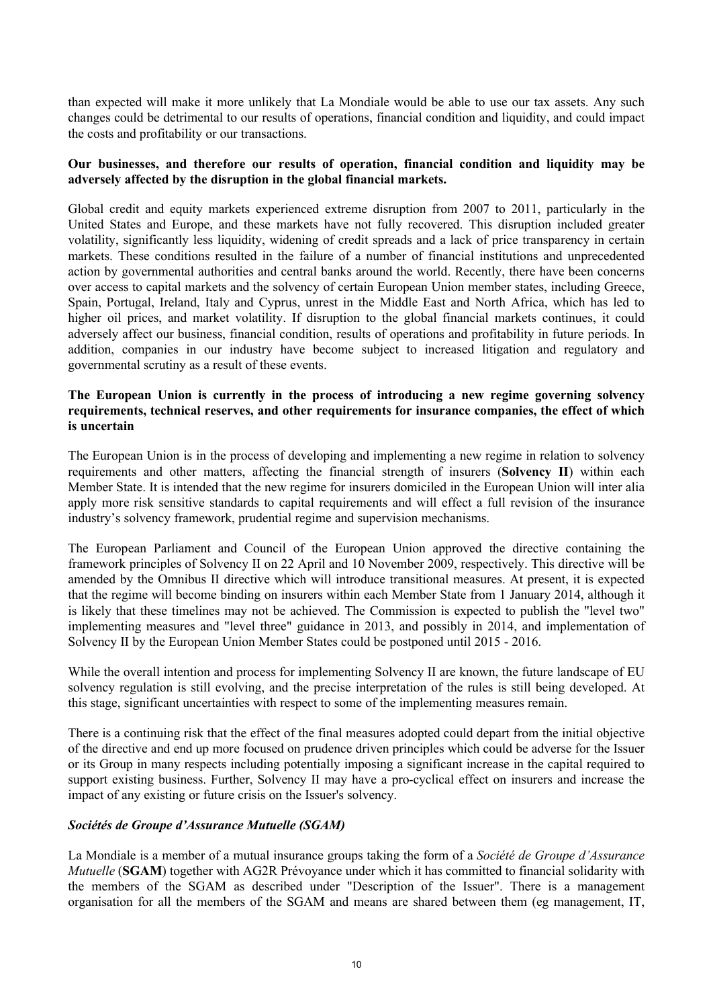than expected will make it more unlikely that La Mondiale would be able to use our tax assets. Any such changes could be detrimental to our results of operations, financial condition and liquidity, and could impact the costs and profitability or our transactions.

# **Our businesses, and therefore our results of operation, financial condition and liquidity may be adversely affected by the disruption in the global financial markets.**

Global credit and equity markets experienced extreme disruption from 2007 to 2011, particularly in the United States and Europe, and these markets have not fully recovered. This disruption included greater volatility, significantly less liquidity, widening of credit spreads and a lack of price transparency in certain markets. These conditions resulted in the failure of a number of financial institutions and unprecedented action by governmental authorities and central banks around the world. Recently, there have been concerns over access to capital markets and the solvency of certain European Union member states, including Greece, Spain, Portugal, Ireland, Italy and Cyprus, unrest in the Middle East and North Africa, which has led to higher oil prices, and market volatility. If disruption to the global financial markets continues, it could adversely affect our business, financial condition, results of operations and profitability in future periods. In addition, companies in our industry have become subject to increased litigation and regulatory and governmental scrutiny as a result of these events.

# **The European Union is currently in the process of introducing a new regime governing solvency requirements, technical reserves, and other requirements for insurance companies, the effect of which is uncertain**

The European Union is in the process of developing and implementing a new regime in relation to solvency requirements and other matters, affecting the financial strength of insurers (**Solvency II**) within each Member State. It is intended that the new regime for insurers domiciled in the European Union will inter alia apply more risk sensitive standards to capital requirements and will effect a full revision of the insurance industry's solvency framework, prudential regime and supervision mechanisms.

The European Parliament and Council of the European Union approved the directive containing the framework principles of Solvency II on 22 April and 10 November 2009, respectively. This directive will be amended by the Omnibus II directive which will introduce transitional measures. At present, it is expected that the regime will become binding on insurers within each Member State from 1 January 2014, although it is likely that these timelines may not be achieved. The Commission is expected to publish the "level two" implementing measures and "level three" guidance in 2013, and possibly in 2014, and implementation of Solvency II by the European Union Member States could be postponed until 2015 - 2016.

While the overall intention and process for implementing Solvency II are known, the future landscape of EU solvency regulation is still evolving, and the precise interpretation of the rules is still being developed. At this stage, significant uncertainties with respect to some of the implementing measures remain.

There is a continuing risk that the effect of the final measures adopted could depart from the initial objective of the directive and end up more focused on prudence driven principles which could be adverse for the Issuer or its Group in many respects including potentially imposing a significant increase in the capital required to support existing business. Further, Solvency II may have a pro-cyclical effect on insurers and increase the impact of any existing or future crisis on the Issuer's solvency.

# *Sociétés de Groupe d'Assurance Mutuelle (SGAM)*

La Mondiale is a member of a mutual insurance groups taking the form of a *Société de Groupe d'Assurance Mutuelle* (**SGAM**) together with AG2R Prévoyance under which it has committed to financial solidarity with the members of the SGAM as described under "Description of the Issuer". There is a management organisation for all the members of the SGAM and means are shared between them (eg management, IT,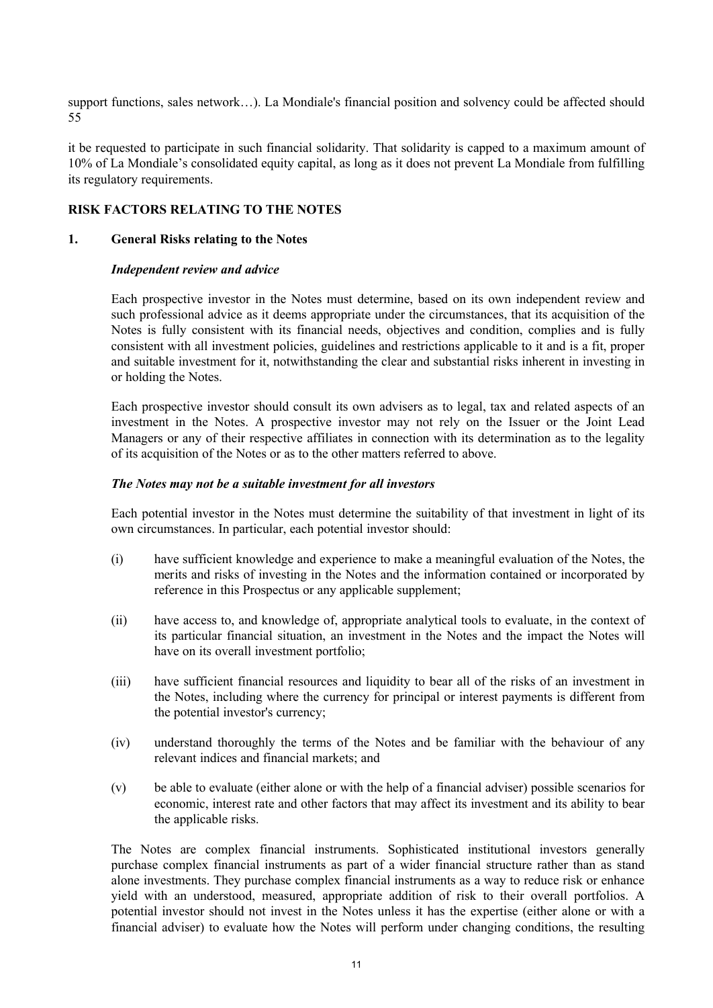support functions, sales network…). La Mondiale's financial position and solvency could be affected should 55

it be requested to participate in such financial solidarity. That solidarity is capped to a maximum amount of 10% of La Mondiale's consolidated equity capital, as long as it does not prevent La Mondiale from fulfilling its regulatory requirements.

# **RISK FACTORS RELATING TO THE NOTES**

## **1. General Risks relating to the Notes**

### *Independent review and advice*

Each prospective investor in the Notes must determine, based on its own independent review and such professional advice as it deems appropriate under the circumstances, that its acquisition of the Notes is fully consistent with its financial needs, objectives and condition, complies and is fully consistent with all investment policies, guidelines and restrictions applicable to it and is a fit, proper and suitable investment for it, notwithstanding the clear and substantial risks inherent in investing in or holding the Notes.

Each prospective investor should consult its own advisers as to legal, tax and related aspects of an investment in the Notes. A prospective investor may not rely on the Issuer or the Joint Lead Managers or any of their respective affiliates in connection with its determination as to the legality of its acquisition of the Notes or as to the other matters referred to above.

### *The Notes may not be a suitable investment for all investors*

Each potential investor in the Notes must determine the suitability of that investment in light of its own circumstances. In particular, each potential investor should:

- (i) have sufficient knowledge and experience to make a meaningful evaluation of the Notes, the merits and risks of investing in the Notes and the information contained or incorporated by reference in this Prospectus or any applicable supplement;
- (ii) have access to, and knowledge of, appropriate analytical tools to evaluate, in the context of its particular financial situation, an investment in the Notes and the impact the Notes will have on its overall investment portfolio;
- (iii) have sufficient financial resources and liquidity to bear all of the risks of an investment in the Notes, including where the currency for principal or interest payments is different from the potential investor's currency;
- (iv) understand thoroughly the terms of the Notes and be familiar with the behaviour of any relevant indices and financial markets; and
- (v) be able to evaluate (either alone or with the help of a financial adviser) possible scenarios for economic, interest rate and other factors that may affect its investment and its ability to bear the applicable risks.

The Notes are complex financial instruments. Sophisticated institutional investors generally purchase complex financial instruments as part of a wider financial structure rather than as stand alone investments. They purchase complex financial instruments as a way to reduce risk or enhance yield with an understood, measured, appropriate addition of risk to their overall portfolios. A potential investor should not invest in the Notes unless it has the expertise (either alone or with a financial adviser) to evaluate how the Notes will perform under changing conditions, the resulting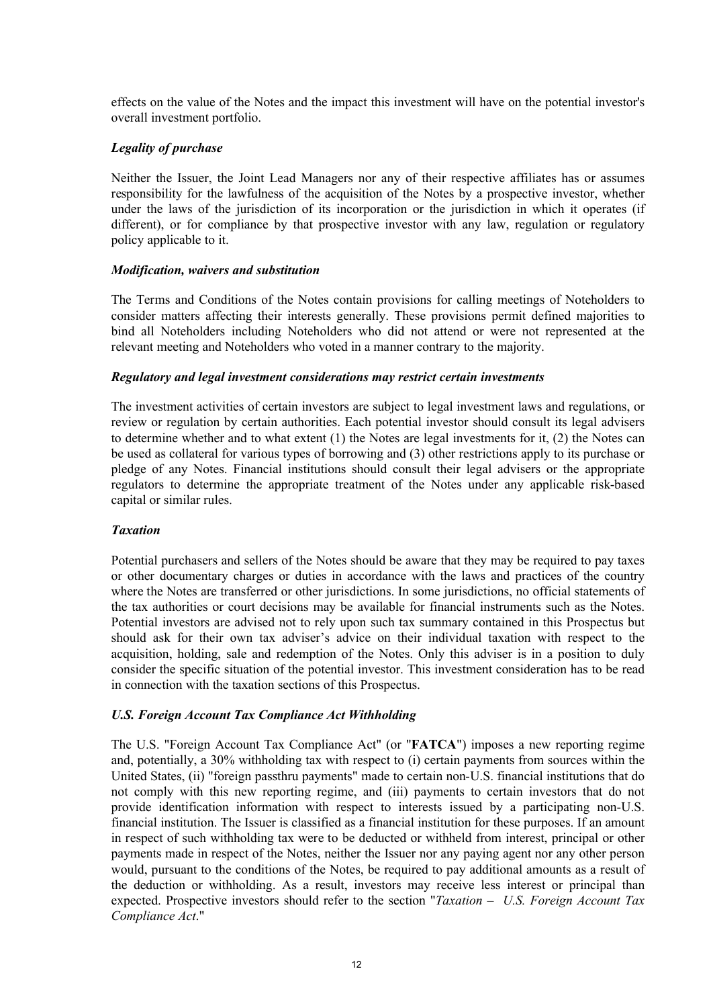effects on the value of the Notes and the impact this investment will have on the potential investor's overall investment portfolio.

# *Legality of purchase*

Neither the Issuer, the Joint Lead Managers nor any of their respective affiliates has or assumes responsibility for the lawfulness of the acquisition of the Notes by a prospective investor, whether under the laws of the jurisdiction of its incorporation or the jurisdiction in which it operates (if different), or for compliance by that prospective investor with any law, regulation or regulatory policy applicable to it.

## *Modification, waivers and substitution*

The Terms and Conditions of the Notes contain provisions for calling meetings of Noteholders to consider matters affecting their interests generally. These provisions permit defined majorities to bind all Noteholders including Noteholders who did not attend or were not represented at the relevant meeting and Noteholders who voted in a manner contrary to the majority.

#### *Regulatory and legal investment considerations may restrict certain investments*

The investment activities of certain investors are subject to legal investment laws and regulations, or review or regulation by certain authorities. Each potential investor should consult its legal advisers to determine whether and to what extent (1) the Notes are legal investments for it, (2) the Notes can be used as collateral for various types of borrowing and (3) other restrictions apply to its purchase or pledge of any Notes. Financial institutions should consult their legal advisers or the appropriate regulators to determine the appropriate treatment of the Notes under any applicable risk-based capital or similar rules.

# *Taxation*

Potential purchasers and sellers of the Notes should be aware that they may be required to pay taxes or other documentary charges or duties in accordance with the laws and practices of the country where the Notes are transferred or other jurisdictions. In some jurisdictions, no official statements of the tax authorities or court decisions may be available for financial instruments such as the Notes. Potential investors are advised not to rely upon such tax summary contained in this Prospectus but should ask for their own tax adviser's advice on their individual taxation with respect to the acquisition, holding, sale and redemption of the Notes. Only this adviser is in a position to duly consider the specific situation of the potential investor. This investment consideration has to be read in connection with the taxation sections of this Prospectus.

# *U.S. Foreign Account Tax Compliance Act Withholding*

The U.S. "Foreign Account Tax Compliance Act" (or "**FATCA**") imposes a new reporting regime and, potentially, a 30% withholding tax with respect to (i) certain payments from sources within the United States, (ii) "foreign passthru payments" made to certain non-U.S. financial institutions that do not comply with this new reporting regime, and (iii) payments to certain investors that do not provide identification information with respect to interests issued by a participating non-U.S. financial institution. The Issuer is classified as a financial institution for these purposes. If an amount in respect of such withholding tax were to be deducted or withheld from interest, principal or other payments made in respect of the Notes, neither the Issuer nor any paying agent nor any other person would, pursuant to the conditions of the Notes, be required to pay additional amounts as a result of the deduction or withholding. As a result, investors may receive less interest or principal than expected. Prospective investors should refer to the section "*Taxation* – *U.S. Foreign Account Tax Compliance Act*."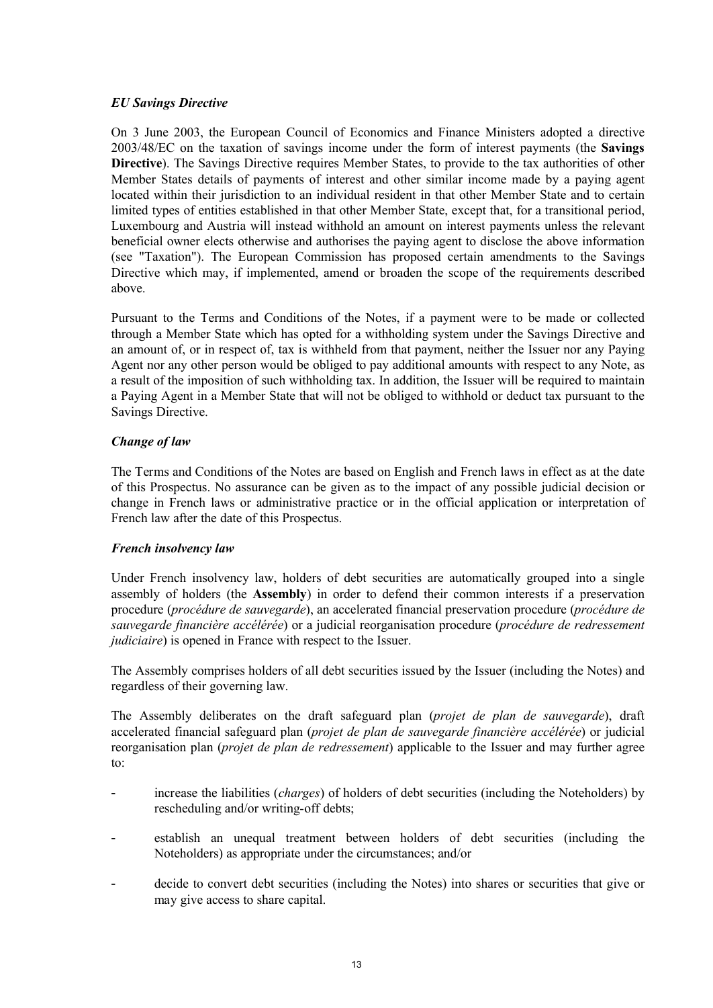# *EU Savings Directive*

On 3 June 2003, the European Council of Economics and Finance Ministers adopted a directive 2003/48/EC on the taxation of savings income under the form of interest payments (the **Savings Directive**). The Savings Directive requires Member States, to provide to the tax authorities of other Member States details of payments of interest and other similar income made by a paying agent located within their jurisdiction to an individual resident in that other Member State and to certain limited types of entities established in that other Member State, except that, for a transitional period, Luxembourg and Austria will instead withhold an amount on interest payments unless the relevant beneficial owner elects otherwise and authorises the paying agent to disclose the above information (see "Taxation"). The European Commission has proposed certain amendments to the Savings Directive which may, if implemented, amend or broaden the scope of the requirements described above.

Pursuant to the Terms and Conditions of the Notes, if a payment were to be made or collected through a Member State which has opted for a withholding system under the Savings Directive and an amount of, or in respect of, tax is withheld from that payment, neither the Issuer nor any Paying Agent nor any other person would be obliged to pay additional amounts with respect to any Note, as a result of the imposition of such withholding tax. In addition, the Issuer will be required to maintain a Paying Agent in a Member State that will not be obliged to withhold or deduct tax pursuant to the Savings Directive.

# *Change of law*

The Terms and Conditions of the Notes are based on English and French laws in effect as at the date of this Prospectus. No assurance can be given as to the impact of any possible judicial decision or change in French laws or administrative practice or in the official application or interpretation of French law after the date of this Prospectus.

# *French insolvency law*

Under French insolvency law, holders of debt securities are automatically grouped into a single assembly of holders (the **Assembly**) in order to defend their common interests if a preservation procedure (*procédure de sauvegarde*), an accelerated financial preservation procedure (*procédure de sauvegarde financière accélérée*) or a judicial reorganisation procedure (*procédure de redressement judiciaire*) is opened in France with respect to the Issuer.

The Assembly comprises holders of all debt securities issued by the Issuer (including the Notes) and regardless of their governing law.

The Assembly deliberates on the draft safeguard plan (*projet de plan de sauvegarde*), draft accelerated financial safeguard plan (*projet de plan de sauvegarde financière accélérée*) or judicial reorganisation plan (*projet de plan de redressement*) applicable to the Issuer and may further agree to:

- increase the liabilities (*charges*) of holders of debt securities (including the Noteholders) by rescheduling and/or writing-off debts;
- establish an unequal treatment between holders of debt securities (including the Noteholders) as appropriate under the circumstances; and/or
- decide to convert debt securities (including the Notes) into shares or securities that give or may give access to share capital.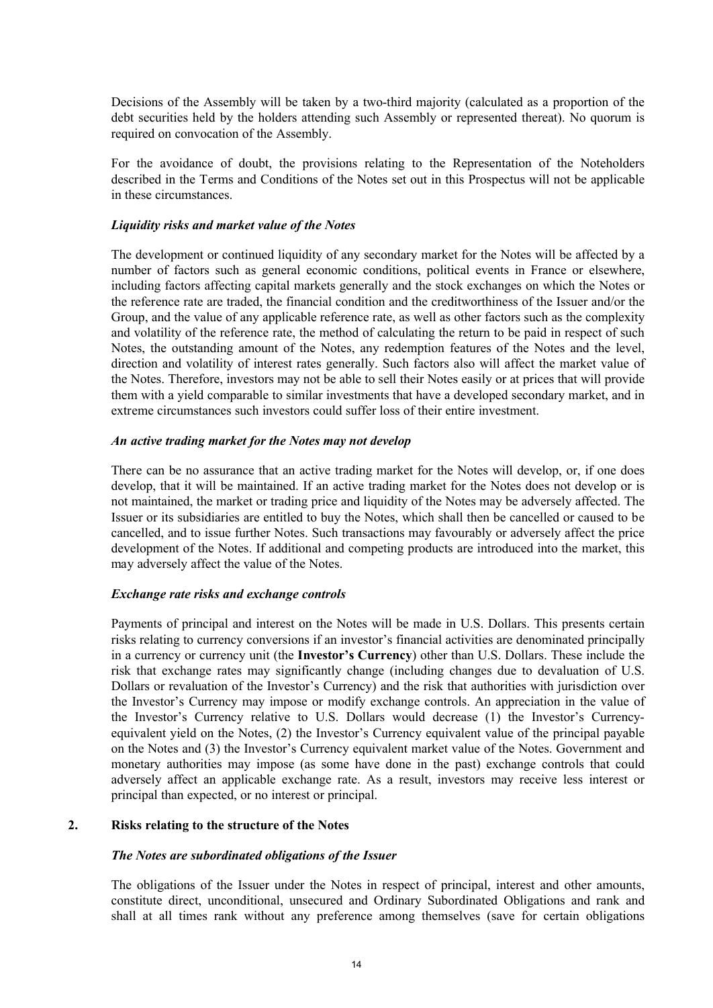Decisions of the Assembly will be taken by a two-third majority (calculated as a proportion of the debt securities held by the holders attending such Assembly or represented thereat). No quorum is required on convocation of the Assembly.

For the avoidance of doubt, the provisions relating to the Representation of the Noteholders described in the Terms and Conditions of the Notes set out in this Prospectus will not be applicable in these circumstances.

## *Liquidity risks and market value of the Notes*

The development or continued liquidity of any secondary market for the Notes will be affected by a number of factors such as general economic conditions, political events in France or elsewhere, including factors affecting capital markets generally and the stock exchanges on which the Notes or the reference rate are traded, the financial condition and the creditworthiness of the Issuer and/or the Group, and the value of any applicable reference rate, as well as other factors such as the complexity and volatility of the reference rate, the method of calculating the return to be paid in respect of such Notes, the outstanding amount of the Notes, any redemption features of the Notes and the level, direction and volatility of interest rates generally. Such factors also will affect the market value of the Notes. Therefore, investors may not be able to sell their Notes easily or at prices that will provide them with a yield comparable to similar investments that have a developed secondary market, and in extreme circumstances such investors could suffer loss of their entire investment.

### *An active trading market for the Notes may not develop*

There can be no assurance that an active trading market for the Notes will develop, or, if one does develop, that it will be maintained. If an active trading market for the Notes does not develop or is not maintained, the market or trading price and liquidity of the Notes may be adversely affected. The Issuer or its subsidiaries are entitled to buy the Notes, which shall then be cancelled or caused to be cancelled, and to issue further Notes. Such transactions may favourably or adversely affect the price development of the Notes. If additional and competing products are introduced into the market, this may adversely affect the value of the Notes.

# *Exchange rate risks and exchange controls*

Payments of principal and interest on the Notes will be made in U.S. Dollars. This presents certain risks relating to currency conversions if an investor's financial activities are denominated principally in a currency or currency unit (the **Investor's Currency**) other than U.S. Dollars. These include the risk that exchange rates may significantly change (including changes due to devaluation of U.S. Dollars or revaluation of the Investor's Currency) and the risk that authorities with jurisdiction over the Investor's Currency may impose or modify exchange controls. An appreciation in the value of the Investor's Currency relative to U.S. Dollars would decrease (1) the Investor's Currencyequivalent yield on the Notes, (2) the Investor's Currency equivalent value of the principal payable on the Notes and (3) the Investor's Currency equivalent market value of the Notes. Government and monetary authorities may impose (as some have done in the past) exchange controls that could adversely affect an applicable exchange rate. As a result, investors may receive less interest or principal than expected, or no interest or principal.

### **2. Risks relating to the structure of the Notes**

#### *The Notes are subordinated obligations of the Issuer*

The obligations of the Issuer under the Notes in respect of principal, interest and other amounts, constitute direct, unconditional, unsecured and Ordinary Subordinated Obligations and rank and shall at all times rank without any preference among themselves (save for certain obligations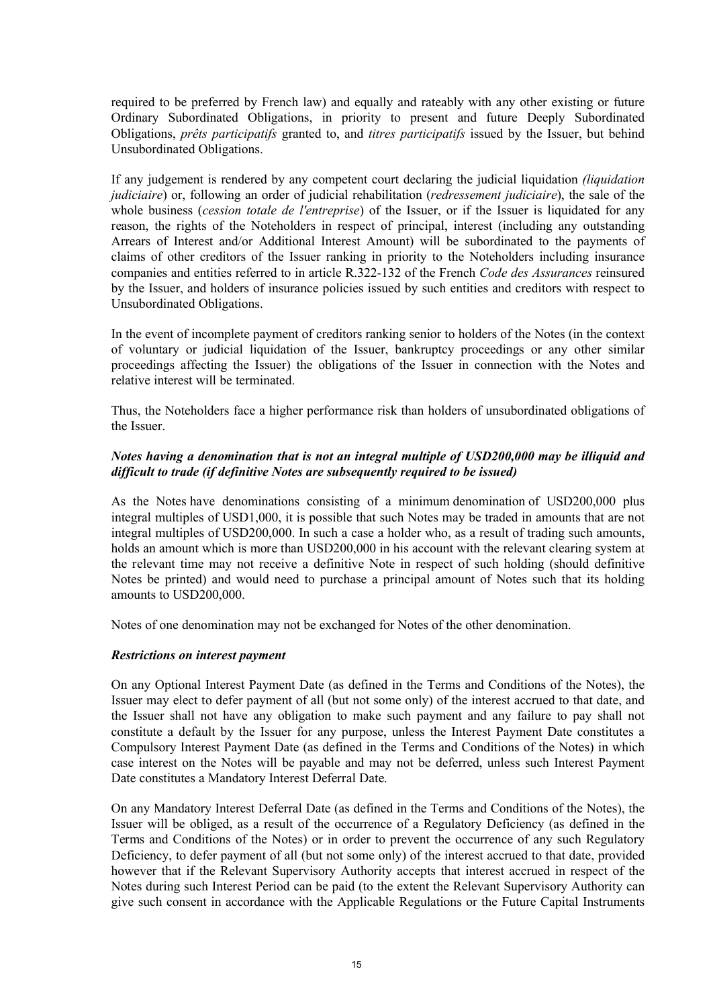required to be preferred by French law) and equally and rateably with any other existing or future Ordinary Subordinated Obligations, in priority to present and future Deeply Subordinated Obligations, *prêts participatifs* granted to, and *titres participatifs* issued by the Issuer, but behind Unsubordinated Obligations.

If any judgement is rendered by any competent court declaring the judicial liquidation *(liquidation judiciaire*) or, following an order of judicial rehabilitation (*redressement judiciaire*), the sale of the whole business (*cession totale de l'entreprise*) of the Issuer, or if the Issuer is liquidated for any reason, the rights of the Noteholders in respect of principal, interest (including any outstanding Arrears of Interest and/or Additional Interest Amount) will be subordinated to the payments of claims of other creditors of the Issuer ranking in priority to the Noteholders including insurance companies and entities referred to in article R.322-132 of the French *Code des Assurances* reinsured by the Issuer, and holders of insurance policies issued by such entities and creditors with respect to Unsubordinated Obligations.

In the event of incomplete payment of creditors ranking senior to holders of the Notes (in the context of voluntary or judicial liquidation of the Issuer, bankruptcy proceedings or any other similar proceedings affecting the Issuer) the obligations of the Issuer in connection with the Notes and relative interest will be terminated.

Thus, the Noteholders face a higher performance risk than holders of unsubordinated obligations of the Issuer.

# *Notes having a denomination that is not an integral multiple of USD200,000 may be illiquid and difficult to trade (if definitive Notes are subsequently required to be issued)*

As the Notes have denominations consisting of a minimum denomination of USD200,000 plus integral multiples of USD1,000, it is possible that such Notes may be traded in amounts that are not integral multiples of USD200,000. In such a case a holder who, as a result of trading such amounts, holds an amount which is more than USD200,000 in his account with the relevant clearing system at the relevant time may not receive a definitive Note in respect of such holding (should definitive Notes be printed) and would need to purchase a principal amount of Notes such that its holding amounts to USD200,000.

Notes of one denomination may not be exchanged for Notes of the other denomination.

# *Restrictions on interest payment*

On any Optional Interest Payment Date (as defined in the Terms and Conditions of the Notes), the Issuer may elect to defer payment of all (but not some only) of the interest accrued to that date, and the Issuer shall not have any obligation to make such payment and any failure to pay shall not constitute a default by the Issuer for any purpose, unless the Interest Payment Date constitutes a Compulsory Interest Payment Date (as defined in the Terms and Conditions of the Notes) in which case interest on the Notes will be payable and may not be deferred, unless such Interest Payment Date constitutes a Mandatory Interest Deferral Date.

On any Mandatory Interest Deferral Date (as defined in the Terms and Conditions of the Notes), the Issuer will be obliged, as a result of the occurrence of a Regulatory Deficiency (as defined in the Terms and Conditions of the Notes) or in order to prevent the occurrence of any such Regulatory Deficiency, to defer payment of all (but not some only) of the interest accrued to that date, provided however that if the Relevant Supervisory Authority accepts that interest accrued in respect of the Notes during such Interest Period can be paid (to the extent the Relevant Supervisory Authority can give such consent in accordance with the Applicable Regulations or the Future Capital Instruments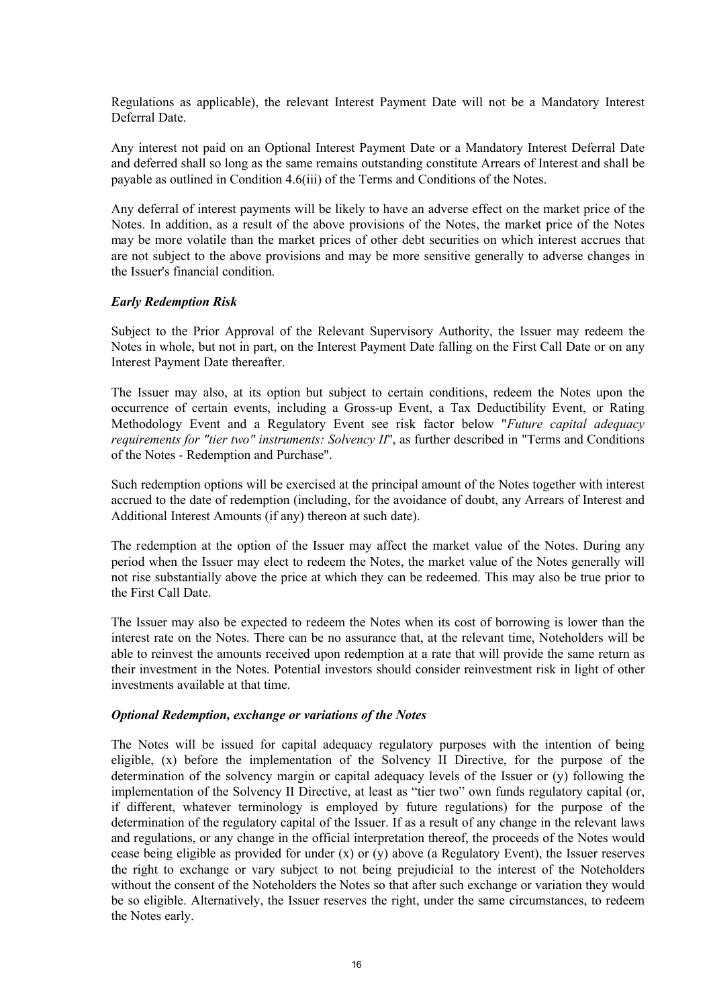Regulations as applicable), the relevant Interest Payment Date will not be a Mandatory Interest Deferral Date.

Any interest not paid on an Optional Interest Payment Date or a Mandatory Interest Deferral Date and deferred shall so long as the same remains outstanding constitute Arrears of Interest and shall be payable as outlined in Condition 4.6(iii) of the Terms and Conditions of the Notes.

Any deferral of interest payments will be likely to have an adverse effect on the market price of the Notes. In addition, as a result of the above provisions of the Notes, the market price of the Notes may be more volatile than the market prices of other debt securities on which interest accrues that are not subject to the above provisions and may be more sensitive generally to adverse changes in the Issuer's financial condition.

#### *Early Redemption Risk*

Subject to the Prior Approval of the Relevant Supervisory Authority, the Issuer may redeem the Notes in whole, but not in part, on the Interest Payment Date falling on the First Call Date or on any Interest Payment Date thereafter.

The Issuer may also, at its option but subject to certain conditions, redeem the Notes upon the occurrence of certain events, including a Gross-up Event, a Tax Deductibility Event, or Rating Methodology Event and a Regulatory Event see risk factor below "*Future capital adequacy requirements for "tier two" instruments: Solvency II*", as further described in "Terms and Conditions of the Notes - Redemption and Purchase".

Such redemption options will be exercised at the principal amount of the Notes together with interest accrued to the date of redemption (including, for the avoidance of doubt, any Arrears of Interest and Additional Interest Amounts (if any) thereon at such date).

The redemption at the option of the Issuer may affect the market value of the Notes. During any period when the Issuer may elect to redeem the Notes, the market value of the Notes generally will not rise substantially above the price at which they can be redeemed. This may also be true prior to the First Call Date.

The Issuer may also be expected to redeem the Notes when its cost of borrowing is lower than the interest rate on the Notes. There can be no assurance that, at the relevant time, Noteholders will be able to reinvest the amounts received upon redemption at a rate that will provide the same return as their investment in the Notes. Potential investors should consider reinvestment risk in light of other investments available at that time.

#### *Optional Redemption, exchange or variations of the Notes*

The Notes will be issued for capital adequacy regulatory purposes with the intention of being eligible, (x) before the implementation of the Solvency II Directive, for the purpose of the determination of the solvency margin or capital adequacy levels of the Issuer or (y) following the implementation of the Solvency II Directive, at least as "tier two" own funds regulatory capital (or, if different, whatever terminology is employed by future regulations) for the purpose of the determination of the regulatory capital of the Issuer. If as a result of any change in the relevant laws and regulations, or any change in the official interpretation thereof, the proceeds of the Notes would cease being eligible as provided for under (x) or (y) above (a Regulatory Event), the Issuer reserves the right to exchange or vary subject to not being prejudicial to the interest of the Noteholders without the consent of the Noteholders the Notes so that after such exchange or variation they would be so eligible. Alternatively, the Issuer reserves the right, under the same circumstances, to redeem the Notes early.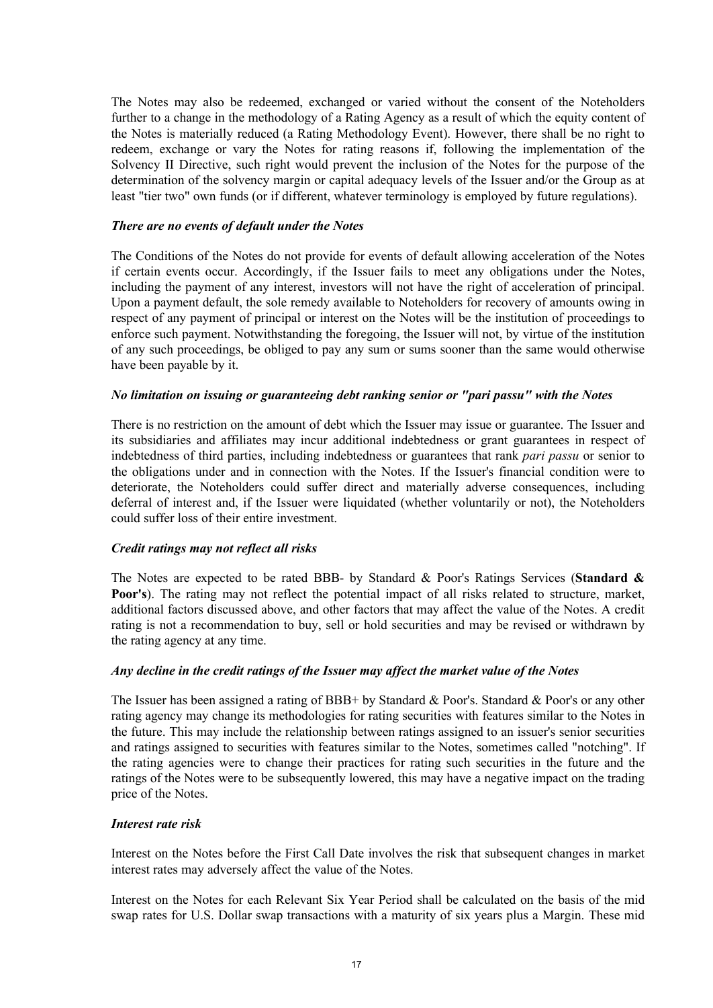The Notes may also be redeemed, exchanged or varied without the consent of the Noteholders further to a change in the methodology of a Rating Agency as a result of which the equity content of the Notes is materially reduced (a Rating Methodology Event). However, there shall be no right to redeem, exchange or vary the Notes for rating reasons if, following the implementation of the Solvency II Directive, such right would prevent the inclusion of the Notes for the purpose of the determination of the solvency margin or capital adequacy levels of the Issuer and/or the Group as at least "tier two" own funds (or if different, whatever terminology is employed by future regulations).

## *There are no events of default under the Notes*

The Conditions of the Notes do not provide for events of default allowing acceleration of the Notes if certain events occur. Accordingly, if the Issuer fails to meet any obligations under the Notes, including the payment of any interest, investors will not have the right of acceleration of principal. Upon a payment default, the sole remedy available to Noteholders for recovery of amounts owing in respect of any payment of principal or interest on the Notes will be the institution of proceedings to enforce such payment. Notwithstanding the foregoing, the Issuer will not, by virtue of the institution of any such proceedings, be obliged to pay any sum or sums sooner than the same would otherwise have been payable by it.

# *No limitation on issuing or guaranteeing debt ranking senior or "pari passu" with the Notes*

There is no restriction on the amount of debt which the Issuer may issue or guarantee. The Issuer and its subsidiaries and affiliates may incur additional indebtedness or grant guarantees in respect of indebtedness of third parties, including indebtedness or guarantees that rank *pari passu* or senior to the obligations under and in connection with the Notes. If the Issuer's financial condition were to deteriorate, the Noteholders could suffer direct and materially adverse consequences, including deferral of interest and, if the Issuer were liquidated (whether voluntarily or not), the Noteholders could suffer loss of their entire investment.

# *Credit ratings may not reflect all risks*

The Notes are expected to be rated BBB- by Standard & Poor's Ratings Services (**Standard & Poor's**). The rating may not reflect the potential impact of all risks related to structure, market, additional factors discussed above, and other factors that may affect the value of the Notes. A credit rating is not a recommendation to buy, sell or hold securities and may be revised or withdrawn by the rating agency at any time.

#### *Any decline in the credit ratings of the Issuer may affect the market value of the Notes*

The Issuer has been assigned a rating of BBB+ by Standard & Poor's. Standard & Poor's or any other rating agency may change its methodologies for rating securities with features similar to the Notes in the future. This may include the relationship between ratings assigned to an issuer's senior securities and ratings assigned to securities with features similar to the Notes, sometimes called "notching". If the rating agencies were to change their practices for rating such securities in the future and the ratings of the Notes were to be subsequently lowered, this may have a negative impact on the trading price of the Notes.

#### *Interest rate risk*

Interest on the Notes before the First Call Date involves the risk that subsequent changes in market interest rates may adversely affect the value of the Notes.

Interest on the Notes for each Relevant Six Year Period shall be calculated on the basis of the mid swap rates for U.S. Dollar swap transactions with a maturity of six years plus a Margin. These mid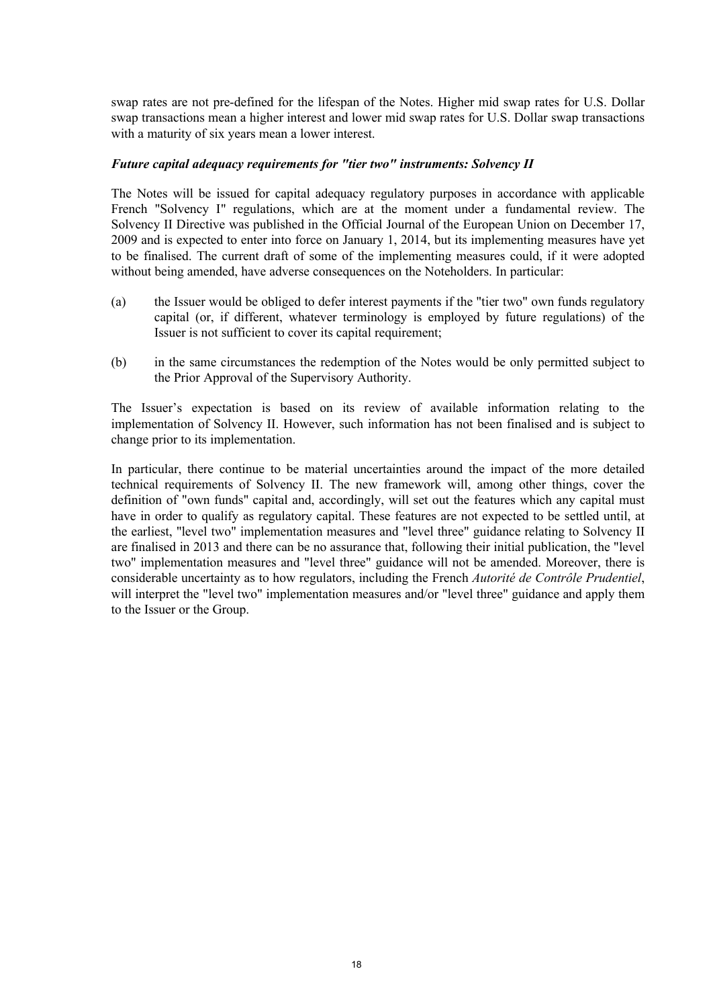swap rates are not pre-defined for the lifespan of the Notes. Higher mid swap rates for U.S. Dollar swap transactions mean a higher interest and lower mid swap rates for U.S. Dollar swap transactions with a maturity of six years mean a lower interest.

# *Future capital adequacy requirements for "tier two" instruments: Solvency II*

The Notes will be issued for capital adequacy regulatory purposes in accordance with applicable French "Solvency I" regulations, which are at the moment under a fundamental review. The Solvency II Directive was published in the Official Journal of the European Union on December 17, 2009 and is expected to enter into force on January 1, 2014, but its implementing measures have yet to be finalised. The current draft of some of the implementing measures could, if it were adopted without being amended, have adverse consequences on the Noteholders. In particular:

- (a) the Issuer would be obliged to defer interest payments if the "tier two" own funds regulatory capital (or, if different, whatever terminology is employed by future regulations) of the Issuer is not sufficient to cover its capital requirement;
- (b) in the same circumstances the redemption of the Notes would be only permitted subject to the Prior Approval of the Supervisory Authority.

The Issuer's expectation is based on its review of available information relating to the implementation of Solvency II. However, such information has not been finalised and is subject to change prior to its implementation.

In particular, there continue to be material uncertainties around the impact of the more detailed technical requirements of Solvency II. The new framework will, among other things, cover the definition of "own funds" capital and, accordingly, will set out the features which any capital must have in order to qualify as regulatory capital. These features are not expected to be settled until, at the earliest, "level two" implementation measures and "level three" guidance relating to Solvency II are finalised in 2013 and there can be no assurance that, following their initial publication, the "level two" implementation measures and "level three" guidance will not be amended. Moreover, there is considerable uncertainty as to how regulators, including the French *Autorité de Contrôle Prudentiel*, will interpret the "level two" implementation measures and/or "level three" guidance and apply them to the Issuer or the Group.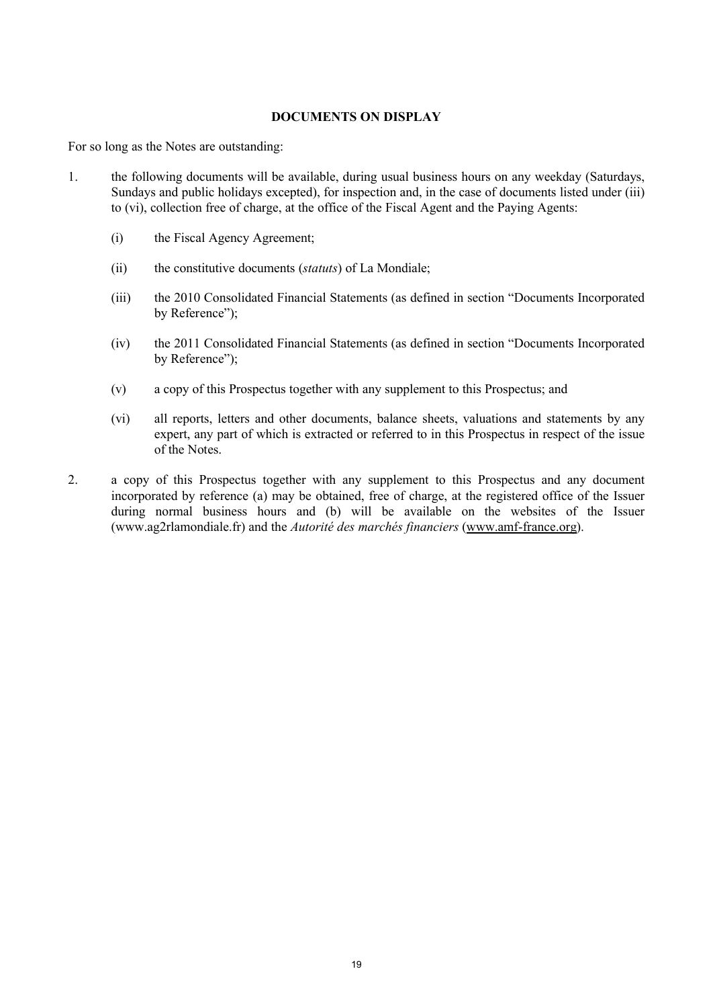# **DOCUMENTS ON DISPLAY**

For so long as the Notes are outstanding:

- 1. the following documents will be available, during usual business hours on any weekday (Saturdays, Sundays and public holidays excepted), for inspection and, in the case of documents listed under (iii) to (vi), collection free of charge, at the office of the Fiscal Agent and the Paying Agents:
	- (i) the Fiscal Agency Agreement;
	- (ii) the constitutive documents (*statuts*) of La Mondiale;
	- (iii) the 2010 Consolidated Financial Statements (as defined in section "Documents Incorporated by Reference");
	- (iv) the 2011 Consolidated Financial Statements (as defined in section "Documents Incorporated by Reference");
	- (v) a copy of this Prospectus together with any supplement to this Prospectus; and
	- (vi) all reports, letters and other documents, balance sheets, valuations and statements by any expert, any part of which is extracted or referred to in this Prospectus in respect of the issue of the Notes.
- 2. a copy of this Prospectus together with any supplement to this Prospectus and any document incorporated by reference (a) may be obtained, free of charge, at the registered office of the Issuer during normal business hours and (b) will be available on the websites of the Issuer ([www.ag2rlamondiale.fr\)](www.ag2rlamondiale.fr)) and the *Autorité des marchés financiers* [\(](http://www.amf-france.org/)[www.amf-france.org\)](www.amf-france.org).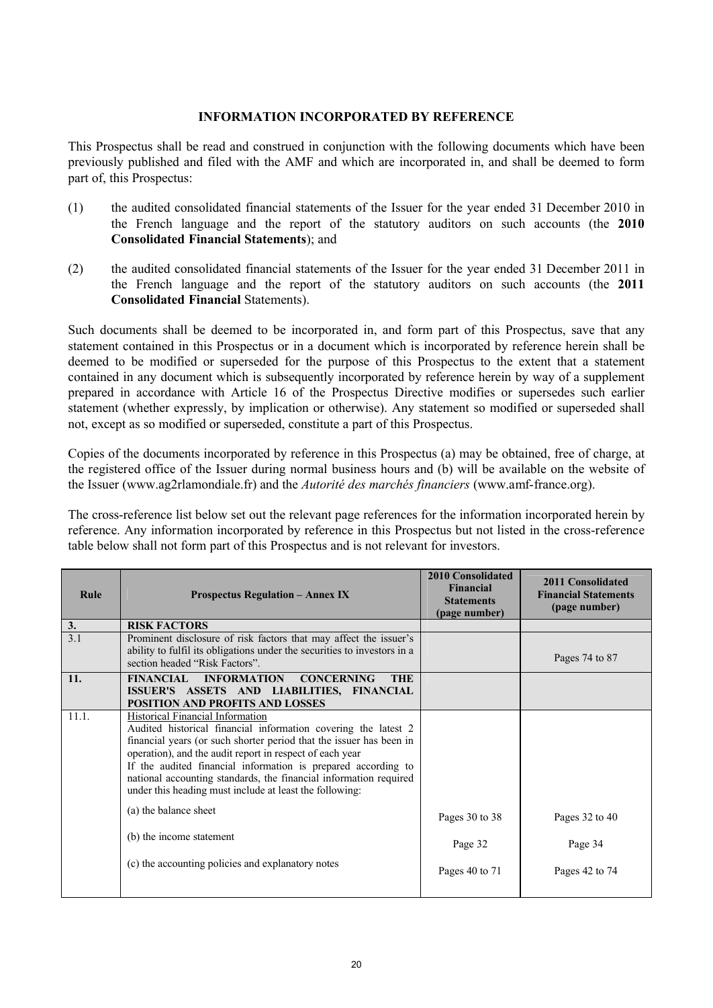# **INFORMATION INCORPORATED BY REFERENCE**

This Prospectus shall be read and construed in conjunction with the following documents which have been previously published and filed with the AMF and which are incorporated in, and shall be deemed to form part of, this Prospectus:

- (1) the audited consolidated financial statements of the Issuer for the year ended 31 December 2010 in the French language and the report of the statutory auditors on such accounts (the **2010 Consolidated Financial Statements**); and
- (2) the audited consolidated financial statements of the Issuer for the year ended 31 December 2011 in the French language and the report of the statutory auditors on such accounts (the **2011 Consolidated Financial** Statements).

Such documents shall be deemed to be incorporated in, and form part of this Prospectus, save that any statement contained in this Prospectus or in a document which is incorporated by reference herein shall be deemed to be modified or superseded for the purpose of this Prospectus to the extent that a statement contained in any document which is subsequently incorporated by reference herein by way of a supplement prepared in accordance with Article 16 of the Prospectus Directive modifies or supersedes such earlier statement (whether expressly, by implication or otherwise). Any statement so modified or superseded shall not, except as so modified or superseded, constitute a part of this Prospectus.

Copies of the documents incorporated by reference in this Prospectus (a) may be obtained, free of charge, at the registered office of the Issuer during normal business hours and (b) will be available on the website of the Issuer ([www.ag2rlamondiale.fr\)](www.ag2rlamondiale.fr)and) and the *Autorité des marchés financiers* ([www.amf-france.org\).](www.amf-france.org).)

The cross-reference list below set out the relevant page references for the information incorporated herein by reference. Any information incorporated by reference in this Prospectus but not listed in the cross-reference table below shall not form part of this Prospectus and is not relevant for investors.

| <b>Prospectus Regulation – Annex IX</b>                                                                                                                                                                                                                                                                                                                                                                                                | <b>2010 Consolidated</b><br>Financial<br><b>Statements</b><br>(page number) | 2011 Consolidated<br><b>Financial Statements</b><br>(page number) |
|----------------------------------------------------------------------------------------------------------------------------------------------------------------------------------------------------------------------------------------------------------------------------------------------------------------------------------------------------------------------------------------------------------------------------------------|-----------------------------------------------------------------------------|-------------------------------------------------------------------|
| <b>RISK FACTORS</b>                                                                                                                                                                                                                                                                                                                                                                                                                    |                                                                             |                                                                   |
| Prominent disclosure of risk factors that may affect the issuer's<br>ability to fulfil its obligations under the securities to investors in a<br>section headed "Risk Factors".                                                                                                                                                                                                                                                        |                                                                             | Pages 74 to 87                                                    |
| FINANCIAL INFORMATION<br><b>CONCERNING</b><br><b>THE</b>                                                                                                                                                                                                                                                                                                                                                                               |                                                                             |                                                                   |
| <b>POSITION AND PROFITS AND LOSSES</b>                                                                                                                                                                                                                                                                                                                                                                                                 |                                                                             |                                                                   |
| Historical Financial Information<br>Audited historical financial information covering the latest 2<br>financial years (or such shorter period that the issuer has been in<br>operation), and the audit report in respect of each year<br>If the audited financial information is prepared according to<br>national accounting standards, the financial information required<br>under this heading must include at least the following: |                                                                             |                                                                   |
| (a) the balance sheet                                                                                                                                                                                                                                                                                                                                                                                                                  | Pages 30 to 38                                                              | Pages $32$ to $40$                                                |
| (b) the income statement                                                                                                                                                                                                                                                                                                                                                                                                               | Page 32                                                                     | Page 34                                                           |
| (c) the accounting policies and explanatory notes                                                                                                                                                                                                                                                                                                                                                                                      | Pages 40 to 71                                                              | Pages 42 to 74                                                    |
|                                                                                                                                                                                                                                                                                                                                                                                                                                        | ISSUER'S ASSETS AND LIABILITIES, FINANCIAL                                  |                                                                   |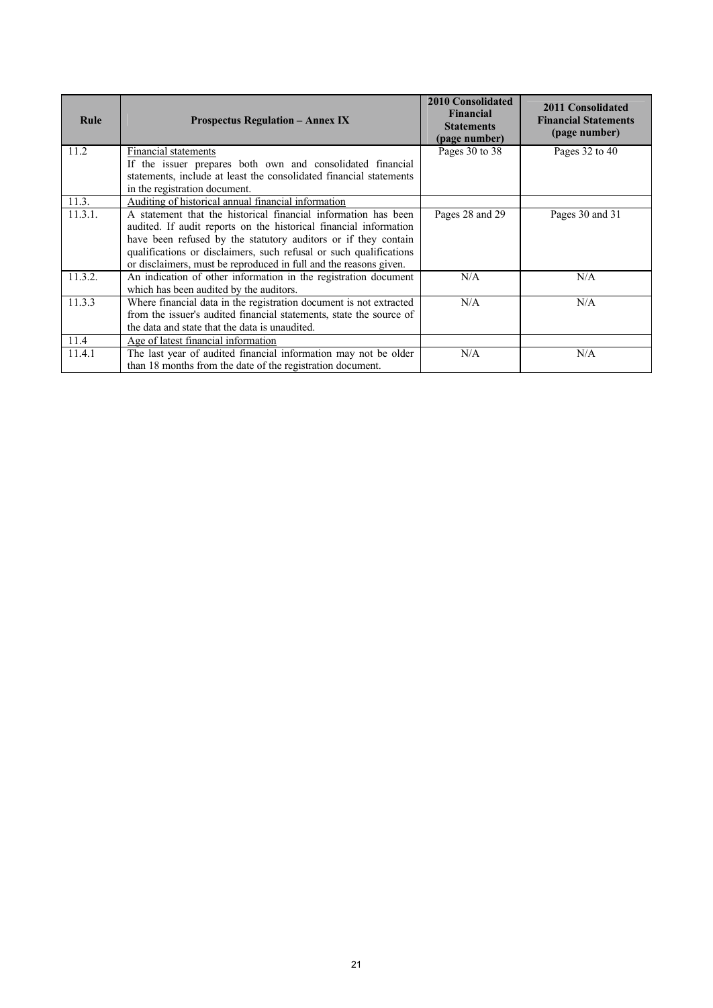| Rule    | <b>Prospectus Regulation – Annex IX</b>                             | <b>2010 Consolidated</b><br>Financial<br><b>Statements</b><br>(page number) | 2011 Consolidated<br><b>Financial Statements</b><br>(page number) |
|---------|---------------------------------------------------------------------|-----------------------------------------------------------------------------|-------------------------------------------------------------------|
| 11.2    | Financial statements                                                | Pages 30 to 38                                                              | Pages 32 to 40                                                    |
|         | If the issuer prepares both own and consolidated financial          |                                                                             |                                                                   |
|         | statements, include at least the consolidated financial statements  |                                                                             |                                                                   |
|         | in the registration document.                                       |                                                                             |                                                                   |
| 11.3.   | Auditing of historical annual financial information                 |                                                                             |                                                                   |
| 11.3.1. | A statement that the historical financial information has been      | Pages 28 and 29                                                             | Pages 30 and 31                                                   |
|         | audited. If audit reports on the historical financial information   |                                                                             |                                                                   |
|         | have been refused by the statutory auditors or if they contain      |                                                                             |                                                                   |
|         | qualifications or disclaimers, such refusal or such qualifications  |                                                                             |                                                                   |
|         | or disclaimers, must be reproduced in full and the reasons given.   |                                                                             |                                                                   |
| 11.3.2. | An indication of other information in the registration document     | N/A                                                                         | N/A                                                               |
|         | which has been audited by the auditors.                             |                                                                             |                                                                   |
| 11.3.3  | Where financial data in the registration document is not extracted  | N/A                                                                         | N/A                                                               |
|         | from the issuer's audited financial statements, state the source of |                                                                             |                                                                   |
|         | the data and state that the data is unaudited.                      |                                                                             |                                                                   |
| 11.4    | Age of latest financial information                                 |                                                                             |                                                                   |
| 11.4.1  | The last year of audited financial information may not be older     | N/A                                                                         | N/A                                                               |
|         | than 18 months from the date of the registration document.          |                                                                             |                                                                   |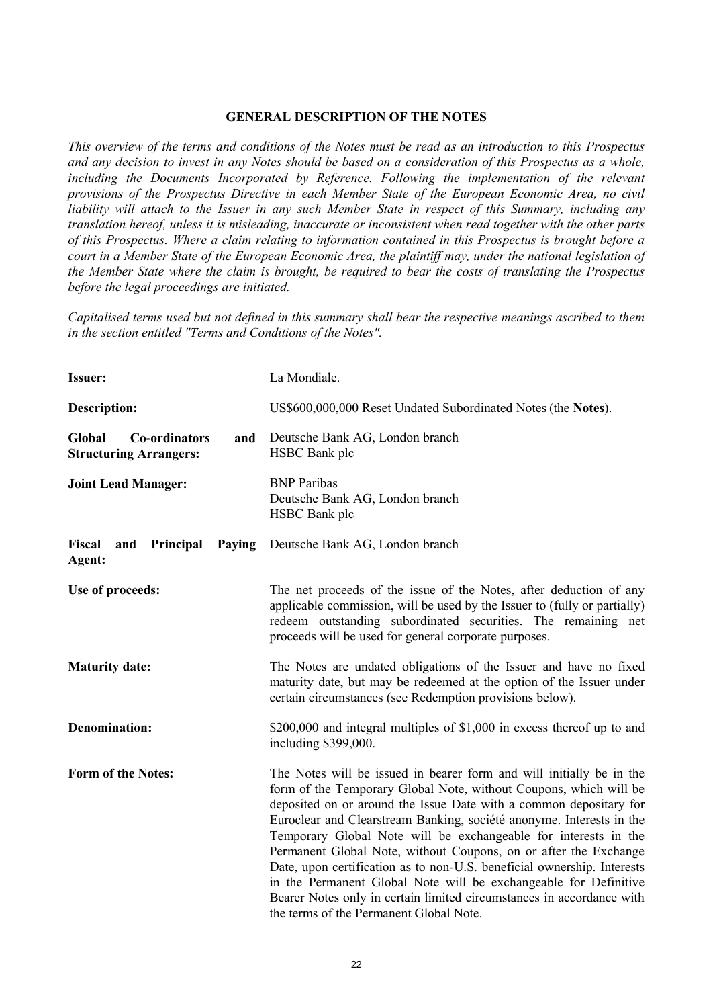#### **GENERAL DESCRIPTION OF THE NOTES**

*This overview of the terms and conditions of the Notes must be read as an introduction to this Prospectus and any decision to invest in any Notes should be based on a consideration of this Prospectus as a whole, including the Documents Incorporated by Reference. Following the implementation of the relevant provisions of the Prospectus Directive in each Member State of the European Economic Area, no civil liability will attach to the Issuer in any such Member State in respect of this Summary, including any translation hereof, unless it is misleading, inaccurate or inconsistent when read together with the other parts of this Prospectus. Where a claim relating to information contained in this Prospectus is brought before a court in a Member State of the European Economic Area, the plaintiff may, under the national legislation of the Member State where the claim is brought, be required to bear the costs of translating the Prospectus before the legal proceedings are initiated.* 

*Capitalised terms used but not defined in this summary shall bear the respective meanings ascribed to them in the section entitled "Terms and Conditions of the Notes".*

| Issuer:                                                         | La Mondiale.                                                                                                                                                                                                                                                                                                                                                                                                                                                                                                                                                                                                                                                                                      |
|-----------------------------------------------------------------|---------------------------------------------------------------------------------------------------------------------------------------------------------------------------------------------------------------------------------------------------------------------------------------------------------------------------------------------------------------------------------------------------------------------------------------------------------------------------------------------------------------------------------------------------------------------------------------------------------------------------------------------------------------------------------------------------|
| <b>Description:</b>                                             | US\$600,000,000 Reset Undated Subordinated Notes (the Notes).                                                                                                                                                                                                                                                                                                                                                                                                                                                                                                                                                                                                                                     |
| Global<br>Co-ordinators<br>and<br><b>Structuring Arrangers:</b> | Deutsche Bank AG, London branch<br>HSBC Bank plc                                                                                                                                                                                                                                                                                                                                                                                                                                                                                                                                                                                                                                                  |
| <b>Joint Lead Manager:</b>                                      | <b>BNP</b> Paribas<br>Deutsche Bank AG, London branch<br>HSBC Bank plc                                                                                                                                                                                                                                                                                                                                                                                                                                                                                                                                                                                                                            |
| Fiscal<br>Principal<br>Paying<br>and<br>Agent:                  | Deutsche Bank AG, London branch                                                                                                                                                                                                                                                                                                                                                                                                                                                                                                                                                                                                                                                                   |
| Use of proceeds:                                                | The net proceeds of the issue of the Notes, after deduction of any<br>applicable commission, will be used by the Issuer to (fully or partially)<br>redeem outstanding subordinated securities. The remaining net<br>proceeds will be used for general corporate purposes.                                                                                                                                                                                                                                                                                                                                                                                                                         |
| <b>Maturity date:</b>                                           | The Notes are undated obligations of the Issuer and have no fixed<br>maturity date, but may be redeemed at the option of the Issuer under<br>certain circumstances (see Redemption provisions below).                                                                                                                                                                                                                                                                                                                                                                                                                                                                                             |
| <b>Denomination:</b>                                            | \$200,000 and integral multiples of \$1,000 in excess thereof up to and<br>including \$399,000.                                                                                                                                                                                                                                                                                                                                                                                                                                                                                                                                                                                                   |
| <b>Form of the Notes:</b>                                       | The Notes will be issued in bearer form and will initially be in the<br>form of the Temporary Global Note, without Coupons, which will be<br>deposited on or around the Issue Date with a common depositary for<br>Euroclear and Clearstream Banking, société anonyme. Interests in the<br>Temporary Global Note will be exchangeable for interests in the<br>Permanent Global Note, without Coupons, on or after the Exchange<br>Date, upon certification as to non-U.S. beneficial ownership. Interests<br>in the Permanent Global Note will be exchangeable for Definitive<br>Bearer Notes only in certain limited circumstances in accordance with<br>the terms of the Permanent Global Note. |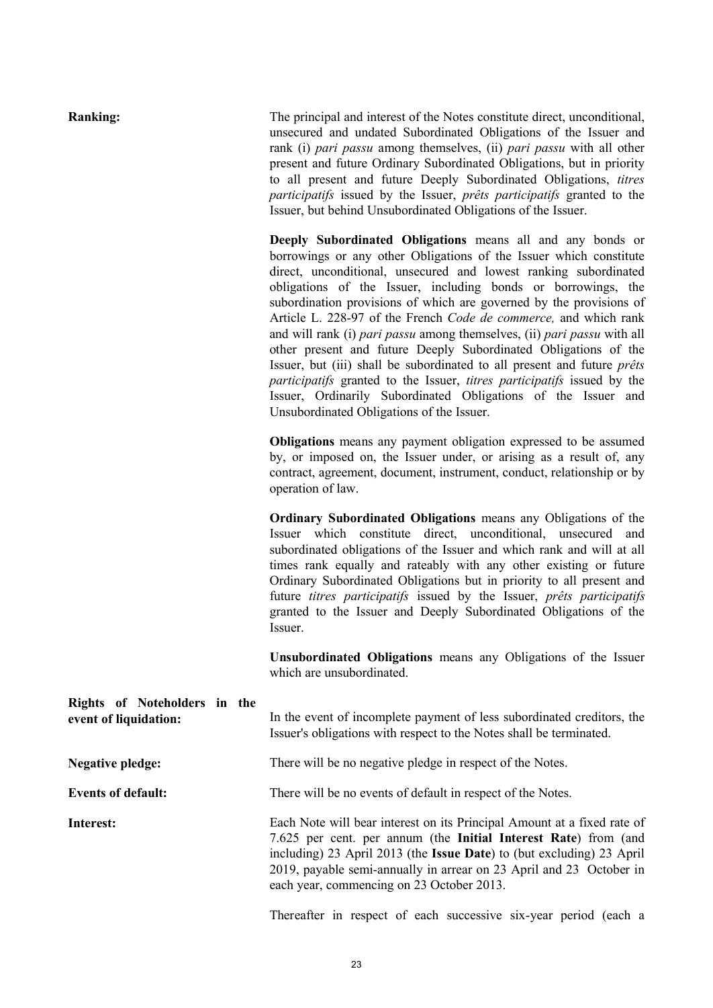| <b>Ranking:</b>                                       | The principal and interest of the Notes constitute direct, unconditional,<br>unsecured and undated Subordinated Obligations of the Issuer and<br>rank (i) pari passu among themselves, (ii) pari passu with all other<br>present and future Ordinary Subordinated Obligations, but in priority<br>to all present and future Deeply Subordinated Obligations, titres<br>participatifs issued by the Issuer, prêts participatifs granted to the<br>Issuer, but behind Unsubordinated Obligations of the Issuer.                                                                                                                                                                                                                                                                                                                             |
|-------------------------------------------------------|-------------------------------------------------------------------------------------------------------------------------------------------------------------------------------------------------------------------------------------------------------------------------------------------------------------------------------------------------------------------------------------------------------------------------------------------------------------------------------------------------------------------------------------------------------------------------------------------------------------------------------------------------------------------------------------------------------------------------------------------------------------------------------------------------------------------------------------------|
|                                                       | Deeply Subordinated Obligations means all and any bonds or<br>borrowings or any other Obligations of the Issuer which constitute<br>direct, unconditional, unsecured and lowest ranking subordinated<br>obligations of the Issuer, including bonds or borrowings, the<br>subordination provisions of which are governed by the provisions of<br>Article L. 228-97 of the French Code de commerce, and which rank<br>and will rank (i) pari passu among themselves, (ii) pari passu with all<br>other present and future Deeply Subordinated Obligations of the<br>Issuer, but (iii) shall be subordinated to all present and future <i>prêts</i><br>participatifs granted to the Issuer, titres participatifs issued by the<br>Issuer, Ordinarily Subordinated Obligations of the Issuer and<br>Unsubordinated Obligations of the Issuer. |
|                                                       | <b>Obligations</b> means any payment obligation expressed to be assumed<br>by, or imposed on, the Issuer under, or arising as a result of, any<br>contract, agreement, document, instrument, conduct, relationship or by<br>operation of law.                                                                                                                                                                                                                                                                                                                                                                                                                                                                                                                                                                                             |
|                                                       | <b>Ordinary Subordinated Obligations means any Obligations of the</b><br>Issuer which constitute<br>direct, unconditional, unsecured<br>and<br>subordinated obligations of the Issuer and which rank and will at all<br>times rank equally and rateably with any other existing or future<br>Ordinary Subordinated Obligations but in priority to all present and<br>future titres participatifs issued by the Issuer, prêts participatifs<br>granted to the Issuer and Deeply Subordinated Obligations of the<br>Issuer.                                                                                                                                                                                                                                                                                                                 |
|                                                       | Unsubordinated Obligations means any Obligations of the Issuer<br>which are unsubordinated.                                                                                                                                                                                                                                                                                                                                                                                                                                                                                                                                                                                                                                                                                                                                               |
| Rights of Noteholders in the<br>event of liquidation: | In the event of incomplete payment of less subordinated creditors, the<br>Issuer's obligations with respect to the Notes shall be terminated.                                                                                                                                                                                                                                                                                                                                                                                                                                                                                                                                                                                                                                                                                             |
| <b>Negative pledge:</b>                               | There will be no negative pledge in respect of the Notes.                                                                                                                                                                                                                                                                                                                                                                                                                                                                                                                                                                                                                                                                                                                                                                                 |
| <b>Events of default:</b>                             | There will be no events of default in respect of the Notes.                                                                                                                                                                                                                                                                                                                                                                                                                                                                                                                                                                                                                                                                                                                                                                               |
| Interest:                                             | Each Note will bear interest on its Principal Amount at a fixed rate of<br>7.625 per cent per annum (the Initial Interest Rate) from (and                                                                                                                                                                                                                                                                                                                                                                                                                                                                                                                                                                                                                                                                                                 |

7.625 per cent. per annum (the **Initial Interest Rate**) from (and including) 23 April 2013 (the **Issue Date**) to (but excluding) 23 April 2019, payable semi-annually in arrear on 23 April and 23 October in each year, commencing on 23 October 2013.

Thereafter in respect of each successive six-year period (each a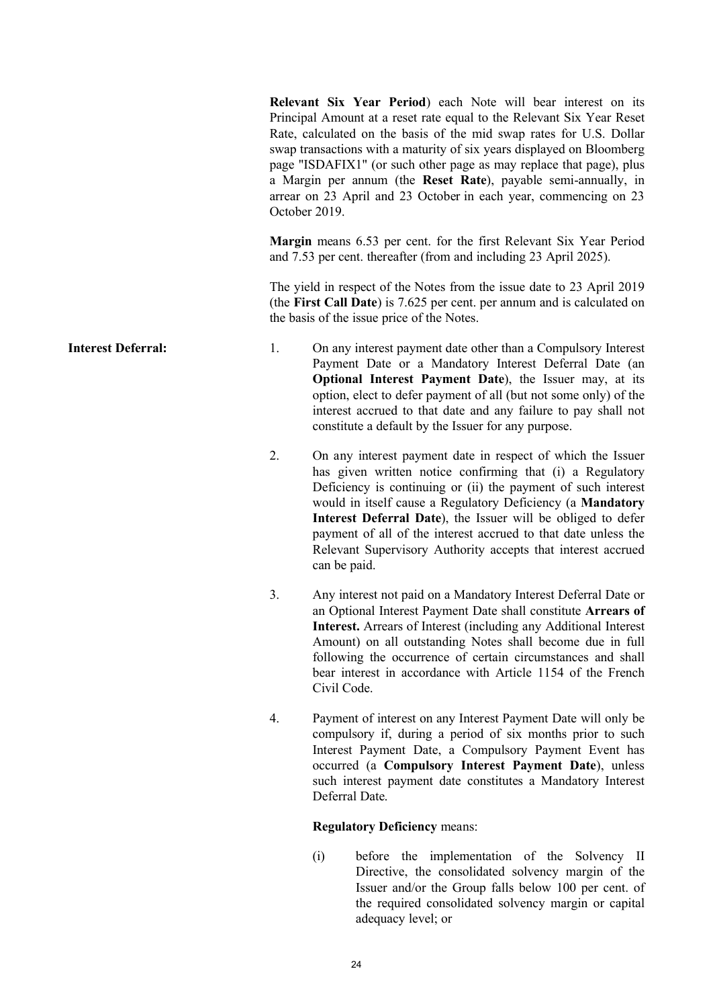**Relevant Six Year Period**) each Note will bear interest on its Principal Amount at a reset rate equal to the Relevant Six Year Reset Rate, calculated on the basis of the mid swap rates for U.S. Dollar swap transactions with a maturity of six years displayed on Bloomberg page "ISDAFIX1" (or such other page as may replace that page), plus a Margin per annum (the **Reset Rate**), payable semi-annually, in arrear on 23 April and 23 October in each year, commencing on 23 October 2019.

**Margin** means 6.53 per cent. for the first Relevant Six Year Period and 7.53 per cent. thereafter (from and including 23 April 2025).

The yield in respect of the Notes from the issue date to 23 April 2019 (the **First Call Date**) is 7.625 per cent. per annum and is calculated on the basis of the issue price of the Notes.

- **Interest Deferral:** 1. On any interest payment date other than a Compulsory Interest Payment Date or a Mandatory Interest Deferral Date (an **Optional Interest Payment Date**), the Issuer may, at its option, elect to defer payment of all (but not some only) of the interest accrued to that date and any failure to pay shall not constitute a default by the Issuer for any purpose.
	- 2. On any interest payment date in respect of which the Issuer has given written notice confirming that (i) a Regulatory Deficiency is continuing or (ii) the payment of such interest would in itself cause a Regulatory Deficiency (a **Mandatory Interest Deferral Date**), the Issuer will be obliged to defer payment of all of the interest accrued to that date unless the Relevant Supervisory Authority accepts that interest accrued can be paid.
	- 3. Any interest not paid on a Mandatory Interest Deferral Date or an Optional Interest Payment Date shall constitute **Arrears of Interest.** Arrears of Interest (including any Additional Interest Amount) on all outstanding Notes shall become due in full following the occurrence of certain circumstances and shall bear interest in accordance with Article 1154 of the French Civil Code.
	- 4. Payment of interest on any Interest Payment Date will only be compulsory if, during a period of six months prior to such Interest Payment Date, a Compulsory Payment Event has occurred (a **Compulsory Interest Payment Date**), unless such interest payment date constitutes a Mandatory Interest Deferral Date.

# **Regulatory Deficiency** means:

(i) before the implementation of the Solvency II Directive, the consolidated solvency margin of the Issuer and/or the Group falls below 100 per cent. of the required consolidated solvency margin or capital adequacy level; or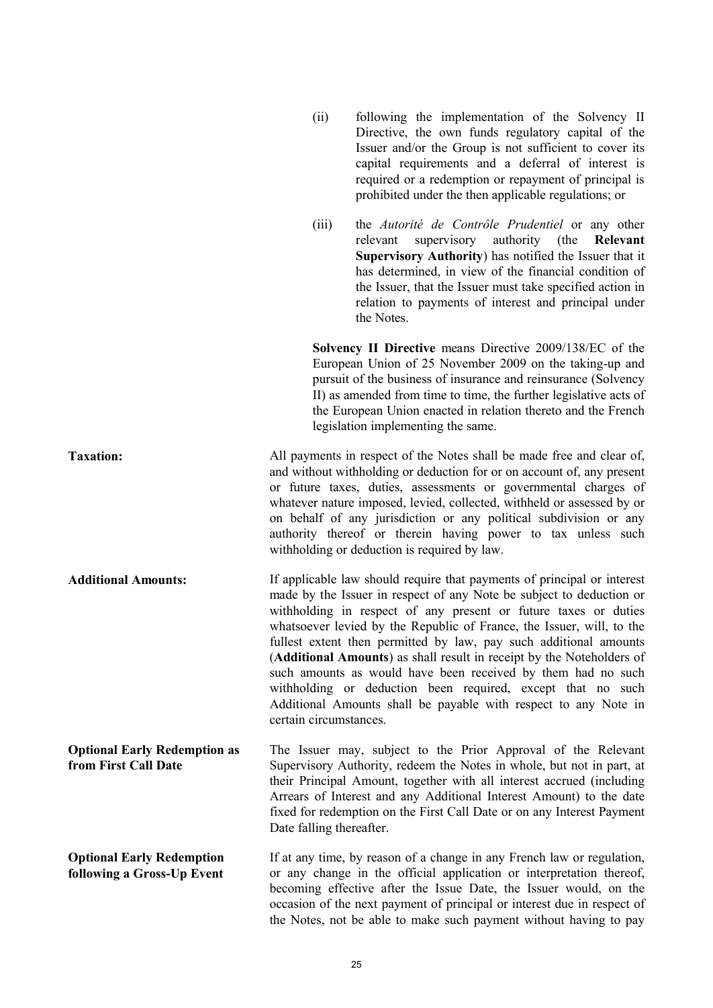- (ii) following the implementation of the Solvency II Directive, the own funds regulatory capital of the Issuer and/or the Group is not sufficient to cover its capital requirements and a deferral of interest is required or a redemption or repayment of principal is prohibited under the then applicable regulations; or
	- (iii) the *Autorité de Contrôle Prudentiel* or any other relevant supervisory authority (the **Relevant Supervisory Authority**) has notified the Issuer that it has determined, in view of the financial condition of the Issuer, that the Issuer must take specified action in relation to payments of interest and principal under the Notes.

**Solvency II Directive** means Directive 2009/138/EC of the European Union of 25 November 2009 on the taking-up and pursuit of the business of insurance and reinsurance (Solvency II) as amended from time to time, the further legislative acts of the European Union enacted in relation thereto and the French legislation implementing the same.

**Taxation:** All payments in respect of the Notes shall be made free and clear of, and without withholding or deduction for or on account of, any present or future taxes, duties, assessments or governmental charges of whatever nature imposed, levied, collected, withheld or assessed by or on behalf of any jurisdiction or any political subdivision or any authority thereof or therein having power to tax unless such withholding or deduction is required by law.

**Additional Amounts:** If applicable law should require that payments of principal or interest made by the Issuer in respect of any Note be subject to deduction or withholding in respect of any present or future taxes or duties whatsoever levied by the Republic of France, the Issuer, will, to the fullest extent then permitted by law, pay such additional amounts (**Additional Amounts**) as shall result in receipt by the Noteholders of such amounts as would have been received by them had no such withholding or deduction been required, except that no such Additional Amounts shall be payable with respect to any Note in certain circumstances.

**Optional Early Redemption as from First Call Date** The Issuer may, subject to the Prior Approval of the Relevant Supervisory Authority, redeem the Notes in whole, but not in part, at their Principal Amount, together with all interest accrued (including Arrears of Interest and any Additional Interest Amount) to the date fixed for redemption on the First Call Date or on any Interest Payment Date falling thereafter.

**Optional Early Redemption following a Gross-Up Event** If at any time, by reason of a change in any French law or regulation, or any change in the official application or interpretation thereof, becoming effective after the Issue Date, the Issuer would, on the occasion of the next payment of principal or interest due in respect of the Notes, not be able to make such payment without having to pay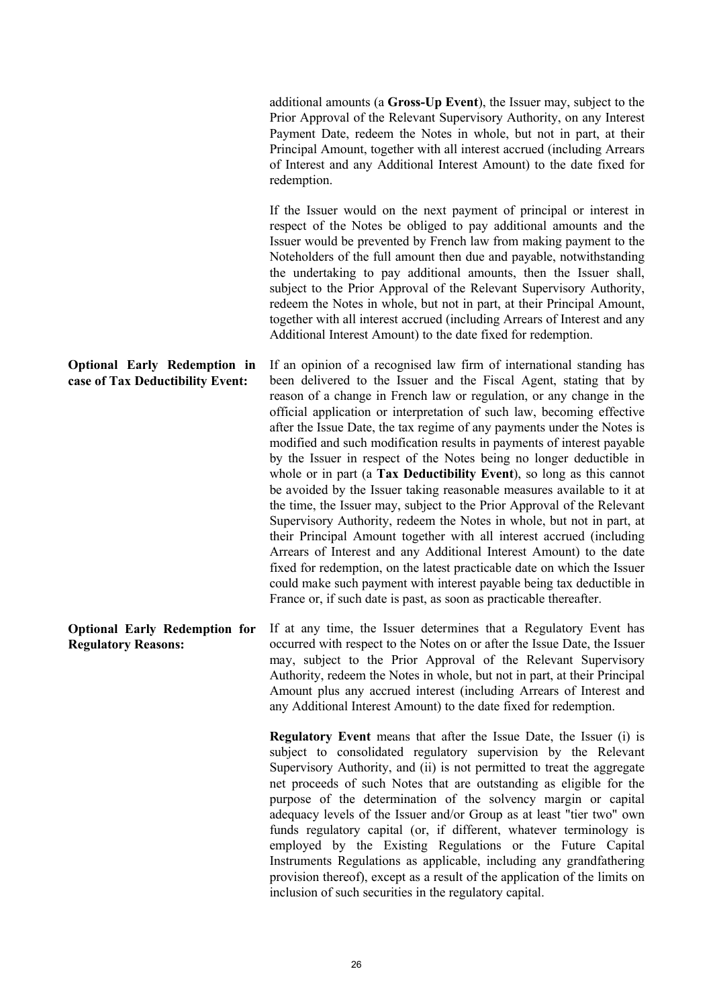additional amounts (a **Gross-Up Event**), the Issuer may, subject to the Prior Approval of the Relevant Supervisory Authority, on any Interest Payment Date, redeem the Notes in whole, but not in part, at their Principal Amount, together with all interest accrued (including Arrears of Interest and any Additional Interest Amount) to the date fixed for redemption.

If the Issuer would on the next payment of principal or interest in respect of the Notes be obliged to pay additional amounts and the Issuer would be prevented by French law from making payment to the Noteholders of the full amount then due and payable, notwithstanding the undertaking to pay additional amounts, then the Issuer shall, subject to the Prior Approval of the Relevant Supervisory Authority, redeem the Notes in whole, but not in part, at their Principal Amount, together with all interest accrued (including Arrears of Interest and any Additional Interest Amount) to the date fixed for redemption.

If an opinion of a recognised law firm of international standing has been delivered to the Issuer and the Fiscal Agent, stating that by reason of a change in French law or regulation, or any change in the official application or interpretation of such law, becoming effective after the Issue Date, the tax regime of any payments under the Notes is modified and such modification results in payments of interest payable by the Issuer in respect of the Notes being no longer deductible in whole or in part (a **Tax Deductibility Event**), so long as this cannot be avoided by the Issuer taking reasonable measures available to it at the time, the Issuer may, subject to the Prior Approval of the Relevant Supervisory Authority, redeem the Notes in whole, but not in part, at their Principal Amount together with all interest accrued (including Arrears of Interest and any Additional Interest Amount) to the date fixed for redemption, on the latest practicable date on which the Issuer could make such payment with interest payable being tax deductible in France or, if such date is past, as soon as practicable thereafter.

**Optional Early Redemption for Regulatory Reasons:** If at any time, the Issuer determines that a Regulatory Event has occurred with respect to the Notes on or after the Issue Date, the Issuer may, subject to the Prior Approval of the Relevant Supervisory Authority, redeem the Notes in whole, but not in part, at their Principal Amount plus any accrued interest (including Arrears of Interest and any Additional Interest Amount) to the date fixed for redemption.

> **Regulatory Event** means that after the Issue Date, the Issuer (i) is subject to consolidated regulatory supervision by the Relevant Supervisory Authority, and (ii) is not permitted to treat the aggregate net proceeds of such Notes that are outstanding as eligible for the purpose of the determination of the solvency margin or capital adequacy levels of the Issuer and/or Group as at least "tier two" own funds regulatory capital (or, if different, whatever terminology is employed by the Existing Regulations or the Future Capital Instruments Regulations as applicable, including any grandfathering provision thereof), except as a result of the application of the limits on inclusion of such securities in the regulatory capital.

# **Optional Early Redemption in case of Tax Deductibility Event:**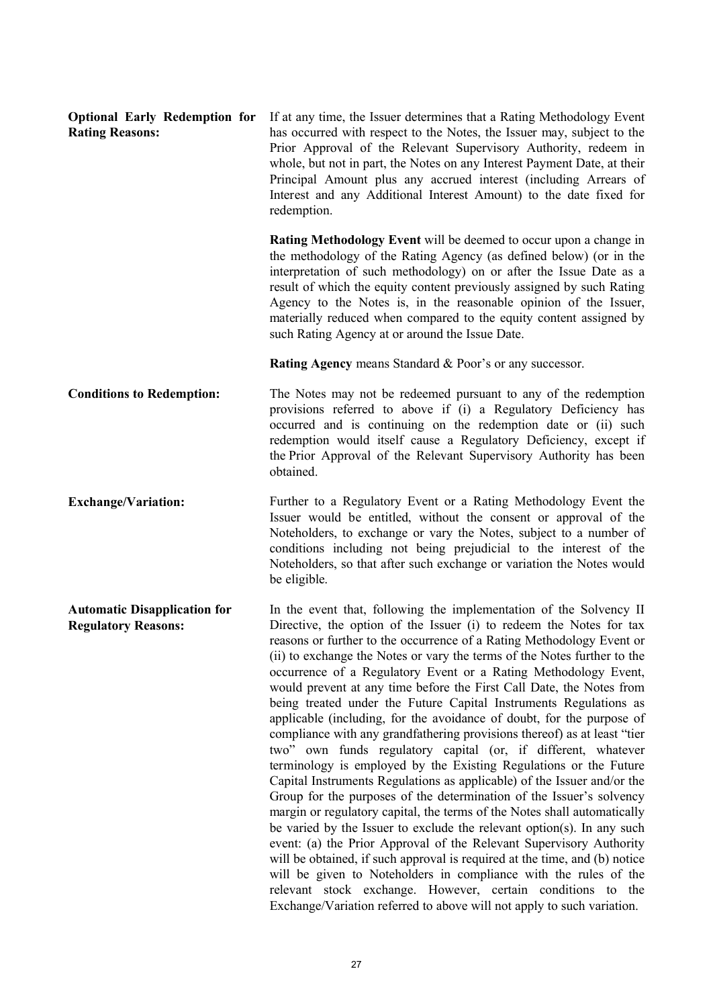| <b>Optional Early Redemption for</b><br><b>Rating Reasons:</b>    | If at any time, the Issuer determines that a Rating Methodology Event<br>has occurred with respect to the Notes, the Issuer may, subject to the<br>Prior Approval of the Relevant Supervisory Authority, redeem in<br>whole, but not in part, the Notes on any Interest Payment Date, at their<br>Principal Amount plus any accrued interest (including Arrears of<br>Interest and any Additional Interest Amount) to the date fixed for<br>redemption.                                                                                                                                                                                                                                                                                                                                                                                                                                                                                                                                                                                                                                                                                                                                                                                                                                                                                                                                                                                                                              |
|-------------------------------------------------------------------|--------------------------------------------------------------------------------------------------------------------------------------------------------------------------------------------------------------------------------------------------------------------------------------------------------------------------------------------------------------------------------------------------------------------------------------------------------------------------------------------------------------------------------------------------------------------------------------------------------------------------------------------------------------------------------------------------------------------------------------------------------------------------------------------------------------------------------------------------------------------------------------------------------------------------------------------------------------------------------------------------------------------------------------------------------------------------------------------------------------------------------------------------------------------------------------------------------------------------------------------------------------------------------------------------------------------------------------------------------------------------------------------------------------------------------------------------------------------------------------|
|                                                                   | <b>Rating Methodology Event</b> will be deemed to occur upon a change in<br>the methodology of the Rating Agency (as defined below) (or in the<br>interpretation of such methodology) on or after the Issue Date as a<br>result of which the equity content previously assigned by such Rating<br>Agency to the Notes is, in the reasonable opinion of the Issuer,<br>materially reduced when compared to the equity content assigned by<br>such Rating Agency at or around the Issue Date.                                                                                                                                                                                                                                                                                                                                                                                                                                                                                                                                                                                                                                                                                                                                                                                                                                                                                                                                                                                          |
|                                                                   | Rating Agency means Standard & Poor's or any successor.                                                                                                                                                                                                                                                                                                                                                                                                                                                                                                                                                                                                                                                                                                                                                                                                                                                                                                                                                                                                                                                                                                                                                                                                                                                                                                                                                                                                                              |
| <b>Conditions to Redemption:</b>                                  | The Notes may not be redeemed pursuant to any of the redemption<br>provisions referred to above if (i) a Regulatory Deficiency has<br>occurred and is continuing on the redemption date or (ii) such<br>redemption would itself cause a Regulatory Deficiency, except if<br>the Prior Approval of the Relevant Supervisory Authority has been<br>obtained.                                                                                                                                                                                                                                                                                                                                                                                                                                                                                                                                                                                                                                                                                                                                                                                                                                                                                                                                                                                                                                                                                                                           |
| <b>Exchange/Variation:</b>                                        | Further to a Regulatory Event or a Rating Methodology Event the<br>Issuer would be entitled, without the consent or approval of the<br>Noteholders, to exchange or vary the Notes, subject to a number of<br>conditions including not being prejudicial to the interest of the<br>Noteholders, so that after such exchange or variation the Notes would<br>be eligible.                                                                                                                                                                                                                                                                                                                                                                                                                                                                                                                                                                                                                                                                                                                                                                                                                                                                                                                                                                                                                                                                                                              |
| <b>Automatic Disapplication for</b><br><b>Regulatory Reasons:</b> | In the event that, following the implementation of the Solvency II<br>Directive, the option of the Issuer (i) to redeem the Notes for tax<br>reasons or further to the occurrence of a Rating Methodology Event or<br>(ii) to exchange the Notes or vary the terms of the Notes further to the<br>occurrence of a Regulatory Event or a Rating Methodology Event,<br>would prevent at any time before the First Call Date, the Notes from<br>being treated under the Future Capital Instruments Regulations as<br>applicable (including, for the avoidance of doubt, for the purpose of<br>compliance with any grandfathering provisions thereof) as at least "tier<br>two" own funds regulatory capital (or, if different, whatever<br>terminology is employed by the Existing Regulations or the Future<br>Capital Instruments Regulations as applicable) of the Issuer and/or the<br>Group for the purposes of the determination of the Issuer's solvency<br>margin or regulatory capital, the terms of the Notes shall automatically<br>be varied by the Issuer to exclude the relevant option(s). In any such<br>event: (a) the Prior Approval of the Relevant Supervisory Authority<br>will be obtained, if such approval is required at the time, and (b) notice<br>will be given to Noteholders in compliance with the rules of the<br>relevant stock exchange. However, certain conditions to the<br>Exchange/Variation referred to above will not apply to such variation. |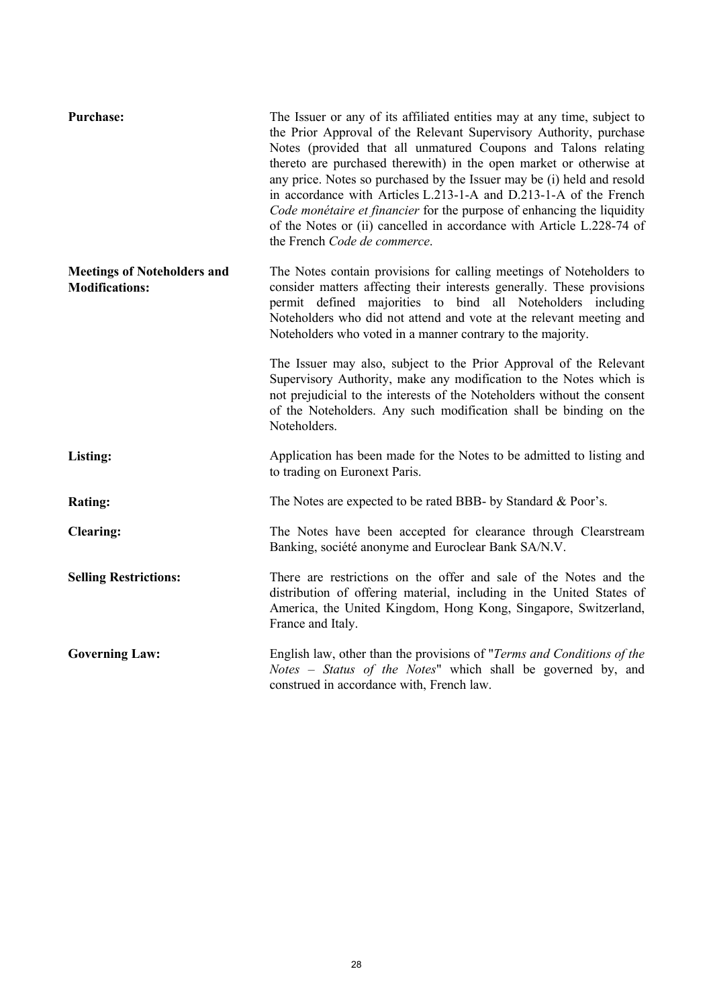| <b>Purchase:</b>                                            | The Issuer or any of its affiliated entities may at any time, subject to<br>the Prior Approval of the Relevant Supervisory Authority, purchase<br>Notes (provided that all unmatured Coupons and Talons relating<br>thereto are purchased therewith) in the open market or otherwise at<br>any price. Notes so purchased by the Issuer may be (i) held and resold<br>in accordance with Articles L.213-1-A and D.213-1-A of the French<br>Code monétaire et financier for the purpose of enhancing the liquidity<br>of the Notes or (ii) cancelled in accordance with Article L.228-74 of<br>the French Code de commerce. |
|-------------------------------------------------------------|---------------------------------------------------------------------------------------------------------------------------------------------------------------------------------------------------------------------------------------------------------------------------------------------------------------------------------------------------------------------------------------------------------------------------------------------------------------------------------------------------------------------------------------------------------------------------------------------------------------------------|
| <b>Meetings of Noteholders and</b><br><b>Modifications:</b> | The Notes contain provisions for calling meetings of Noteholders to<br>consider matters affecting their interests generally. These provisions<br>permit defined majorities to bind all Noteholders including<br>Noteholders who did not attend and vote at the relevant meeting and<br>Noteholders who voted in a manner contrary to the majority.                                                                                                                                                                                                                                                                        |
|                                                             | The Issuer may also, subject to the Prior Approval of the Relevant<br>Supervisory Authority, make any modification to the Notes which is<br>not prejudicial to the interests of the Noteholders without the consent<br>of the Noteholders. Any such modification shall be binding on the<br>Noteholders.                                                                                                                                                                                                                                                                                                                  |
| Listing:                                                    | Application has been made for the Notes to be admitted to listing and<br>to trading on Euronext Paris.                                                                                                                                                                                                                                                                                                                                                                                                                                                                                                                    |
| <b>Rating:</b>                                              | The Notes are expected to be rated BBB- by Standard & Poor's.                                                                                                                                                                                                                                                                                                                                                                                                                                                                                                                                                             |
| <b>Clearing:</b>                                            | The Notes have been accepted for clearance through Clearstream<br>Banking, société anonyme and Euroclear Bank SA/N.V.                                                                                                                                                                                                                                                                                                                                                                                                                                                                                                     |
| <b>Selling Restrictions:</b>                                | There are restrictions on the offer and sale of the Notes and the<br>distribution of offering material, including in the United States of<br>America, the United Kingdom, Hong Kong, Singapore, Switzerland,<br>France and Italy.                                                                                                                                                                                                                                                                                                                                                                                         |
| <b>Governing Law:</b>                                       | English law, other than the provisions of "Terms and Conditions of the<br>Notes - Status of the Notes" which shall be governed by, and<br>construed in accordance with, French law.                                                                                                                                                                                                                                                                                                                                                                                                                                       |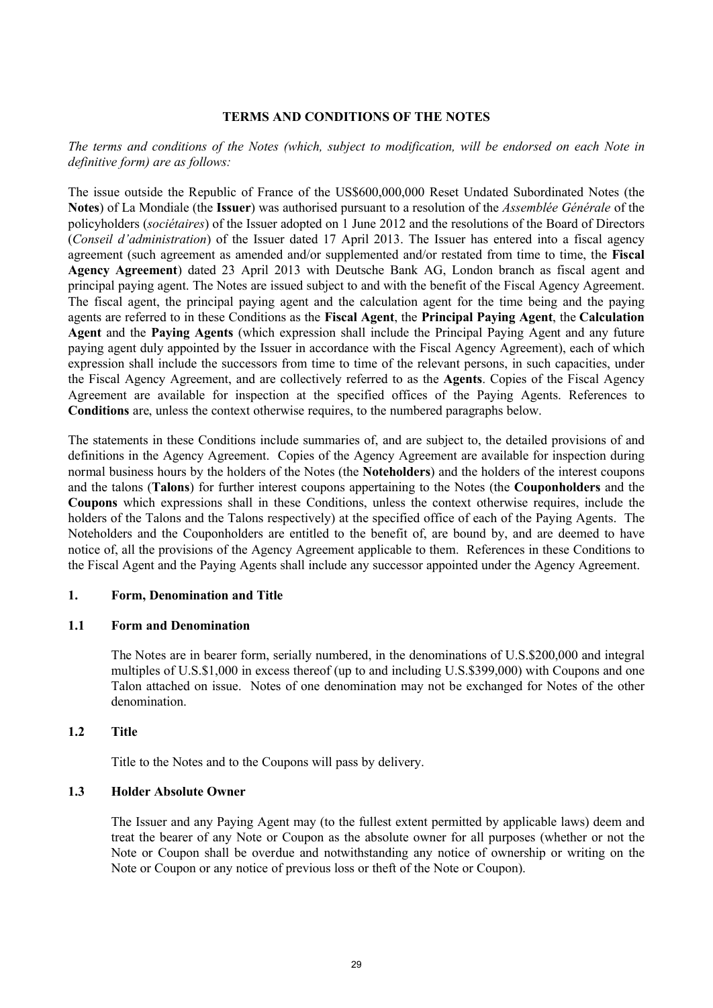# **TERMS AND CONDITIONS OF THE NOTES**

# *The terms and conditions of the Notes (which, subject to modification, will be endorsed on each Note in definitive form) are as follows:*

The issue outside the Republic of France of the US\$600,000,000 Reset Undated Subordinated Notes (the **Notes**) of La Mondiale (the **Issuer**) was authorised pursuant to a resolution of the *Assemblée Générale* of the policyholders (*sociétaires*) of the Issuer adopted on 1 June 2012 and the resolutions of the Board of Directors (*Conseil d'administration*) of the Issuer dated 17 April 2013. The Issuer has entered into a fiscal agency agreement (such agreement as amended and/or supplemented and/or restated from time to time, the **Fiscal Agency Agreement**) dated 23 April 2013 with Deutsche Bank AG, London branch as fiscal agent and principal paying agent. The Notes are issued subject to and with the benefit of the Fiscal Agency Agreement. The fiscal agent, the principal paying agent and the calculation agent for the time being and the paying agents are referred to in these Conditions as the **Fiscal Agent**, the **Principal Paying Agent**, the **Calculation Agent** and the **Paying Agents** (which expression shall include the Principal Paying Agent and any future paying agent duly appointed by the Issuer in accordance with the Fiscal Agency Agreement), each of which expression shall include the successors from time to time of the relevant persons, in such capacities, under the Fiscal Agency Agreement, and are collectively referred to as the **Agents**. Copies of the Fiscal Agency Agreement are available for inspection at the specified offices of the Paying Agents. References to **Conditions** are, unless the context otherwise requires, to the numbered paragraphs below.

The statements in these Conditions include summaries of, and are subject to, the detailed provisions of and definitions in the Agency Agreement. Copies of the Agency Agreement are available for inspection during normal business hours by the holders of the Notes (the **Noteholders**) and the holders of the interest coupons and the talons (**Talons**) for further interest coupons appertaining to the Notes (the **Couponholders** and the **Coupons** which expressions shall in these Conditions, unless the context otherwise requires, include the holders of the Talons and the Talons respectively) at the specified office of each of the Paying Agents. The Noteholders and the Couponholders are entitled to the benefit of, are bound by, and are deemed to have notice of, all the provisions of the Agency Agreement applicable to them. References in these Conditions to the Fiscal Agent and the Paying Agents shall include any successor appointed under the Agency Agreement.

# **1. Form, Denomination and Title**

# **1.1 Form and Denomination**

The Notes are in bearer form, serially numbered, in the denominations of U.S.\$200,000 and integral multiples of U.S.\$1,000 in excess thereof (up to and including U.S.\$399,000) with Coupons and one Talon attached on issue. Notes of one denomination may not be exchanged for Notes of the other denomination.

# **1.2 Title**

Title to the Notes and to the Coupons will pass by delivery.

#### **1.3 Holder Absolute Owner**

The Issuer and any Paying Agent may (to the fullest extent permitted by applicable laws) deem and treat the bearer of any Note or Coupon as the absolute owner for all purposes (whether or not the Note or Coupon shall be overdue and notwithstanding any notice of ownership or writing on the Note or Coupon or any notice of previous loss or theft of the Note or Coupon).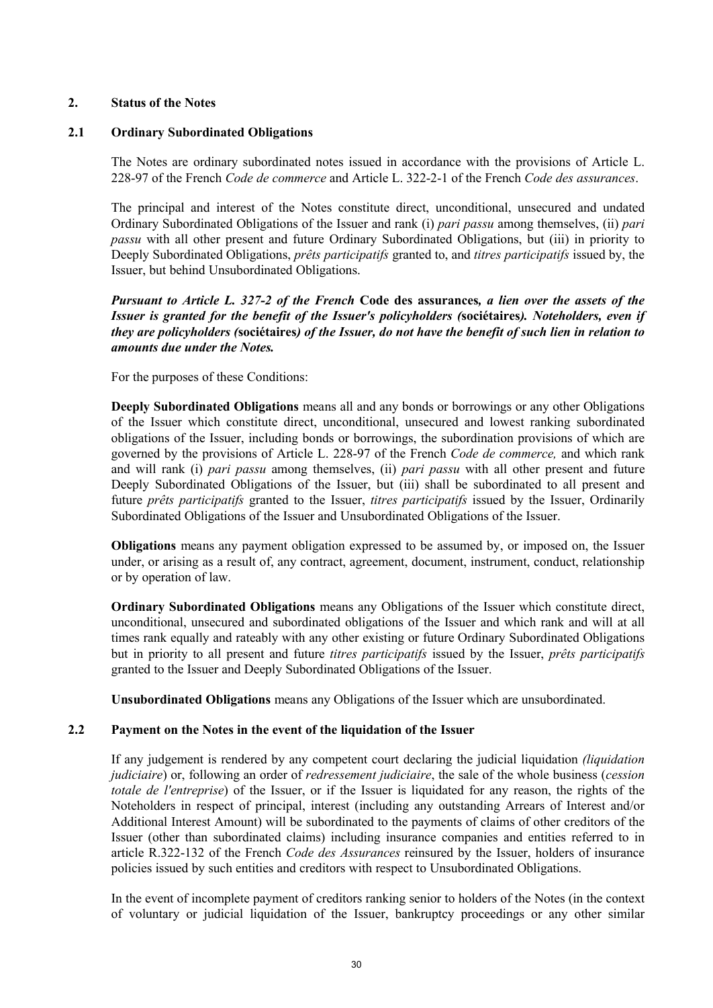# **2. Status of the Notes**

# **2.1 Ordinary Subordinated Obligations**

The Notes are ordinary subordinated notes issued in accordance with the provisions of Article L. 228-97 of the French *Code de commerce* and Article L. 322-2-1 of the French *Code des assurances*.

The principal and interest of the Notes constitute direct, unconditional, unsecured and undated Ordinary Subordinated Obligations of the Issuer and rank (i) *pari passu* among themselves, (ii) *pari passu* with all other present and future Ordinary Subordinated Obligations, but (iii) in priority to Deeply Subordinated Obligations, *prêts participatifs* granted to, and *titres participatifs* issued by, the Issuer, but behind Unsubordinated Obligations.

*Pursuant to Article L. 327-2 of the French* **Code des assurances***, a lien over the assets of the Issuer is granted for the benefit of the Issuer's policyholders (***sociétaires***). Noteholders, even if they are policyholders (***sociétaires***) of the Issuer, do not have the benefit of such lien in relation to amounts due under the Notes.*

For the purposes of these Conditions:

**Deeply Subordinated Obligations** means all and any bonds or borrowings or any other Obligations of the Issuer which constitute direct, unconditional, unsecured and lowest ranking subordinated obligations of the Issuer, including bonds or borrowings, the subordination provisions of which are governed by the provisions of Article L. 228-97 of the French *Code de commerce,* and which rank and will rank (i) *pari passu* among themselves, (ii) *pari passu* with all other present and future Deeply Subordinated Obligations of the Issuer, but (iii) shall be subordinated to all present and future *prêts participatifs* granted to the Issuer, *titres participatifs* issued by the Issuer, Ordinarily Subordinated Obligations of the Issuer and Unsubordinated Obligations of the Issuer.

**Obligations** means any payment obligation expressed to be assumed by, or imposed on, the Issuer under, or arising as a result of, any contract, agreement, document, instrument, conduct, relationship or by operation of law.

**Ordinary Subordinated Obligations** means any Obligations of the Issuer which constitute direct, unconditional, unsecured and subordinated obligations of the Issuer and which rank and will at all times rank equally and rateably with any other existing or future Ordinary Subordinated Obligations but in priority to all present and future *titres participatifs* issued by the Issuer, *prêts participatifs* granted to the Issuer and Deeply Subordinated Obligations of the Issuer.

**Unsubordinated Obligations** means any Obligations of the Issuer which are unsubordinated.

# **2.2 Payment on the Notes in the event of the liquidation of the Issuer**

If any judgement is rendered by any competent court declaring the judicial liquidation *(liquidation judiciaire*) or, following an order of *redressement judiciaire*, the sale of the whole business (*cession totale de l'entreprise*) of the Issuer, or if the Issuer is liquidated for any reason, the rights of the Noteholders in respect of principal, interest (including any outstanding Arrears of Interest and/or Additional Interest Amount) will be subordinated to the payments of claims of other creditors of the Issuer (other than subordinated claims) including insurance companies and entities referred to in article R.322-132 of the French *Code des Assurances* reinsured by the Issuer, holders of insurance policies issued by such entities and creditors with respect to Unsubordinated Obligations.

In the event of incomplete payment of creditors ranking senior to holders of the Notes (in the context of voluntary or judicial liquidation of the Issuer, bankruptcy proceedings or any other similar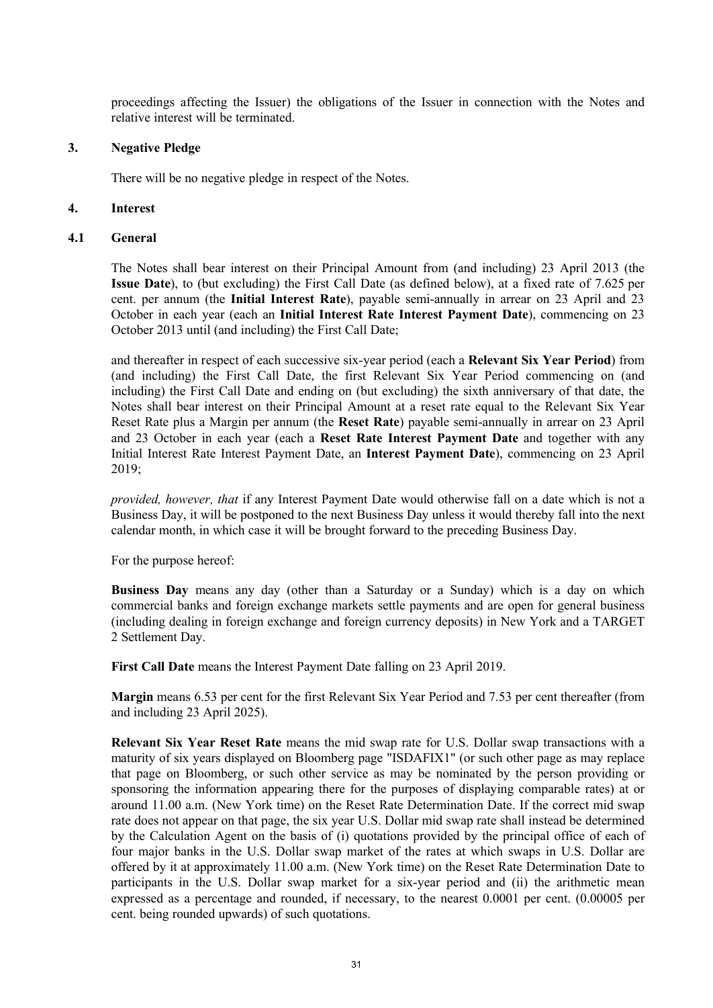proceedings affecting the Issuer) the obligations of the Issuer in connection with the Notes and relative interest will be terminated.

## **3. Negative Pledge**

There will be no negative pledge in respect of the Notes.

## **4. Interest**

### **4.1 General**

The Notes shall bear interest on their Principal Amount from (and including) 23 April 2013 (the **Issue Date**), to (but excluding) the First Call Date (as defined below), at a fixed rate of 7.625 per cent. per annum (the **Initial Interest Rate**), payable semi-annually in arrear on 23 April and 23 October in each year (each an **Initial Interest Rate Interest Payment Date**), commencing on 23 October 2013 until (and including) the First Call Date;

and thereafter in respect of each successive six-year period (each a **Relevant Six Year Period**) from (and including) the First Call Date, the first Relevant Six Year Period commencing on (and including) the First Call Date and ending on (but excluding) the sixth anniversary of that date, the Notes shall bear interest on their Principal Amount at a reset rate equal to the Relevant Six Year Reset Rate plus a Margin per annum (the **Reset Rate**) payable semi-annually in arrear on 23 April and 23 October in each year (each a **Reset Rate Interest Payment Date** and together with any Initial Interest Rate Interest Payment Date, an **Interest Payment Date**), commencing on 23 April 2019;

*provided, however, that* if any Interest Payment Date would otherwise fall on a date which is not a Business Day, it will be postponed to the next Business Day unless it would thereby fall into the next calendar month, in which case it will be brought forward to the preceding Business Day.

For the purpose hereof:

**Business Day** means any day (other than a Saturday or a Sunday) which is a day on which commercial banks and foreign exchange markets settle payments and are open for general business (including dealing in foreign exchange and foreign currency deposits) in New York and a TARGET 2 Settlement Day.

**First Call Date** means the Interest Payment Date falling on 23 April 2019.

**Margin** means 6.53 per cent for the first Relevant Six Year Period and 7.53 per cent thereafter (from and including 23 April 2025).

**Relevant Six Year Reset Rate** means the mid swap rate for U.S. Dollar swap transactions with a maturity of six years displayed on Bloomberg page "ISDAFIX1" (or such other page as may replace that page on Bloomberg, or such other service as may be nominated by the person providing or sponsoring the information appearing there for the purposes of displaying comparable rates) at or around 11.00 a.m. (New York time) on the Reset Rate Determination Date. If the correct mid swap rate does not appear on that page, the six year U.S. Dollar mid swap rate shall instead be determined by the Calculation Agent on the basis of (i) quotations provided by the principal office of each of four major banks in the U.S. Dollar swap market of the rates at which swaps in U.S. Dollar are offered by it at approximately 11.00 a.m. (New York time) on the Reset Rate Determination Date to participants in the U.S. Dollar swap market for a six-year period and (ii) the arithmetic mean expressed as a percentage and rounded, if necessary, to the nearest 0.0001 per cent. (0.00005 per cent. being rounded upwards) of such quotations.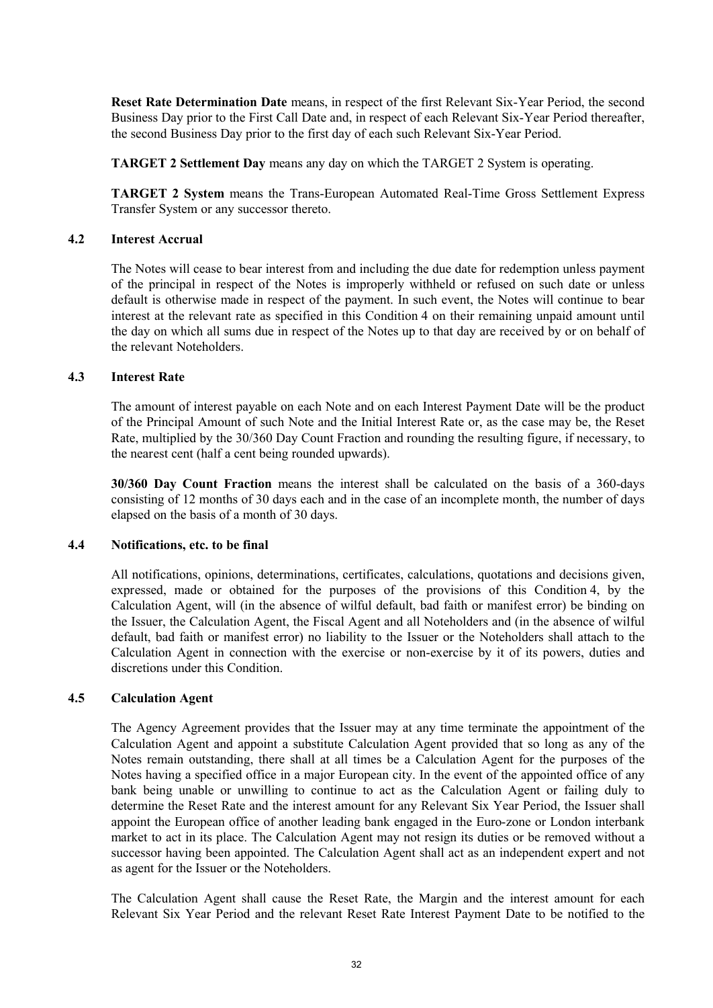**Reset Rate Determination Date** means, in respect of the first Relevant Six-Year Period, the second Business Day prior to the First Call Date and, in respect of each Relevant Six-Year Period thereafter, the second Business Day prior to the first day of each such Relevant Six-Year Period.

**TARGET 2 Settlement Day** means any day on which the TARGET 2 System is operating.

**TARGET 2 System** means the Trans-European Automated Real-Time Gross Settlement Express Transfer System or any successor thereto.

#### **4.2 Interest Accrual**

The Notes will cease to bear interest from and including the due date for redemption unless payment of the principal in respect of the Notes is improperly withheld or refused on such date or unless default is otherwise made in respect of the payment. In such event, the Notes will continue to bear interest at the relevant rate as specified in this Condition 4 on their remaining unpaid amount until the day on which all sums due in respect of the Notes up to that day are received by or on behalf of the relevant Noteholders.

## **4.3 Interest Rate**

The amount of interest payable on each Note and on each Interest Payment Date will be the product of the Principal Amount of such Note and the Initial Interest Rate or, as the case may be, the Reset Rate, multiplied by the 30/360 Day Count Fraction and rounding the resulting figure, if necessary, to the nearest cent (half a cent being rounded upwards).

**30/360 Day Count Fraction** means the interest shall be calculated on the basis of a 360-days consisting of 12 months of 30 days each and in the case of an incomplete month, the number of days elapsed on the basis of a month of 30 days.

#### **4.4 Notifications, etc. to be final**

All notifications, opinions, determinations, certificates, calculations, quotations and decisions given, expressed, made or obtained for the purposes of the provisions of this Condition 4, by the Calculation Agent, will (in the absence of wilful default, bad faith or manifest error) be binding on the Issuer, the Calculation Agent, the Fiscal Agent and all Noteholders and (in the absence of wilful default, bad faith or manifest error) no liability to the Issuer or the Noteholders shall attach to the Calculation Agent in connection with the exercise or non-exercise by it of its powers, duties and discretions under this Condition.

# **4.5 Calculation Agent**

The Agency Agreement provides that the Issuer may at any time terminate the appointment of the Calculation Agent and appoint a substitute Calculation Agent provided that so long as any of the Notes remain outstanding, there shall at all times be a Calculation Agent for the purposes of the Notes having a specified office in a major European city. In the event of the appointed office of any bank being unable or unwilling to continue to act as the Calculation Agent or failing duly to determine the Reset Rate and the interest amount for any Relevant Six Year Period, the Issuer shall appoint the European office of another leading bank engaged in the Euro-zone or London interbank market to act in its place. The Calculation Agent may not resign its duties or be removed without a successor having been appointed. The Calculation Agent shall act as an independent expert and not as agent for the Issuer or the Noteholders.

The Calculation Agent shall cause the Reset Rate, the Margin and the interest amount for each Relevant Six Year Period and the relevant Reset Rate Interest Payment Date to be notified to the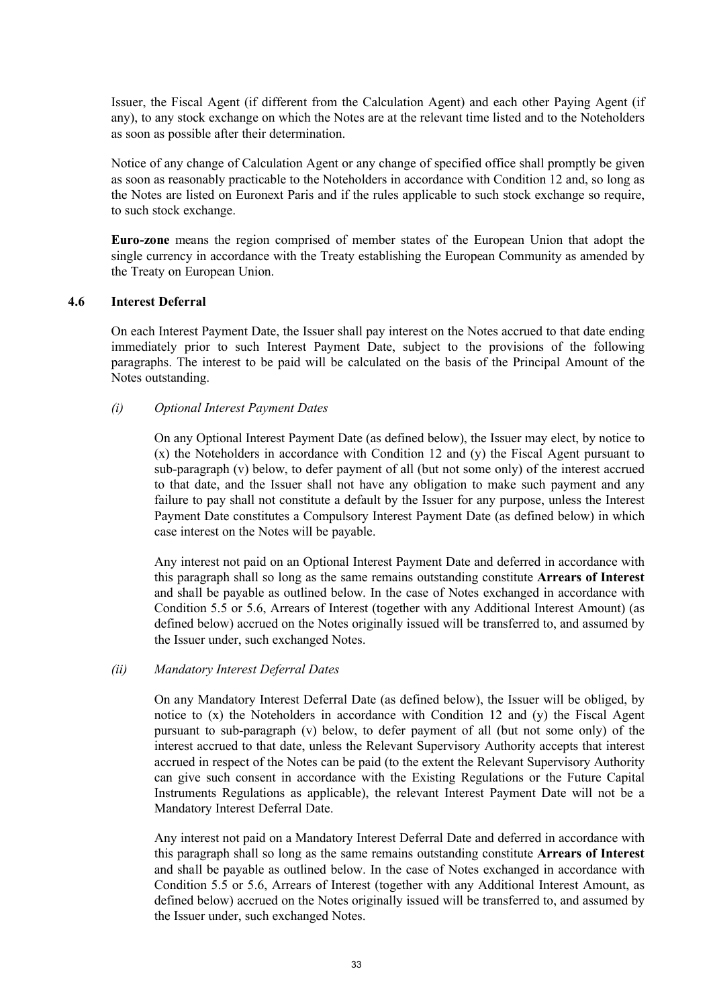Issuer, the Fiscal Agent (if different from the Calculation Agent) and each other Paying Agent (if any), to any stock exchange on which the Notes are at the relevant time listed and to the Noteholders as soon as possible after their determination.

Notice of any change of Calculation Agent or any change of specified office shall promptly be given as soon as reasonably practicable to the Noteholders in accordance with Condition 12 and, so long as the Notes are listed on Euronext Paris and if the rules applicable to such stock exchange so require, to such stock exchange.

**Euro-zone** means the region comprised of member states of the European Union that adopt the single currency in accordance with the Treaty establishing the European Community as amended by the Treaty on European Union.

# **4.6 Interest Deferral**

On each Interest Payment Date, the Issuer shall pay interest on the Notes accrued to that date ending immediately prior to such Interest Payment Date, subject to the provisions of the following paragraphs. The interest to be paid will be calculated on the basis of the Principal Amount of the Notes outstanding.

## *(i) Optional Interest Payment Dates*

On any Optional Interest Payment Date (as defined below), the Issuer may elect, by notice to (x) the Noteholders in accordance with Condition 12 and (y) the Fiscal Agent pursuant to sub-paragraph (v) below, to defer payment of all (but not some only) of the interest accrued to that date, and the Issuer shall not have any obligation to make such payment and any failure to pay shall not constitute a default by the Issuer for any purpose, unless the Interest Payment Date constitutes a Compulsory Interest Payment Date (as defined below) in which case interest on the Notes will be payable.

Any interest not paid on an Optional Interest Payment Date and deferred in accordance with this paragraph shall so long as the same remains outstanding constitute **Arrears of Interest** and shall be payable as outlined below. In the case of Notes exchanged in accordance with Condition 5.5 or 5.6, Arrears of Interest (together with any Additional Interest Amount) (as defined below) accrued on the Notes originally issued will be transferred to, and assumed by the Issuer under, such exchanged Notes.

# *(ii) Mandatory Interest Deferral Dates*

On any Mandatory Interest Deferral Date (as defined below), the Issuer will be obliged, by notice to  $(x)$  the Noteholders in accordance with Condition 12 and  $(y)$  the Fiscal Agent pursuant to sub-paragraph (v) below, to defer payment of all (but not some only) of the interest accrued to that date, unless the Relevant Supervisory Authority accepts that interest accrued in respect of the Notes can be paid (to the extent the Relevant Supervisory Authority can give such consent in accordance with the Existing Regulations or the Future Capital Instruments Regulations as applicable), the relevant Interest Payment Date will not be a Mandatory Interest Deferral Date.

Any interest not paid on a Mandatory Interest Deferral Date and deferred in accordance with this paragraph shall so long as the same remains outstanding constitute **Arrears of Interest** and shall be payable as outlined below. In the case of Notes exchanged in accordance with Condition 5.5 or 5.6, Arrears of Interest (together with any Additional Interest Amount, as defined below) accrued on the Notes originally issued will be transferred to, and assumed by the Issuer under, such exchanged Notes.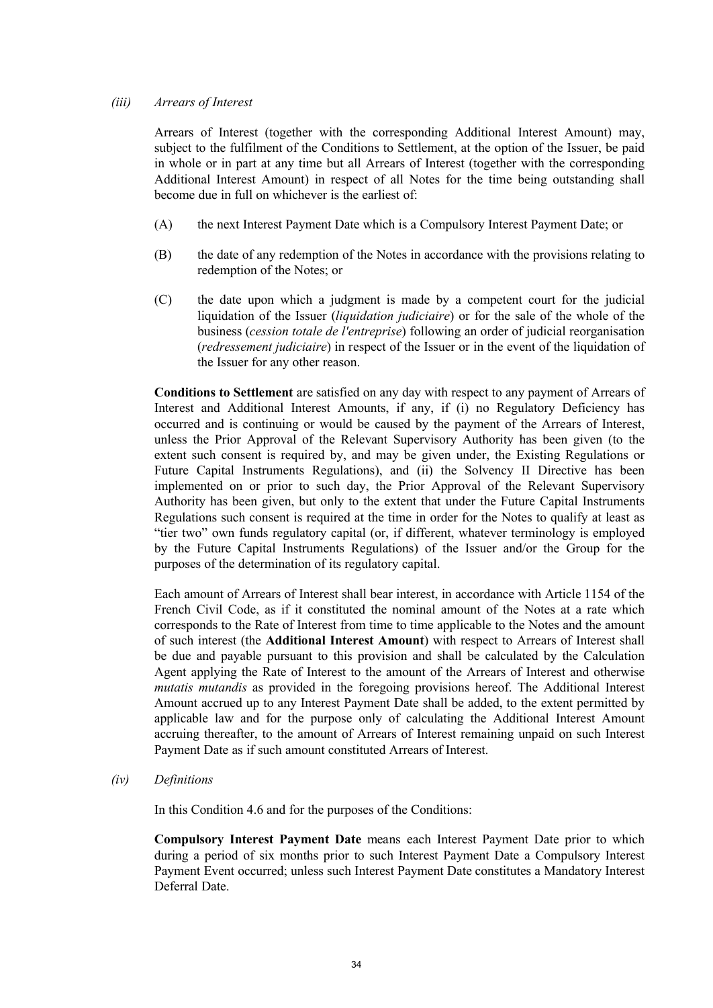### *(iii) Arrears of Interest*

Arrears of Interest (together with the corresponding Additional Interest Amount) may, subject to the fulfilment of the Conditions to Settlement, at the option of the Issuer, be paid in whole or in part at any time but all Arrears of Interest (together with the corresponding Additional Interest Amount) in respect of all Notes for the time being outstanding shall become due in full on whichever is the earliest of:

- (A) the next Interest Payment Date which is a Compulsory Interest Payment Date; or
- (B) the date of any redemption of the Notes in accordance with the provisions relating to redemption of the Notes; or
- (C) the date upon which a judgment is made by a competent court for the judicial liquidation of the Issuer (*liquidation judiciaire*) or for the sale of the whole of the business (*cession totale de l'entreprise*) following an order of judicial reorganisation (*redressement judiciaire*) in respect of the Issuer or in the event of the liquidation of the Issuer for any other reason.

**Conditions to Settlement** are satisfied on any day with respect to any payment of Arrears of Interest and Additional Interest Amounts, if any, if (i) no Regulatory Deficiency has occurred and is continuing or would be caused by the payment of the Arrears of Interest, unless the Prior Approval of the Relevant Supervisory Authority has been given (to the extent such consent is required by, and may be given under, the Existing Regulations or Future Capital Instruments Regulations), and (ii) the Solvency II Directive has been implemented on or prior to such day, the Prior Approval of the Relevant Supervisory Authority has been given, but only to the extent that under the Future Capital Instruments Regulations such consent is required at the time in order for the Notes to qualify at least as "tier two" own funds regulatory capital (or, if different, whatever terminology is employed by the Future Capital Instruments Regulations) of the Issuer and/or the Group for the purposes of the determination of its regulatory capital.

Each amount of Arrears of Interest shall bear interest, in accordance with Article 1154 of the French Civil Code, as if it constituted the nominal amount of the Notes at a rate which corresponds to the Rate of Interest from time to time applicable to the Notes and the amount of such interest (the **Additional Interest Amount**) with respect to Arrears of Interest shall be due and payable pursuant to this provision and shall be calculated by the Calculation Agent applying the Rate of Interest to the amount of the Arrears of Interest and otherwise *mutatis mutandis* as provided in the foregoing provisions hereof. The Additional Interest Amount accrued up to any Interest Payment Date shall be added, to the extent permitted by applicable law and for the purpose only of calculating the Additional Interest Amount accruing thereafter, to the amount of Arrears of Interest remaining unpaid on such Interest Payment Date as if such amount constituted Arrears of Interest.

*(iv) Definitions*

In this Condition 4.6 and for the purposes of the Conditions:

**Compulsory Interest Payment Date** means each Interest Payment Date prior to which during a period of six months prior to such Interest Payment Date a Compulsory Interest Payment Event occurred; unless such Interest Payment Date constitutes a Mandatory Interest Deferral Date.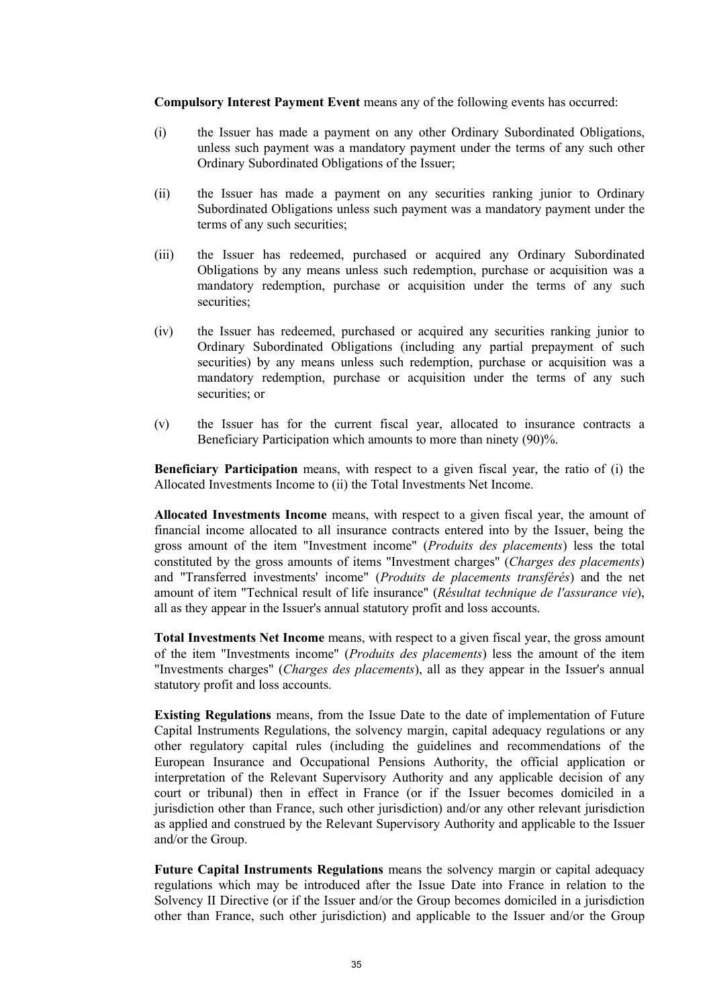**Compulsory Interest Payment Event** means any of the following events has occurred:

- (i) the Issuer has made a payment on any other Ordinary Subordinated Obligations, unless such payment was a mandatory payment under the terms of any such other Ordinary Subordinated Obligations of the Issuer;
- (ii) the Issuer has made a payment on any securities ranking junior to Ordinary Subordinated Obligations unless such payment was a mandatory payment under the terms of any such securities;
- (iii) the Issuer has redeemed, purchased or acquired any Ordinary Subordinated Obligations by any means unless such redemption, purchase or acquisition was a mandatory redemption, purchase or acquisition under the terms of any such securities;
- (iv) the Issuer has redeemed, purchased or acquired any securities ranking junior to Ordinary Subordinated Obligations (including any partial prepayment of such securities) by any means unless such redemption, purchase or acquisition was a mandatory redemption, purchase or acquisition under the terms of any such securities; or
- (v) the Issuer has for the current fiscal year, allocated to insurance contracts a Beneficiary Participation which amounts to more than ninety (90)%.

**Beneficiary Participation** means, with respect to a given fiscal year, the ratio of (i) the Allocated Investments Income to (ii) the Total Investments Net Income.

**Allocated Investments Income** means, with respect to a given fiscal year, the amount of financial income allocated to all insurance contracts entered into by the Issuer, being the gross amount of the item "Investment income" (*Produits des placements*) less the total constituted by the gross amounts of items "Investment charges" (*Charges des placements*) and "Transferred investments' income" (*Produits de placements transférés*) and the net amount of item "Technical result of life insurance" (*Résultat technique de l'assurance vie*), all as they appear in the Issuer's annual statutory profit and loss accounts.

**Total Investments Net Income** means, with respect to a given fiscal year, the gross amount of the item "Investments income" (*Produits des placements*) less the amount of the item "Investments charges" (*Charges des placements*), all as they appear in the Issuer's annual statutory profit and loss accounts.

**Existing Regulations** means, from the Issue Date to the date of implementation of Future Capital Instruments Regulations, the solvency margin, capital adequacy regulations or any other regulatory capital rules (including the guidelines and recommendations of the European Insurance and Occupational Pensions Authority, the official application or interpretation of the Relevant Supervisory Authority and any applicable decision of any court or tribunal) then in effect in France (or if the Issuer becomes domiciled in a jurisdiction other than France, such other jurisdiction) and/or any other relevant jurisdiction as applied and construed by the Relevant Supervisory Authority and applicable to the Issuer and/or the Group.

**Future Capital Instruments Regulations** means the solvency margin or capital adequacy regulations which may be introduced after the Issue Date into France in relation to the Solvency II Directive (or if the Issuer and/or the Group becomes domiciled in a jurisdiction other than France, such other jurisdiction) and applicable to the Issuer and/or the Group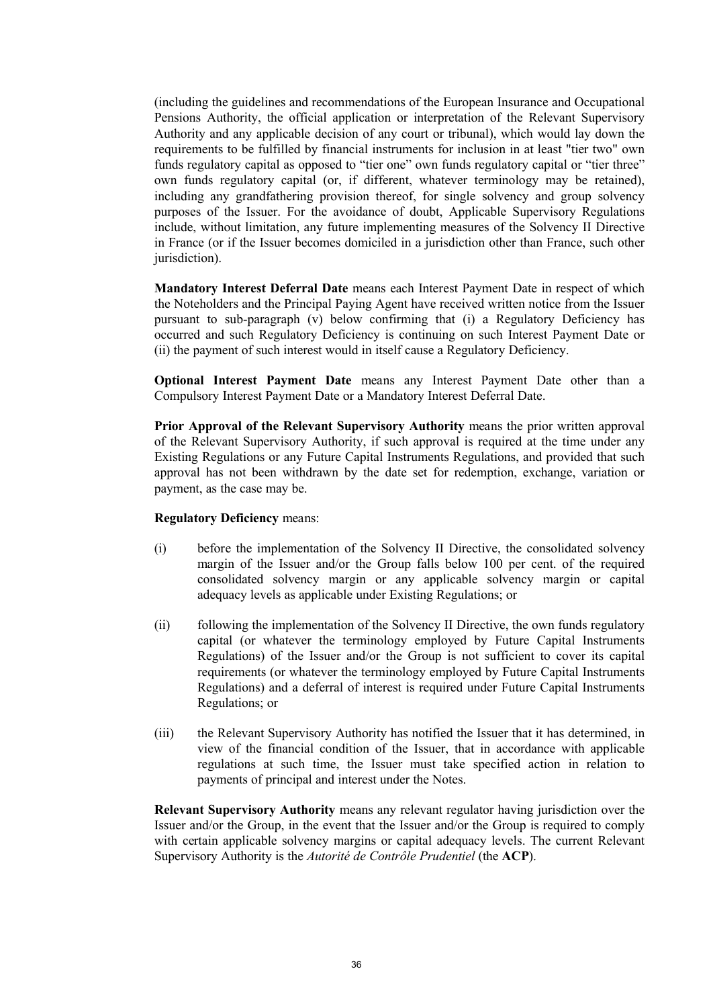(including the guidelines and recommendations of the European Insurance and Occupational Pensions Authority, the official application or interpretation of the Relevant Supervisory Authority and any applicable decision of any court or tribunal), which would lay down the requirements to be fulfilled by financial instruments for inclusion in at least "tier two" own funds regulatory capital as opposed to "tier one" own funds regulatory capital or "tier three" own funds regulatory capital (or, if different, whatever terminology may be retained), including any grandfathering provision thereof, for single solvency and group solvency purposes of the Issuer. For the avoidance of doubt, Applicable Supervisory Regulations include, without limitation, any future implementing measures of the Solvency II Directive in France (or if the Issuer becomes domiciled in a jurisdiction other than France, such other jurisdiction).

**Mandatory Interest Deferral Date** means each Interest Payment Date in respect of which the Noteholders and the Principal Paying Agent have received written notice from the Issuer pursuant to sub-paragraph (v) below confirming that (i) a Regulatory Deficiency has occurred and such Regulatory Deficiency is continuing on such Interest Payment Date or (ii) the payment of such interest would in itself cause a Regulatory Deficiency.

**Optional Interest Payment Date** means any Interest Payment Date other than a Compulsory Interest Payment Date or a Mandatory Interest Deferral Date.

**Prior Approval of the Relevant Supervisory Authority** means the prior written approval of the Relevant Supervisory Authority, if such approval is required at the time under any Existing Regulations or any Future Capital Instruments Regulations, and provided that such approval has not been withdrawn by the date set for redemption, exchange, variation or payment, as the case may be.

#### **Regulatory Deficiency** means:

- (i) before the implementation of the Solvency II Directive, the consolidated solvency margin of the Issuer and/or the Group falls below 100 per cent. of the required consolidated solvency margin or any applicable solvency margin or capital adequacy levels as applicable under Existing Regulations; or
- (ii) following the implementation of the Solvency II Directive, the own funds regulatory capital (or whatever the terminology employed by Future Capital Instruments Regulations) of the Issuer and/or the Group is not sufficient to cover its capital requirements (or whatever the terminology employed by Future Capital Instruments Regulations) and a deferral of interest is required under Future Capital Instruments Regulations; or
- (iii) the Relevant Supervisory Authority has notified the Issuer that it has determined, in view of the financial condition of the Issuer, that in accordance with applicable regulations at such time, the Issuer must take specified action in relation to payments of principal and interest under the Notes.

**Relevant Supervisory Authority** means any relevant regulator having jurisdiction over the Issuer and/or the Group, in the event that the Issuer and/or the Group is required to comply with certain applicable solvency margins or capital adequacy levels. The current Relevant Supervisory Authority is the *Autorité de Contrôle Prudentiel* (the **ACP**).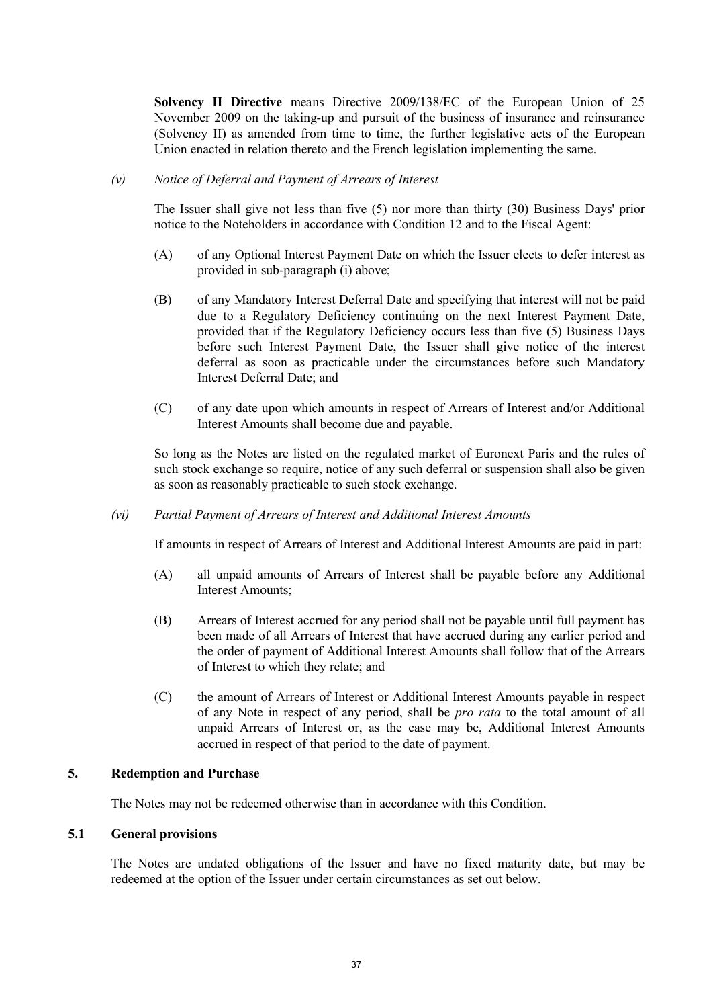**Solvency II Directive** means Directive 2009/138/EC of the European Union of 25 November 2009 on the taking-up and pursuit of the business of insurance and reinsurance (Solvency II) as amended from time to time, the further legislative acts of the European Union enacted in relation thereto and the French legislation implementing the same.

#### *(v) Notice of Deferral and Payment of Arrears of Interest*

The Issuer shall give not less than five (5) nor more than thirty (30) Business Days' prior notice to the Noteholders in accordance with Condition 12 and to the Fiscal Agent:

- (A) of any Optional Interest Payment Date on which the Issuer elects to defer interest as provided in sub-paragraph (i) above;
- (B) of any Mandatory Interest Deferral Date and specifying that interest will not be paid due to a Regulatory Deficiency continuing on the next Interest Payment Date, provided that if the Regulatory Deficiency occurs less than five (5) Business Days before such Interest Payment Date, the Issuer shall give notice of the interest deferral as soon as practicable under the circumstances before such Mandatory Interest Deferral Date; and
- (C) of any date upon which amounts in respect of Arrears of Interest and/or Additional Interest Amounts shall become due and payable.

So long as the Notes are listed on the regulated market of Euronext Paris and the rules of such stock exchange so require, notice of any such deferral or suspension shall also be given as soon as reasonably practicable to such stock exchange.

#### *(vi) Partial Payment of Arrears of Interest and Additional Interest Amounts*

If amounts in respect of Arrears of Interest and Additional Interest Amounts are paid in part:

- (A) all unpaid amounts of Arrears of Interest shall be payable before any Additional Interest Amounts;
- (B) Arrears of Interest accrued for any period shall not be payable until full payment has been made of all Arrears of Interest that have accrued during any earlier period and the order of payment of Additional Interest Amounts shall follow that of the Arrears of Interest to which they relate; and
- (C) the amount of Arrears of Interest or Additional Interest Amounts payable in respect of any Note in respect of any period, shall be *pro rata* to the total amount of all unpaid Arrears of Interest or, as the case may be, Additional Interest Amounts accrued in respect of that period to the date of payment.

### **5. Redemption and Purchase**

The Notes may not be redeemed otherwise than in accordance with this Condition.

### **5.1 General provisions**

The Notes are undated obligations of the Issuer and have no fixed maturity date, but may be redeemed at the option of the Issuer under certain circumstances as set out below.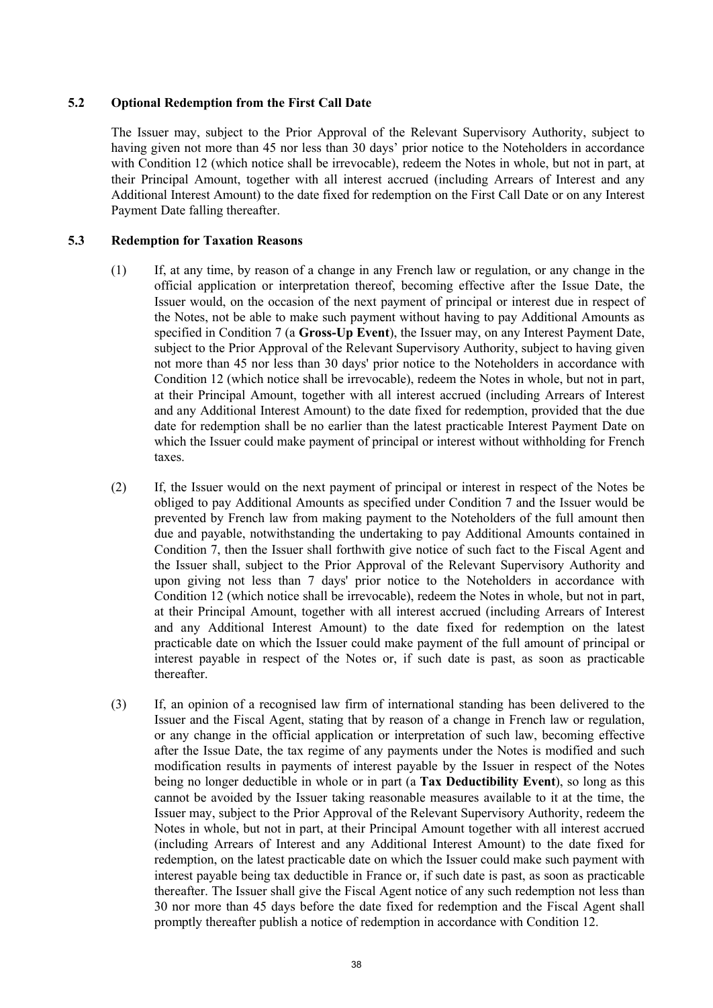# **5.2 Optional Redemption from the First Call Date**

The Issuer may, subject to the Prior Approval of the Relevant Supervisory Authority, subject to having given not more than 45 nor less than 30 days' prior notice to the Noteholders in accordance with Condition 12 (which notice shall be irrevocable), redeem the Notes in whole, but not in part, at their Principal Amount, together with all interest accrued (including Arrears of Interest and any Additional Interest Amount) to the date fixed for redemption on the First Call Date or on any Interest Payment Date falling thereafter.

# **5.3 Redemption for Taxation Reasons**

- (1) If, at any time, by reason of a change in any French law or regulation, or any change in the official application or interpretation thereof, becoming effective after the Issue Date, the Issuer would, on the occasion of the next payment of principal or interest due in respect of the Notes, not be able to make such payment without having to pay Additional Amounts as specified in Condition 7 (a **Gross-Up Event**), the Issuer may, on any Interest Payment Date, subject to the Prior Approval of the Relevant Supervisory Authority, subject to having given not more than 45 nor less than 30 days' prior notice to the Noteholders in accordance with Condition 12 (which notice shall be irrevocable), redeem the Notes in whole, but not in part, at their Principal Amount, together with all interest accrued (including Arrears of Interest and any Additional Interest Amount) to the date fixed for redemption, provided that the due date for redemption shall be no earlier than the latest practicable Interest Payment Date on which the Issuer could make payment of principal or interest without withholding for French taxes.
- (2) If, the Issuer would on the next payment of principal or interest in respect of the Notes be obliged to pay Additional Amounts as specified under Condition 7 and the Issuer would be prevented by French law from making payment to the Noteholders of the full amount then due and payable, notwithstanding the undertaking to pay Additional Amounts contained in Condition 7, then the Issuer shall forthwith give notice of such fact to the Fiscal Agent and the Issuer shall, subject to the Prior Approval of the Relevant Supervisory Authority and upon giving not less than 7 days' prior notice to the Noteholders in accordance with Condition 12 (which notice shall be irrevocable), redeem the Notes in whole, but not in part, at their Principal Amount, together with all interest accrued (including Arrears of Interest and any Additional Interest Amount) to the date fixed for redemption on the latest practicable date on which the Issuer could make payment of the full amount of principal or interest payable in respect of the Notes or, if such date is past, as soon as practicable thereafter.
- (3) If, an opinion of a recognised law firm of international standing has been delivered to the Issuer and the Fiscal Agent, stating that by reason of a change in French law or regulation, or any change in the official application or interpretation of such law, becoming effective after the Issue Date, the tax regime of any payments under the Notes is modified and such modification results in payments of interest payable by the Issuer in respect of the Notes being no longer deductible in whole or in part (a **Tax Deductibility Event**), so long as this cannot be avoided by the Issuer taking reasonable measures available to it at the time, the Issuer may, subject to the Prior Approval of the Relevant Supervisory Authority, redeem the Notes in whole, but not in part, at their Principal Amount together with all interest accrued (including Arrears of Interest and any Additional Interest Amount) to the date fixed for redemption, on the latest practicable date on which the Issuer could make such payment with interest payable being tax deductible in France or, if such date is past, as soon as practicable thereafter. The Issuer shall give the Fiscal Agent notice of any such redemption not less than 30 nor more than 45 days before the date fixed for redemption and the Fiscal Agent shall promptly thereafter publish a notice of redemption in accordance with Condition 12.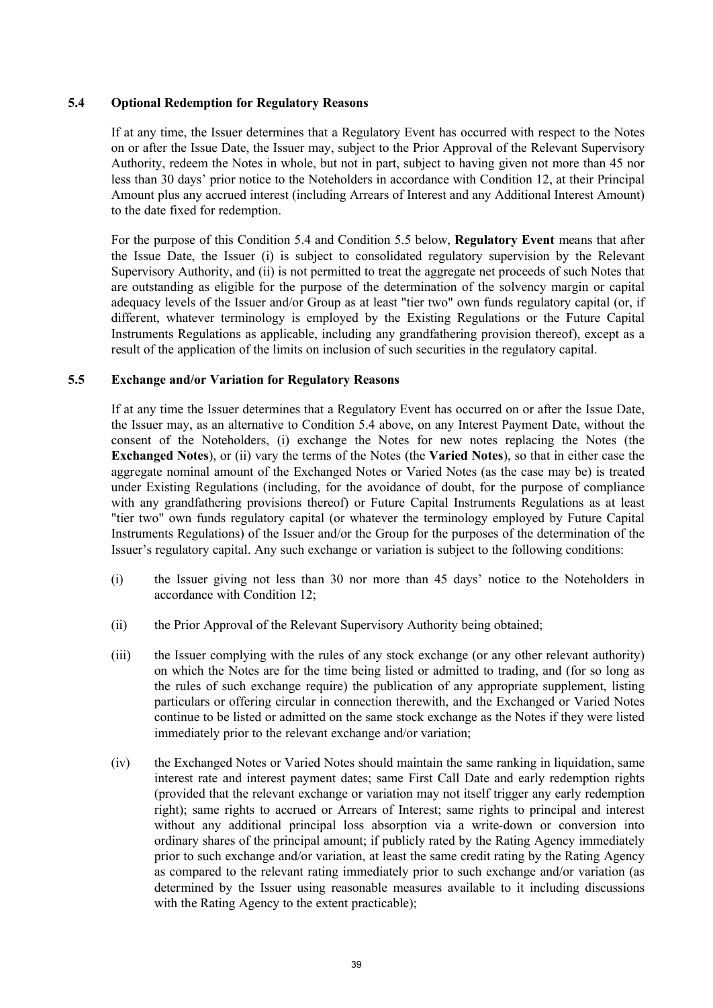### **5.4 Optional Redemption for Regulatory Reasons**

If at any time, the Issuer determines that a Regulatory Event has occurred with respect to the Notes on or after the Issue Date, the Issuer may, subject to the Prior Approval of the Relevant Supervisory Authority, redeem the Notes in whole, but not in part, subject to having given not more than 45 nor less than 30 days' prior notice to the Noteholders in accordance with Condition 12, at their Principal Amount plus any accrued interest (including Arrears of Interest and any Additional Interest Amount) to the date fixed for redemption.

For the purpose of this Condition 5.4 and Condition 5.5 below, **Regulatory Event** means that after the Issue Date, the Issuer (i) is subject to consolidated regulatory supervision by the Relevant Supervisory Authority, and (ii) is not permitted to treat the aggregate net proceeds of such Notes that are outstanding as eligible for the purpose of the determination of the solvency margin or capital adequacy levels of the Issuer and/or Group as at least "tier two" own funds regulatory capital (or, if different, whatever terminology is employed by the Existing Regulations or the Future Capital Instruments Regulations as applicable, including any grandfathering provision thereof), except as a result of the application of the limits on inclusion of such securities in the regulatory capital.

# **5.5 Exchange and/or Variation for Regulatory Reasons**

If at any time the Issuer determines that a Regulatory Event has occurred on or after the Issue Date, the Issuer may, as an alternative to Condition 5.4 above, on any Interest Payment Date, without the consent of the Noteholders, (i) exchange the Notes for new notes replacing the Notes (the **Exchanged Notes**), or (ii) vary the terms of the Notes (the **Varied Notes**), so that in either case the aggregate nominal amount of the Exchanged Notes or Varied Notes (as the case may be) is treated under Existing Regulations (including, for the avoidance of doubt, for the purpose of compliance with any grandfathering provisions thereof) or Future Capital Instruments Regulations as at least "tier two" own funds regulatory capital (or whatever the terminology employed by Future Capital Instruments Regulations) of the Issuer and/or the Group for the purposes of the determination of the Issuer's regulatory capital. Any such exchange or variation is subject to the following conditions:

- (i) the Issuer giving not less than 30 nor more than 45 days' notice to the Noteholders in accordance with Condition 12;
- (ii) the Prior Approval of the Relevant Supervisory Authority being obtained;
- (iii) the Issuer complying with the rules of any stock exchange (or any other relevant authority) on which the Notes are for the time being listed or admitted to trading, and (for so long as the rules of such exchange require) the publication of any appropriate supplement, listing particulars or offering circular in connection therewith, and the Exchanged or Varied Notes continue to be listed or admitted on the same stock exchange as the Notes if they were listed immediately prior to the relevant exchange and/or variation;
- (iv) the Exchanged Notes or Varied Notes should maintain the same ranking in liquidation, same interest rate and interest payment dates; same First Call Date and early redemption rights (provided that the relevant exchange or variation may not itself trigger any early redemption right); same rights to accrued or Arrears of Interest; same rights to principal and interest without any additional principal loss absorption via a write-down or conversion into ordinary shares of the principal amount; if publicly rated by the Rating Agency immediately prior to such exchange and/or variation, at least the same credit rating by the Rating Agency as compared to the relevant rating immediately prior to such exchange and/or variation (as determined by the Issuer using reasonable measures available to it including discussions with the Rating Agency to the extent practicable);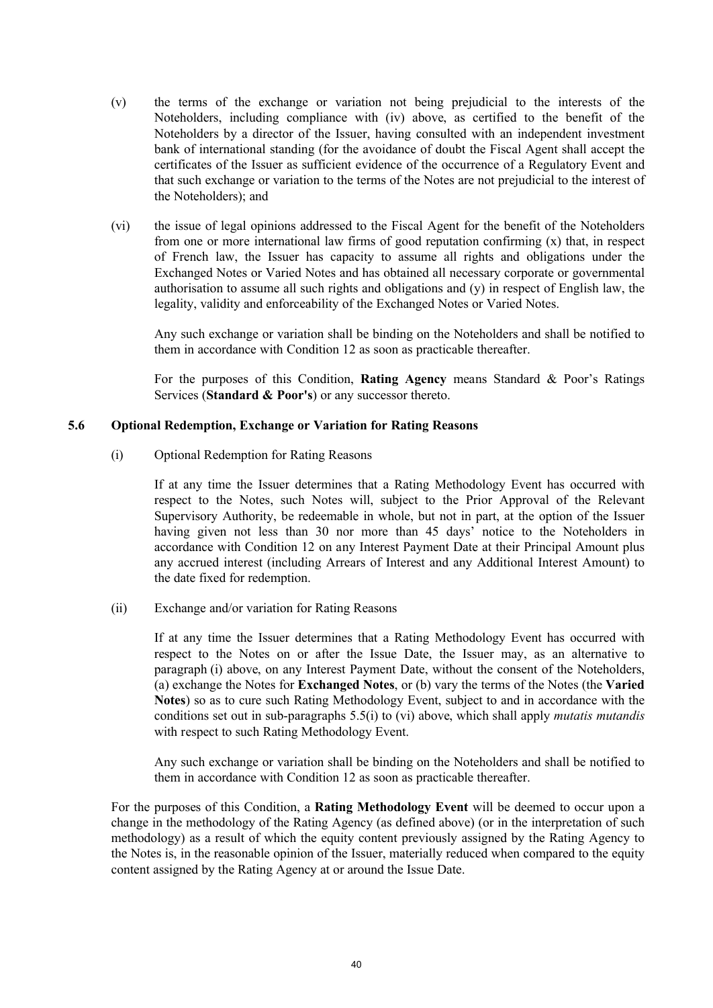- (v) the terms of the exchange or variation not being prejudicial to the interests of the Noteholders, including compliance with (iv) above, as certified to the benefit of the Noteholders by a director of the Issuer, having consulted with an independent investment bank of international standing (for the avoidance of doubt the Fiscal Agent shall accept the certificates of the Issuer as sufficient evidence of the occurrence of a Regulatory Event and that such exchange or variation to the terms of the Notes are not prejudicial to the interest of the Noteholders); and
- (vi) the issue of legal opinions addressed to the Fiscal Agent for the benefit of the Noteholders from one or more international law firms of good reputation confirming  $(x)$  that, in respect of French law, the Issuer has capacity to assume all rights and obligations under the Exchanged Notes or Varied Notes and has obtained all necessary corporate or governmental authorisation to assume all such rights and obligations and (y) in respect of English law, the legality, validity and enforceability of the Exchanged Notes or Varied Notes.

Any such exchange or variation shall be binding on the Noteholders and shall be notified to them in accordance with Condition 12 as soon as practicable thereafter.

For the purposes of this Condition, **Rating Agency** means Standard & Poor's Ratings Services (**Standard & Poor's**) or any successor thereto.

### **5.6 Optional Redemption, Exchange or Variation for Rating Reasons**

(i) Optional Redemption for Rating Reasons

If at any time the Issuer determines that a Rating Methodology Event has occurred with respect to the Notes, such Notes will, subject to the Prior Approval of the Relevant Supervisory Authority, be redeemable in whole, but not in part, at the option of the Issuer having given not less than 30 nor more than 45 days' notice to the Noteholders in accordance with Condition 12 on any Interest Payment Date at their Principal Amount plus any accrued interest (including Arrears of Interest and any Additional Interest Amount) to the date fixed for redemption.

(ii) Exchange and/or variation for Rating Reasons

If at any time the Issuer determines that a Rating Methodology Event has occurred with respect to the Notes on or after the Issue Date, the Issuer may, as an alternative to paragraph (i) above, on any Interest Payment Date, without the consent of the Noteholders, (a) exchange the Notes for **Exchanged Notes**, or (b) vary the terms of the Notes (the **Varied Notes**) so as to cure such Rating Methodology Event, subject to and in accordance with the conditions set out in sub-paragraphs 5.5(i) to (vi) above, which shall apply *mutatis mutandis* with respect to such Rating Methodology Event.

Any such exchange or variation shall be binding on the Noteholders and shall be notified to them in accordance with Condition 12 as soon as practicable thereafter.

For the purposes of this Condition, a **Rating Methodology Event** will be deemed to occur upon a change in the methodology of the Rating Agency (as defined above) (or in the interpretation of such methodology) as a result of which the equity content previously assigned by the Rating Agency to the Notes is, in the reasonable opinion of the Issuer, materially reduced when compared to the equity content assigned by the Rating Agency at or around the Issue Date.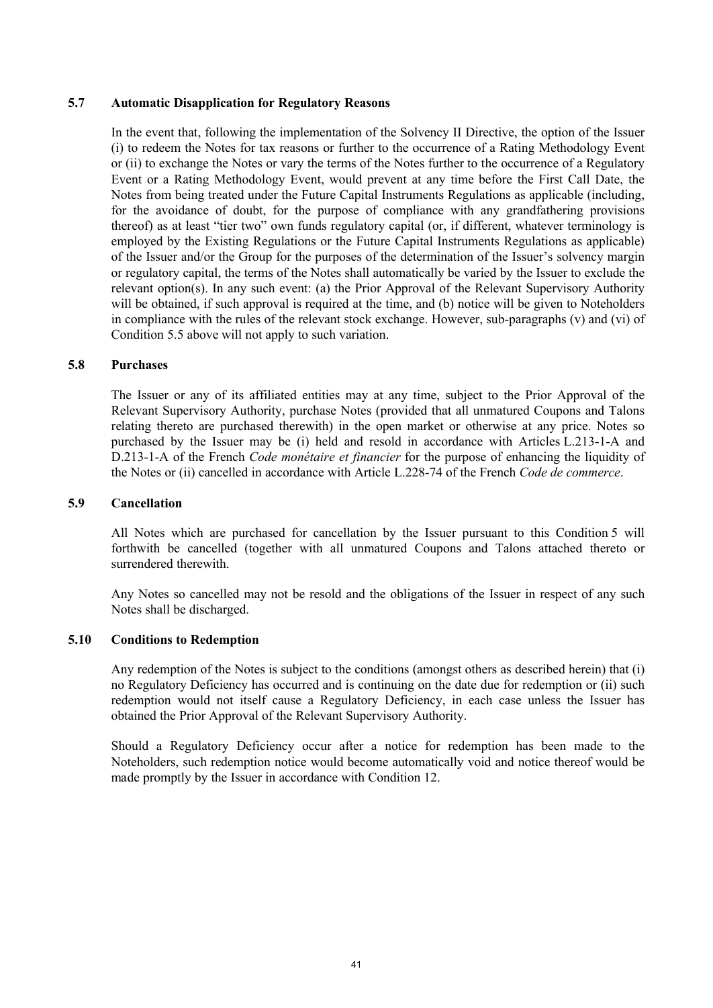#### **5.7 Automatic Disapplication for Regulatory Reasons**

In the event that, following the implementation of the Solvency II Directive, the option of the Issuer (i) to redeem the Notes for tax reasons or further to the occurrence of a Rating Methodology Event or (ii) to exchange the Notes or vary the terms of the Notes further to the occurrence of a Regulatory Event or a Rating Methodology Event, would prevent at any time before the First Call Date, the Notes from being treated under the Future Capital Instruments Regulations as applicable (including, for the avoidance of doubt, for the purpose of compliance with any grandfathering provisions thereof) as at least "tier two" own funds regulatory capital (or, if different, whatever terminology is employed by the Existing Regulations or the Future Capital Instruments Regulations as applicable) of the Issuer and/or the Group for the purposes of the determination of the Issuer's solvency margin or regulatory capital, the terms of the Notes shall automatically be varied by the Issuer to exclude the relevant option(s). In any such event: (a) the Prior Approval of the Relevant Supervisory Authority will be obtained, if such approval is required at the time, and (b) notice will be given to Noteholders in compliance with the rules of the relevant stock exchange. However, sub-paragraphs (v) and (vi) of Condition 5.5 above will not apply to such variation.

#### **5.8 Purchases**

The Issuer or any of its affiliated entities may at any time, subject to the Prior Approval of the Relevant Supervisory Authority, purchase Notes (provided that all unmatured Coupons and Talons relating thereto are purchased therewith) in the open market or otherwise at any price. Notes so purchased by the Issuer may be (i) held and resold in accordance with Articles L.213-1-A and D.213-1-A of the French *Code monétaire et financier* for the purpose of enhancing the liquidity of the Notes or (ii) cancelled in accordance with Article L.228-74 of the French *Code de commerce*.

# **5.9 Cancellation**

All Notes which are purchased for cancellation by the Issuer pursuant to this Condition 5 will forthwith be cancelled (together with all unmatured Coupons and Talons attached thereto or surrendered therewith.

Any Notes so cancelled may not be resold and the obligations of the Issuer in respect of any such Notes shall be discharged.

### **5.10 Conditions to Redemption**

Any redemption of the Notes is subject to the conditions (amongst others as described herein) that (i) no Regulatory Deficiency has occurred and is continuing on the date due for redemption or (ii) such redemption would not itself cause a Regulatory Deficiency, in each case unless the Issuer has obtained the Prior Approval of the Relevant Supervisory Authority.

Should a Regulatory Deficiency occur after a notice for redemption has been made to the Noteholders, such redemption notice would become automatically void and notice thereof would be made promptly by the Issuer in accordance with Condition 12.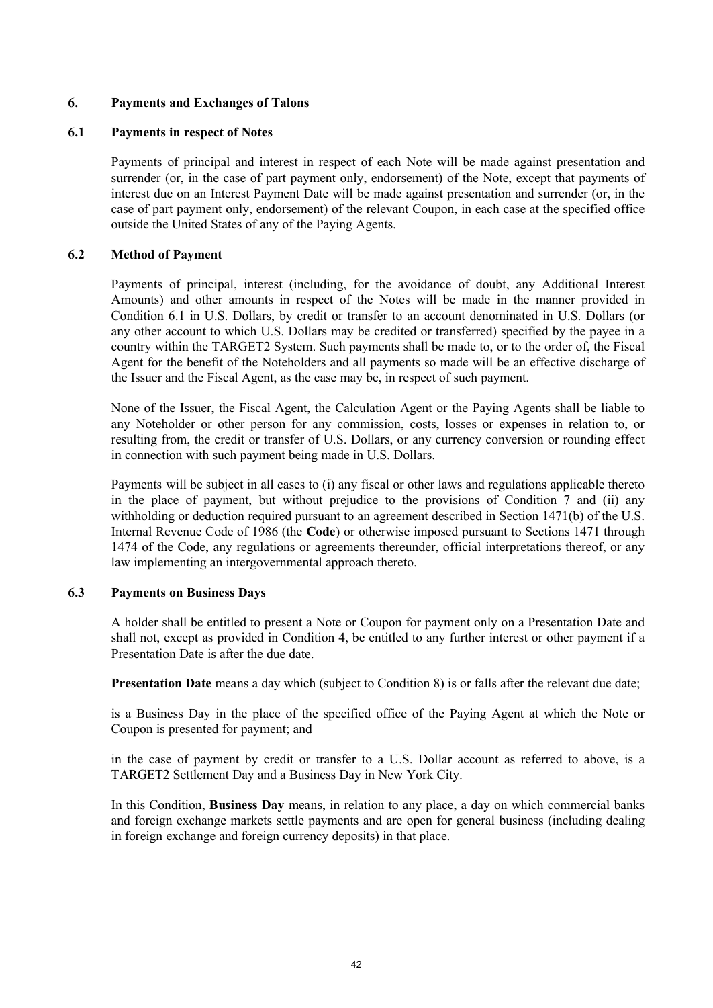# **6. Payments and Exchanges of Talons**

### **6.1 Payments in respect of Notes**

Payments of principal and interest in respect of each Note will be made against presentation and surrender (or, in the case of part payment only, endorsement) of the Note, except that payments of interest due on an Interest Payment Date will be made against presentation and surrender (or, in the case of part payment only, endorsement) of the relevant Coupon, in each case at the specified office outside the United States of any of the Paying Agents.

# **6.2 Method of Payment**

Payments of principal, interest (including, for the avoidance of doubt, any Additional Interest Amounts) and other amounts in respect of the Notes will be made in the manner provided in Condition 6.1 in U.S. Dollars, by credit or transfer to an account denominated in U.S. Dollars (or any other account to which U.S. Dollars may be credited or transferred) specified by the payee in a country within the TARGET2 System. Such payments shall be made to, or to the order of, the Fiscal Agent for the benefit of the Noteholders and all payments so made will be an effective discharge of the Issuer and the Fiscal Agent, as the case may be, in respect of such payment.

None of the Issuer, the Fiscal Agent, the Calculation Agent or the Paying Agents shall be liable to any Noteholder or other person for any commission, costs, losses or expenses in relation to, or resulting from, the credit or transfer of U.S. Dollars, or any currency conversion or rounding effect in connection with such payment being made in U.S. Dollars.

Payments will be subject in all cases to (i) any fiscal or other laws and regulations applicable thereto in the place of payment, but without prejudice to the provisions of Condition 7 and (ii) any withholding or deduction required pursuant to an agreement described in Section 1471(b) of the U.S. Internal Revenue Code of 1986 (the **Code**) or otherwise imposed pursuant to Sections 1471 through 1474 of the Code, any regulations or agreements thereunder, official interpretations thereof, or any law implementing an intergovernmental approach thereto.

### **6.3 Payments on Business Days**

A holder shall be entitled to present a Note or Coupon for payment only on a Presentation Date and shall not, except as provided in Condition 4, be entitled to any further interest or other payment if a Presentation Date is after the due date.

**Presentation Date** means a day which (subject to Condition 8) is or falls after the relevant due date;

is a Business Day in the place of the specified office of the Paying Agent at which the Note or Coupon is presented for payment; and

in the case of payment by credit or transfer to a U.S. Dollar account as referred to above, is a TARGET2 Settlement Day and a Business Day in New York City.

In this Condition, **Business Day** means, in relation to any place, a day on which commercial banks and foreign exchange markets settle payments and are open for general business (including dealing in foreign exchange and foreign currency deposits) in that place.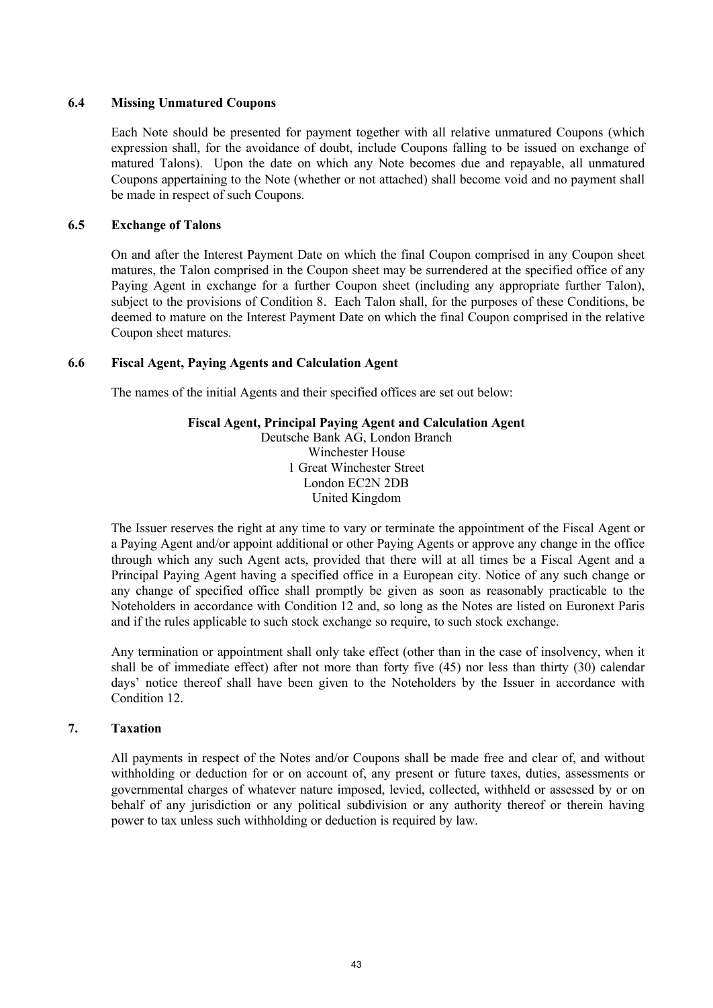# **6.4 Missing Unmatured Coupons**

Each Note should be presented for payment together with all relative unmatured Coupons (which expression shall, for the avoidance of doubt, include Coupons falling to be issued on exchange of matured Talons). Upon the date on which any Note becomes due and repayable, all unmatured Coupons appertaining to the Note (whether or not attached) shall become void and no payment shall be made in respect of such Coupons.

# **6.5 Exchange of Talons**

On and after the Interest Payment Date on which the final Coupon comprised in any Coupon sheet matures, the Talon comprised in the Coupon sheet may be surrendered at the specified office of any Paying Agent in exchange for a further Coupon sheet (including any appropriate further Talon), subject to the provisions of Condition 8. Each Talon shall, for the purposes of these Conditions, be deemed to mature on the Interest Payment Date on which the final Coupon comprised in the relative Coupon sheet matures.

# **6.6 Fiscal Agent, Paying Agents and Calculation Agent**

The names of the initial Agents and their specified offices are set out below:

# **Fiscal Agent, Principal Paying Agent and Calculation Agent**

Deutsche Bank AG, London Branch Winchester House 1 Great Winchester Street London EC2N 2DB United Kingdom

The Issuer reserves the right at any time to vary or terminate the appointment of the Fiscal Agent or a Paying Agent and/or appoint additional or other Paying Agents or approve any change in the office through which any such Agent acts, provided that there will at all times be a Fiscal Agent and a Principal Paying Agent having a specified office in a European city. Notice of any such change or any change of specified office shall promptly be given as soon as reasonably practicable to the Noteholders in accordance with Condition 12 and, so long as the Notes are listed on Euronext Paris and if the rules applicable to such stock exchange so require, to such stock exchange.

Any termination or appointment shall only take effect (other than in the case of insolvency, when it shall be of immediate effect) after not more than forty five (45) nor less than thirty (30) calendar days' notice thereof shall have been given to the Noteholders by the Issuer in accordance with Condition 12.

# **7. Taxation**

All payments in respect of the Notes and/or Coupons shall be made free and clear of, and without withholding or deduction for or on account of, any present or future taxes, duties, assessments or governmental charges of whatever nature imposed, levied, collected, withheld or assessed by or on behalf of any jurisdiction or any political subdivision or any authority thereof or therein having power to tax unless such withholding or deduction is required by law.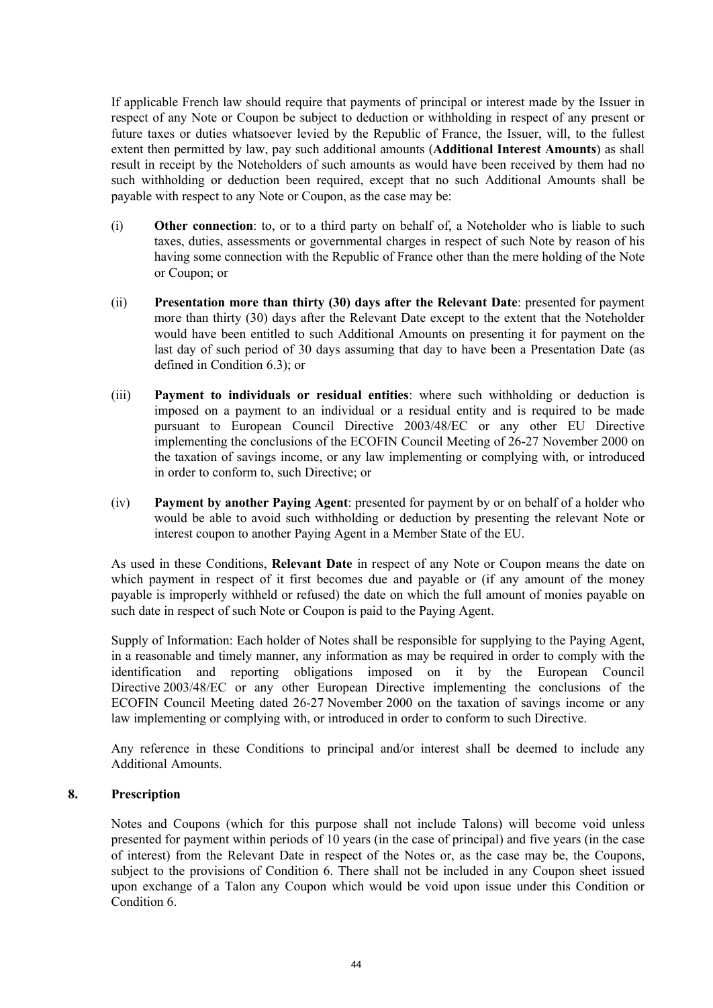If applicable French law should require that payments of principal or interest made by the Issuer in respect of any Note or Coupon be subject to deduction or withholding in respect of any present or future taxes or duties whatsoever levied by the Republic of France, the Issuer, will, to the fullest extent then permitted by law, pay such additional amounts (**Additional Interest Amounts**) as shall result in receipt by the Noteholders of such amounts as would have been received by them had no such withholding or deduction been required, except that no such Additional Amounts shall be payable with respect to any Note or Coupon, as the case may be:

- (i) **Other connection**: to, or to a third party on behalf of, a Noteholder who is liable to such taxes, duties, assessments or governmental charges in respect of such Note by reason of his having some connection with the Republic of France other than the mere holding of the Note or Coupon; or
- (ii) **Presentation more than thirty (30) days after the Relevant Date**: presented for payment more than thirty (30) days after the Relevant Date except to the extent that the Noteholder would have been entitled to such Additional Amounts on presenting it for payment on the last day of such period of 30 days assuming that day to have been a Presentation Date (as defined in Condition 6.3); or
- (iii) **Payment to individuals or residual entities**: where such withholding or deduction is imposed on a payment to an individual or a residual entity and is required to be made pursuant to European Council Directive 2003/48/EC or any other EU Directive implementing the conclusions of the ECOFIN Council Meeting of 26-27 November 2000 on the taxation of savings income, or any law implementing or complying with, or introduced in order to conform to, such Directive; or
- (iv) **Payment by another Paying Agent**: presented for payment by or on behalf of a holder who would be able to avoid such withholding or deduction by presenting the relevant Note or interest coupon to another Paying Agent in a Member State of the EU.

As used in these Conditions, **Relevant Date** in respect of any Note or Coupon means the date on which payment in respect of it first becomes due and payable or (if any amount of the money payable is improperly withheld or refused) the date on which the full amount of monies payable on such date in respect of such Note or Coupon is paid to the Paying Agent.

Supply of Information: Each holder of Notes shall be responsible for supplying to the Paying Agent, in a reasonable and timely manner, any information as may be required in order to comply with the identification and reporting obligations imposed on it by the European Council Directive 2003/48/EC or any other European Directive implementing the conclusions of the ECOFIN Council Meeting dated 26-27 November 2000 on the taxation of savings income or any law implementing or complying with, or introduced in order to conform to such Directive.

Any reference in these Conditions to principal and/or interest shall be deemed to include any Additional Amounts.

# **8. Prescription**

Notes and Coupons (which for this purpose shall not include Talons) will become void unless presented for payment within periods of 10 years (in the case of principal) and five years (in the case of interest) from the Relevant Date in respect of the Notes or, as the case may be, the Coupons, subject to the provisions of Condition 6. There shall not be included in any Coupon sheet issued upon exchange of a Talon any Coupon which would be void upon issue under this Condition or Condition 6.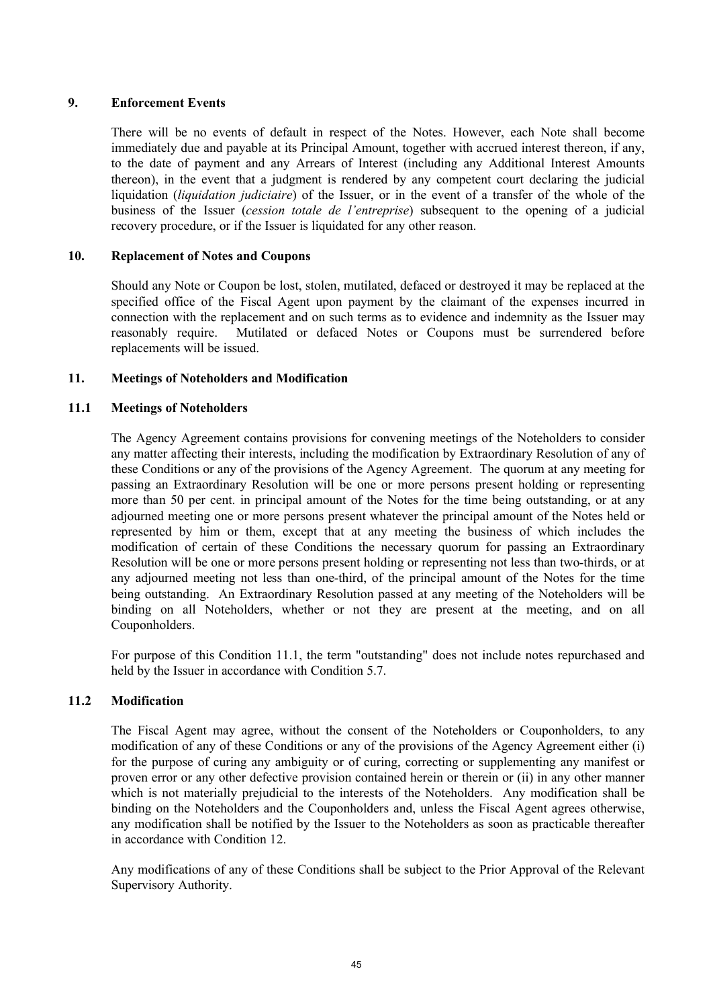# **9. Enforcement Events**

There will be no events of default in respect of the Notes. However, each Note shall become immediately due and payable at its Principal Amount, together with accrued interest thereon, if any, to the date of payment and any Arrears of Interest (including any Additional Interest Amounts thereon), in the event that a judgment is rendered by any competent court declaring the judicial liquidation (*liquidation judiciaire*) of the Issuer, or in the event of a transfer of the whole of the business of the Issuer (*cession totale de l'entreprise*) subsequent to the opening of a judicial recovery procedure, or if the Issuer is liquidated for any other reason.

# **10. Replacement of Notes and Coupons**

Should any Note or Coupon be lost, stolen, mutilated, defaced or destroyed it may be replaced at the specified office of the Fiscal Agent upon payment by the claimant of the expenses incurred in connection with the replacement and on such terms as to evidence and indemnity as the Issuer may reasonably require. Mutilated or defaced Notes or Coupons must be surrendered before replacements will be issued.

### **11. Meetings of Noteholders and Modification**

# **11.1 Meetings of Noteholders**

The Agency Agreement contains provisions for convening meetings of the Noteholders to consider any matter affecting their interests, including the modification by Extraordinary Resolution of any of these Conditions or any of the provisions of the Agency Agreement. The quorum at any meeting for passing an Extraordinary Resolution will be one or more persons present holding or representing more than 50 per cent. in principal amount of the Notes for the time being outstanding, or at any adjourned meeting one or more persons present whatever the principal amount of the Notes held or represented by him or them, except that at any meeting the business of which includes the modification of certain of these Conditions the necessary quorum for passing an Extraordinary Resolution will be one or more persons present holding or representing not less than two-thirds, or at any adjourned meeting not less than one-third, of the principal amount of the Notes for the time being outstanding. An Extraordinary Resolution passed at any meeting of the Noteholders will be binding on all Noteholders, whether or not they are present at the meeting, and on all Couponholders.

For purpose of this Condition 11.1, the term "outstanding" does not include notes repurchased and held by the Issuer in accordance with Condition 5.7.

### **11.2 Modification**

The Fiscal Agent may agree, without the consent of the Noteholders or Couponholders, to any modification of any of these Conditions or any of the provisions of the Agency Agreement either (i) for the purpose of curing any ambiguity or of curing, correcting or supplementing any manifest or proven error or any other defective provision contained herein or therein or (ii) in any other manner which is not materially prejudicial to the interests of the Noteholders. Any modification shall be binding on the Noteholders and the Couponholders and, unless the Fiscal Agent agrees otherwise, any modification shall be notified by the Issuer to the Noteholders as soon as practicable thereafter in accordance with Condition 12.

Any modifications of any of these Conditions shall be subject to the Prior Approval of the Relevant Supervisory Authority.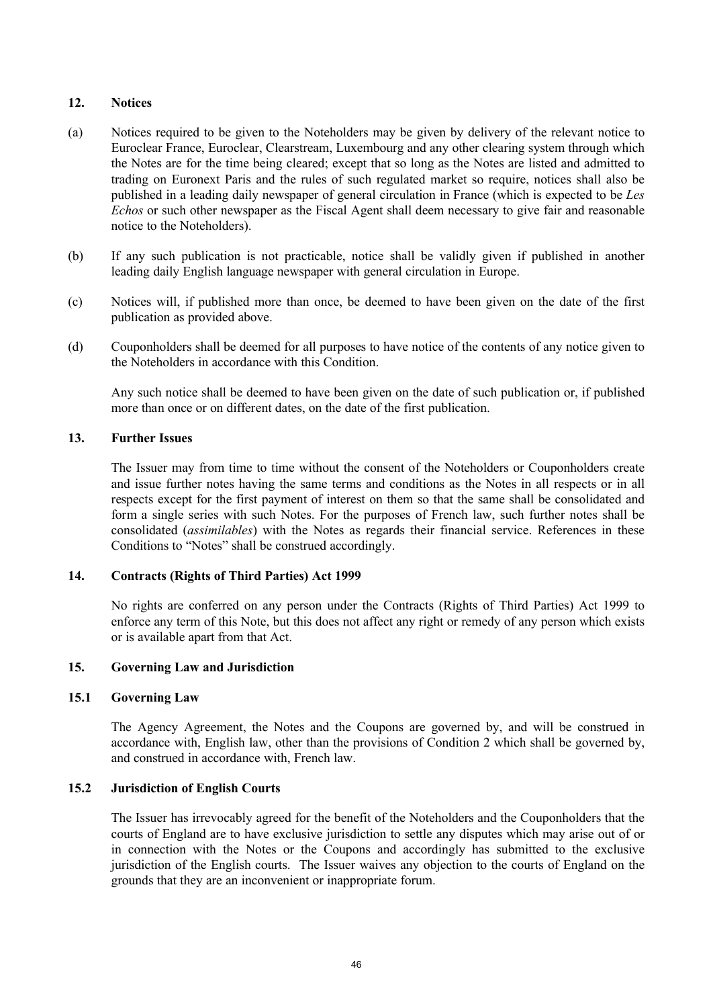# **12. Notices**

- (a) Notices required to be given to the Noteholders may be given by delivery of the relevant notice to Euroclear France, Euroclear, Clearstream, Luxembourg and any other clearing system through which the Notes are for the time being cleared; except that so long as the Notes are listed and admitted to trading on Euronext Paris and the rules of such regulated market so require, notices shall also be published in a leading daily newspaper of general circulation in France (which is expected to be *Les Echos* or such other newspaper as the Fiscal Agent shall deem necessary to give fair and reasonable notice to the Noteholders).
- (b) If any such publication is not practicable, notice shall be validly given if published in another leading daily English language newspaper with general circulation in Europe.
- (c) Notices will, if published more than once, be deemed to have been given on the date of the first publication as provided above.
- (d) Couponholders shall be deemed for all purposes to have notice of the contents of any notice given to the Noteholders in accordance with this Condition.

Any such notice shall be deemed to have been given on the date of such publication or, if published more than once or on different dates, on the date of the first publication.

### **13. Further Issues**

The Issuer may from time to time without the consent of the Noteholders or Couponholders create and issue further notes having the same terms and conditions as the Notes in all respects or in all respects except for the first payment of interest on them so that the same shall be consolidated and form a single series with such Notes. For the purposes of French law, such further notes shall be consolidated (*assimilables*) with the Notes as regards their financial service. References in these Conditions to "Notes" shall be construed accordingly.

### **14. Contracts (Rights of Third Parties) Act 1999**

No rights are conferred on any person under the Contracts (Rights of Third Parties) Act 1999 to enforce any term of this Note, but this does not affect any right or remedy of any person which exists or is available apart from that Act.

### **15. Governing Law and Jurisdiction**

### **15.1 Governing Law**

The Agency Agreement, the Notes and the Coupons are governed by, and will be construed in accordance with, English law, other than the provisions of Condition 2 which shall be governed by, and construed in accordance with, French law.

# **15.2 Jurisdiction of English Courts**

The Issuer has irrevocably agreed for the benefit of the Noteholders and the Couponholders that the courts of England are to have exclusive jurisdiction to settle any disputes which may arise out of or in connection with the Notes or the Coupons and accordingly has submitted to the exclusive jurisdiction of the English courts. The Issuer waives any objection to the courts of England on the grounds that they are an inconvenient or inappropriate forum.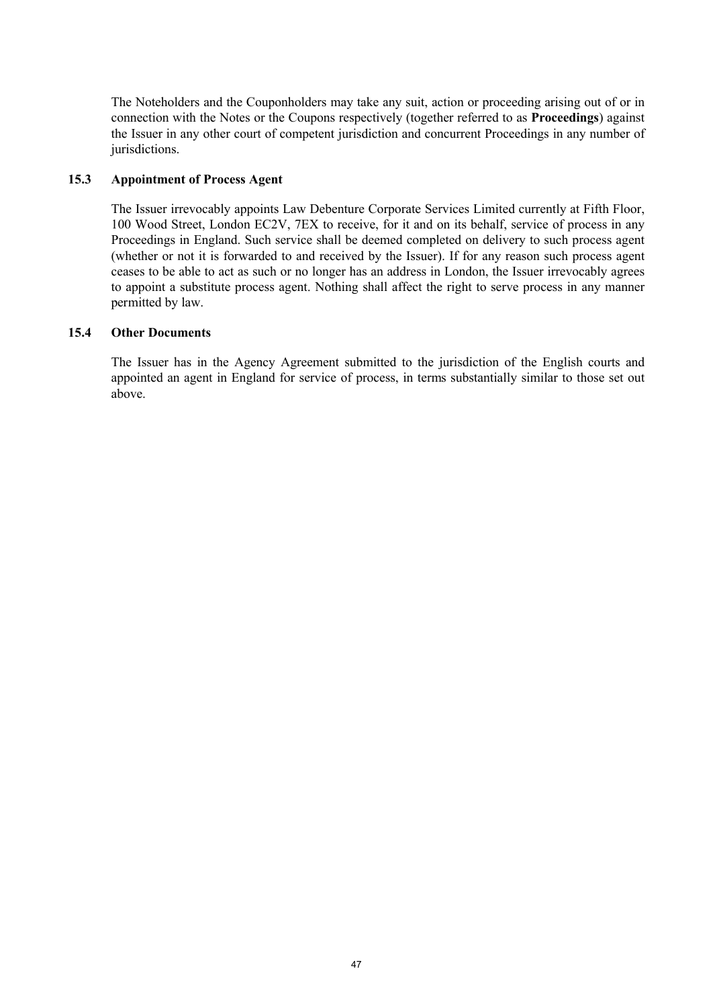The Noteholders and the Couponholders may take any suit, action or proceeding arising out of or in connection with the Notes or the Coupons respectively (together referred to as **Proceedings**) against the Issuer in any other court of competent jurisdiction and concurrent Proceedings in any number of jurisdictions.

# **15.3 Appointment of Process Agent**

The Issuer irrevocably appoints Law Debenture Corporate Services Limited currently at Fifth Floor, 100 Wood Street, London EC2V, 7EX to receive, for it and on its behalf, service of process in any Proceedings in England. Such service shall be deemed completed on delivery to such process agent (whether or not it is forwarded to and received by the Issuer). If for any reason such process agent ceases to be able to act as such or no longer has an address in London, the Issuer irrevocably agrees to appoint a substitute process agent. Nothing shall affect the right to serve process in any manner permitted by law.

# **15.4 Other Documents**

The Issuer has in the Agency Agreement submitted to the jurisdiction of the English courts and appointed an agent in England for service of process, in terms substantially similar to those set out above.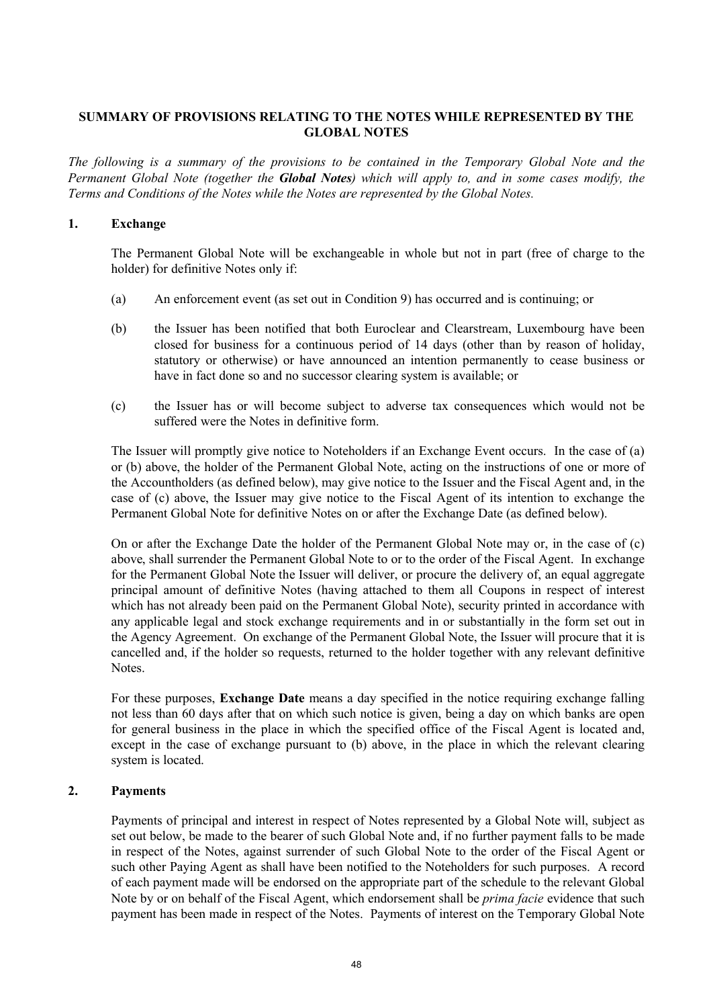# **SUMMARY OF PROVISIONS RELATING TO THE NOTES WHILE REPRESENTED BY THE GLOBAL NOTES**

*The following is a summary of the provisions to be contained in the Temporary Global Note and the Permanent Global Note (together the Global Notes) which will apply to, and in some cases modify, the Terms and Conditions of the Notes while the Notes are represented by the Global Notes.*

# **1. Exchange**

The Permanent Global Note will be exchangeable in whole but not in part (free of charge to the holder) for definitive Notes only if:

- (a) An enforcement event (as set out in Condition 9) has occurred and is continuing; or
- (b) the Issuer has been notified that both Euroclear and Clearstream, Luxembourg have been closed for business for a continuous period of 14 days (other than by reason of holiday, statutory or otherwise) or have announced an intention permanently to cease business or have in fact done so and no successor clearing system is available; or
- (c) the Issuer has or will become subject to adverse tax consequences which would not be suffered were the Notes in definitive form.

The Issuer will promptly give notice to Noteholders if an Exchange Event occurs. In the case of (a) or (b) above, the holder of the Permanent Global Note, acting on the instructions of one or more of the Accountholders (as defined below), may give notice to the Issuer and the Fiscal Agent and, in the case of (c) above, the Issuer may give notice to the Fiscal Agent of its intention to exchange the Permanent Global Note for definitive Notes on or after the Exchange Date (as defined below).

On or after the Exchange Date the holder of the Permanent Global Note may or, in the case of (c) above, shall surrender the Permanent Global Note to or to the order of the Fiscal Agent. In exchange for the Permanent Global Note the Issuer will deliver, or procure the delivery of, an equal aggregate principal amount of definitive Notes (having attached to them all Coupons in respect of interest which has not already been paid on the Permanent Global Note), security printed in accordance with any applicable legal and stock exchange requirements and in or substantially in the form set out in the Agency Agreement. On exchange of the Permanent Global Note, the Issuer will procure that it is cancelled and, if the holder so requests, returned to the holder together with any relevant definitive **Notes**.

For these purposes, **Exchange Date** means a day specified in the notice requiring exchange falling not less than 60 days after that on which such notice is given, being a day on which banks are open for general business in the place in which the specified office of the Fiscal Agent is located and, except in the case of exchange pursuant to (b) above, in the place in which the relevant clearing system is located.

# **2. Payments**

Payments of principal and interest in respect of Notes represented by a Global Note will, subject as set out below, be made to the bearer of such Global Note and, if no further payment falls to be made in respect of the Notes, against surrender of such Global Note to the order of the Fiscal Agent or such other Paying Agent as shall have been notified to the Noteholders for such purposes. A record of each payment made will be endorsed on the appropriate part of the schedule to the relevant Global Note by or on behalf of the Fiscal Agent, which endorsement shall be *prima facie* evidence that such payment has been made in respect of the Notes. Payments of interest on the Temporary Global Note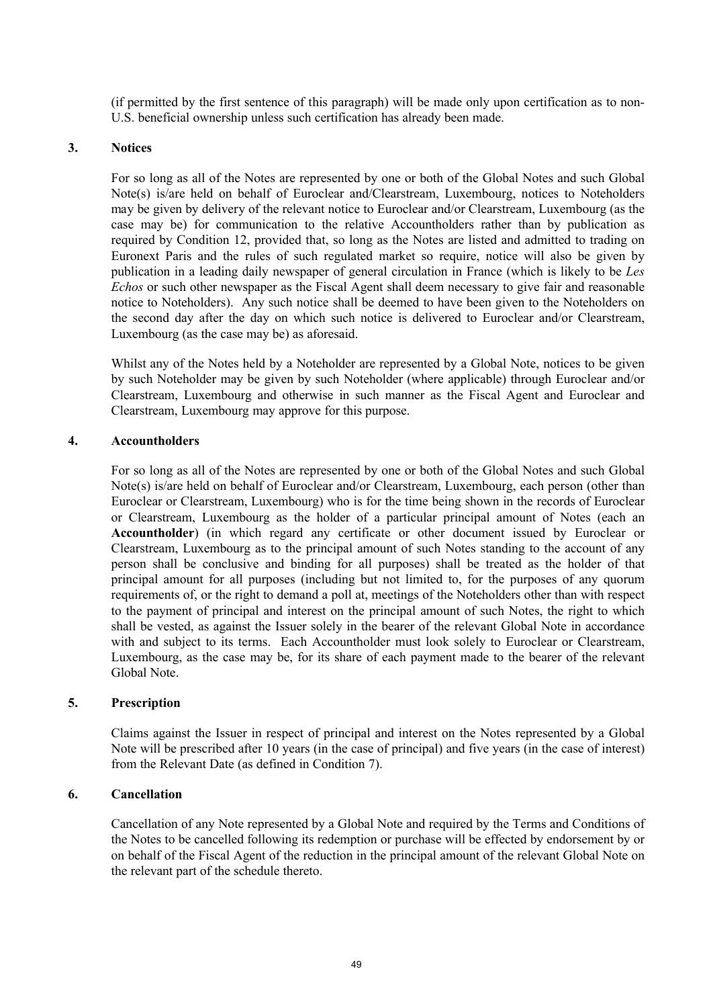(if permitted by the first sentence of this paragraph) will be made only upon certification as to non-U.S. beneficial ownership unless such certification has already been made.

### **3. Notices**

For so long as all of the Notes are represented by one or both of the Global Notes and such Global Note(s) is/are held on behalf of Euroclear and/Clearstream, Luxembourg, notices to Noteholders may be given by delivery of the relevant notice to Euroclear and/or Clearstream, Luxembourg (as the case may be) for communication to the relative Accountholders rather than by publication as required by Condition 12, provided that, so long as the Notes are listed and admitted to trading on Euronext Paris and the rules of such regulated market so require, notice will also be given by publication in a leading daily newspaper of general circulation in France (which is likely to be *Les Echos* or such other newspaper as the Fiscal Agent shall deem necessary to give fair and reasonable notice to Noteholders). Any such notice shall be deemed to have been given to the Noteholders on the second day after the day on which such notice is delivered to Euroclear and/or Clearstream, Luxembourg (as the case may be) as aforesaid.

Whilst any of the Notes held by a Noteholder are represented by a Global Note, notices to be given by such Noteholder may be given by such Noteholder (where applicable) through Euroclear and/or Clearstream, Luxembourg and otherwise in such manner as the Fiscal Agent and Euroclear and Clearstream, Luxembourg may approve for this purpose.

### **4. Accountholders**

For so long as all of the Notes are represented by one or both of the Global Notes and such Global Note(s) is/are held on behalf of Euroclear and/or Clearstream, Luxembourg, each person (other than Euroclear or Clearstream, Luxembourg) who is for the time being shown in the records of Euroclear or Clearstream, Luxembourg as the holder of a particular principal amount of Notes (each an **Accountholder**) (in which regard any certificate or other document issued by Euroclear or Clearstream, Luxembourg as to the principal amount of such Notes standing to the account of any person shall be conclusive and binding for all purposes) shall be treated as the holder of that principal amount for all purposes (including but not limited to, for the purposes of any quorum requirements of, or the right to demand a poll at, meetings of the Noteholders other than with respect to the payment of principal and interest on the principal amount of such Notes, the right to which shall be vested, as against the Issuer solely in the bearer of the relevant Global Note in accordance with and subject to its terms. Each Accountholder must look solely to Euroclear or Clearstream, Luxembourg, as the case may be, for its share of each payment made to the bearer of the relevant Global Note.

#### **5. Prescription**

Claims against the Issuer in respect of principal and interest on the Notes represented by a Global Note will be prescribed after 10 years (in the case of principal) and five years (in the case of interest) from the Relevant Date (as defined in Condition 7).

### **6. Cancellation**

Cancellation of any Note represented by a Global Note and required by the Terms and Conditions of the Notes to be cancelled following its redemption or purchase will be effected by endorsement by or on behalf of the Fiscal Agent of the reduction in the principal amount of the relevant Global Note on the relevant part of the schedule thereto.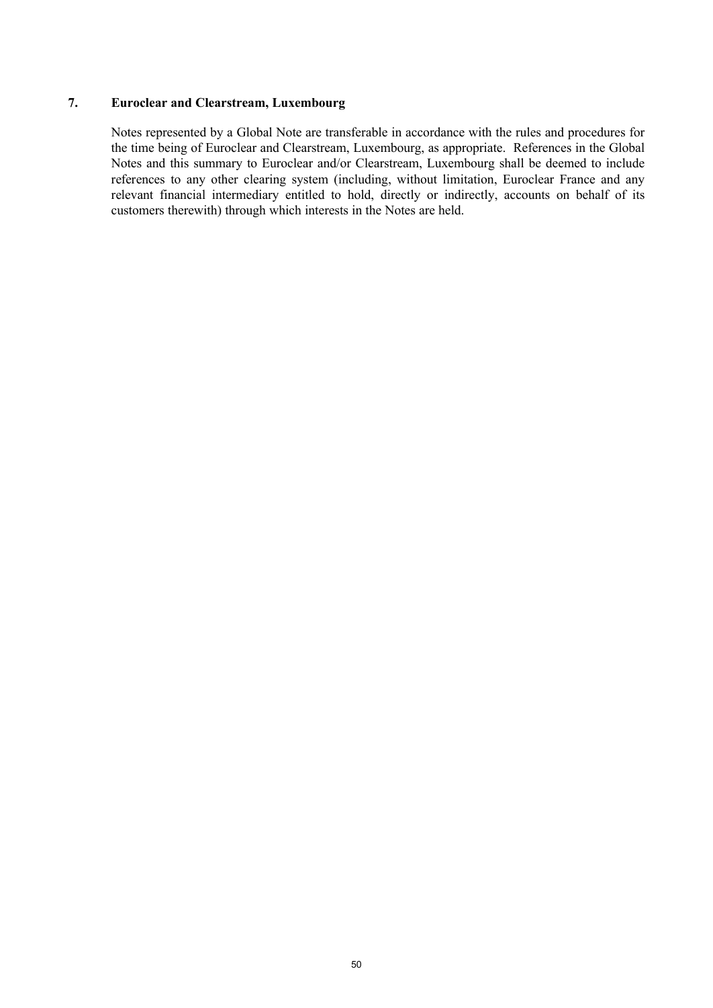# **7. Euroclear and Clearstream, Luxembourg**

Notes represented by a Global Note are transferable in accordance with the rules and procedures for the time being of Euroclear and Clearstream, Luxembourg, as appropriate. References in the Global Notes and this summary to Euroclear and/or Clearstream, Luxembourg shall be deemed to include references to any other clearing system (including, without limitation, Euroclear France and any relevant financial intermediary entitled to hold, directly or indirectly, accounts on behalf of its customers therewith) through which interests in the Notes are held.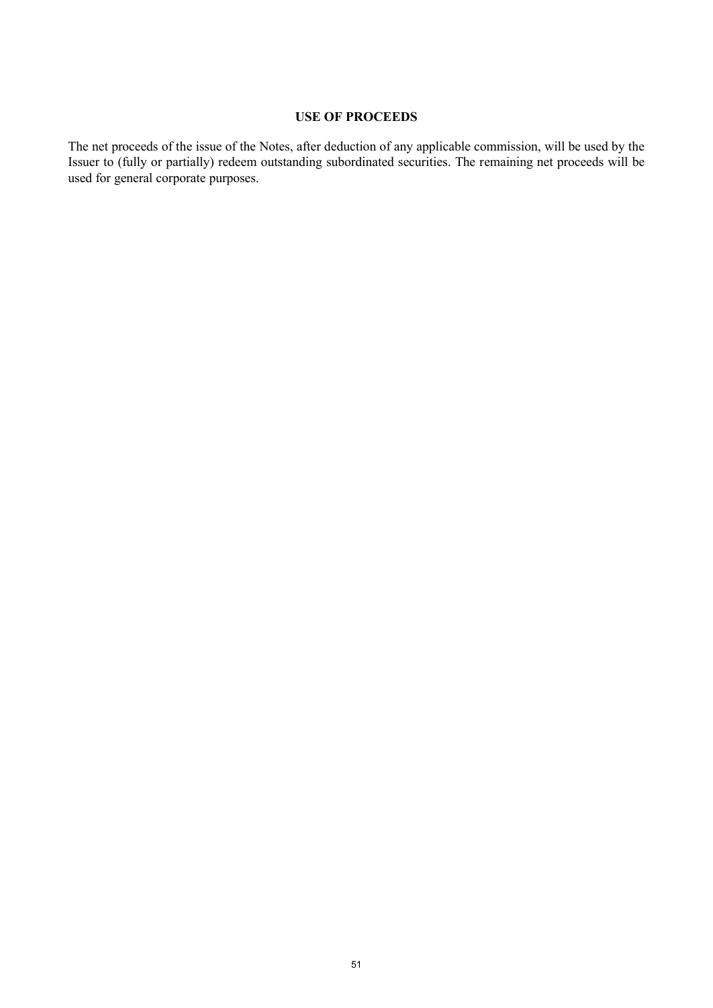# **USE OF PROCEEDS**

The net proceeds of the issue of the Notes, after deduction of any applicable commission, will be used by the Issuer to (fully or partially) redeem outstanding subordinated securities. The remaining net proceeds will be used for general corporate purposes.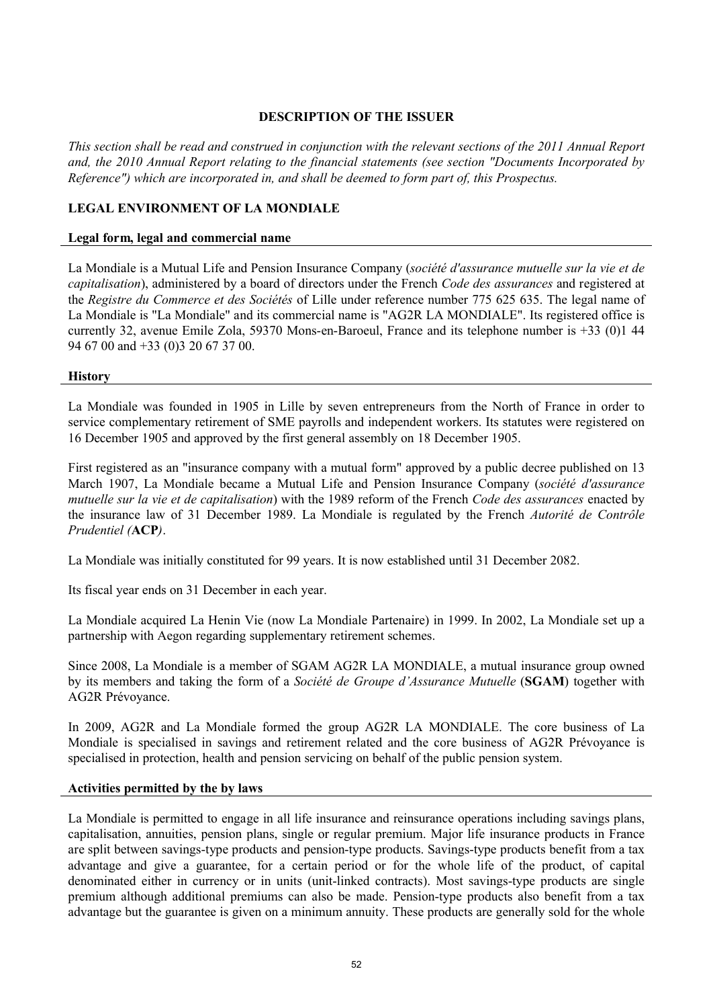# **DESCRIPTION OF THE ISSUER**

*This section shall be read and construed in conjunction with the relevant sections of the 2011 Annual Report and, the 2010 Annual Report relating to the financial statements (see section "Documents Incorporated by Reference") which are incorporated in, and shall be deemed to form part of, this Prospectus.*

# **LEGAL ENVIRONMENT OF LA MONDIALE**

#### **Legal form, legal and commercial name**

La Mondiale is a Mutual Life and Pension Insurance Company (*société d'assurance mutuelle sur la vie et de capitalisation*), administered by a board of directors under the French *Code des assurances* and registered at the *Registre du Commerce et des Sociétés* of Lille under reference number 775 625 635. The legal name of La Mondiale is "La Mondiale" and its commercial name is "AG2R LA MONDIALE". Its registered office is currently 32, avenue Emile Zola, 59370 Mons-en-Baroeul, France and its telephone number is +33 (0)1 44 94 67 00 and +33 (0)3 20 67 37 00.

#### **History**

La Mondiale was founded in 1905 in Lille by seven entrepreneurs from the North of France in order to service complementary retirement of SME payrolls and independent workers. Its statutes were registered on 16 December 1905 and approved by the first general assembly on 18 December 1905.

First registered as an "insurance company with a mutual form" approved by a public decree published on 13 March 1907, La Mondiale became a Mutual Life and Pension Insurance Company (*société d'assurance mutuelle sur la vie et de capitalisation*) with the 1989 reform of the French *Code des assurances* enacted by the insurance law of 31 December 1989. La Mondiale is regulated by the French *Autorité de Contrôle Prudentiel (***ACP***)*.

La Mondiale was initially constituted for 99 years. It is now established until 31 December 2082.

Its fiscal year ends on 31 December in each year.

La Mondiale acquired La Henin Vie (now La Mondiale Partenaire) in 1999. In 2002, La Mondiale set up a partnership with Aegon regarding supplementary retirement schemes.

Since 2008, La Mondiale is a member of SGAM AG2R LA MONDIALE, a mutual insurance group owned by its members and taking the form of a *Société de Groupe d'Assurance Mutuelle* (**SGAM**) together with AG2R Prévoyance.

In 2009, AG2R and La Mondiale formed the group AG2R LA MONDIALE. The core business of La Mondiale is specialised in savings and retirement related and the core business of AG2R Prévoyance is specialised in protection, health and pension servicing on behalf of the public pension system.

#### **Activities permitted by the by laws**

La Mondiale is permitted to engage in all life insurance and reinsurance operations including savings plans, capitalisation, annuities, pension plans, single or regular premium. Major life insurance products in France are split between savings-type products and pension-type products. Savings-type products benefit from a tax advantage and give a guarantee, for a certain period or for the whole life of the product, of capital denominated either in currency or in units (unit-linked contracts). Most savings-type products are single premium although additional premiums can also be made. Pension-type products also benefit from a tax advantage but the guarantee is given on a minimum annuity. These products are generally sold for the whole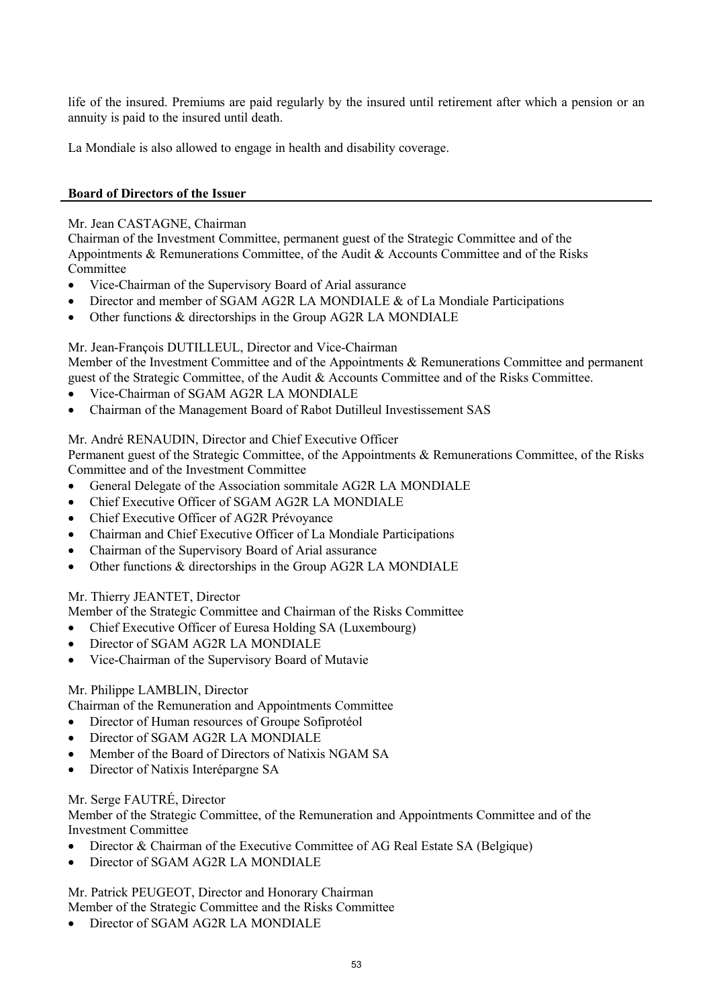life of the insured. Premiums are paid regularly by the insured until retirement after which a pension or an annuity is paid to the insured until death.

La Mondiale is also allowed to engage in health and disability coverage.

### **Board of Directors of the Issuer**

# Mr. Jean CASTAGNE, Chairman

Chairman of the Investment Committee, permanent guest of the Strategic Committee and of the Appointments & Remunerations Committee, of the Audit & Accounts Committee and of the Risks Committee

- · Vice-Chairman of the Supervisory Board of Arial assurance
- Director and member of SGAM AG2R LA MONDIALE & of La Mondiale Participations
- Other functions  $&$  directorships in the Group AG2R LA MONDIALE

# Mr. Jean-François DUTILLEUL, Director and Vice-Chairman

Member of the Investment Committee and of the Appointments & Remunerations Committee and permanent guest of the Strategic Committee, of the Audit & Accounts Committee and of the Risks Committee.

- · Vice-Chairman of SGAM AG2R LA MONDIALE
- · Chairman of the Management Board of Rabot Dutilleul Investissement SAS

# Mr. André RENAUDIN, Director and Chief Executive Officer

Permanent guest of the Strategic Committee, of the Appointments & Remunerations Committee, of the Risks Committee and of the Investment Committee

- General Delegate of the Association sommitale AG2R LA MONDIALE
- Chief Executive Officer of SGAM AG2R LA MONDIALE
- Chief Executive Officer of AG2R Prévoyance
- Chairman and Chief Executive Officer of La Mondiale Participations
- · Chairman of the Supervisory Board of Arial assurance
- Other functions & directorships in the Group AG2R LA MONDIALE

### Mr. Thierry JEANTET, Director

Member of the Strategic Committee and Chairman of the Risks Committee

- Chief Executive Officer of Euresa Holding SA (Luxembourg)
- Director of SGAM AG2R LA MONDIALE
- · Vice-Chairman of the Supervisory Board of Mutavie

# Mr. Philippe LAMBLIN, Director

Chairman of the Remuneration and Appointments Committee

- · Director of Human resources of Groupe Sofiprotéol
- Director of SGAM AG2R LA MONDIALE
- · Member of the Board of Directors of Natixis NGAM SA
- · Director of Natixis Interépargne SA

# Mr. Serge FAUTRÉ, Director

Member of the Strategic Committee, of the Remuneration and Appointments Committee and of the Investment Committee

- · Director & Chairman of the Executive Committee of AG Real Estate SA (Belgique)
- Director of SGAM AG2R LA MONDIALE

Mr. Patrick PEUGEOT, Director and Honorary Chairman Member of the Strategic Committee and the Risks Committee

· Director of SGAM AG2R LA MONDIALE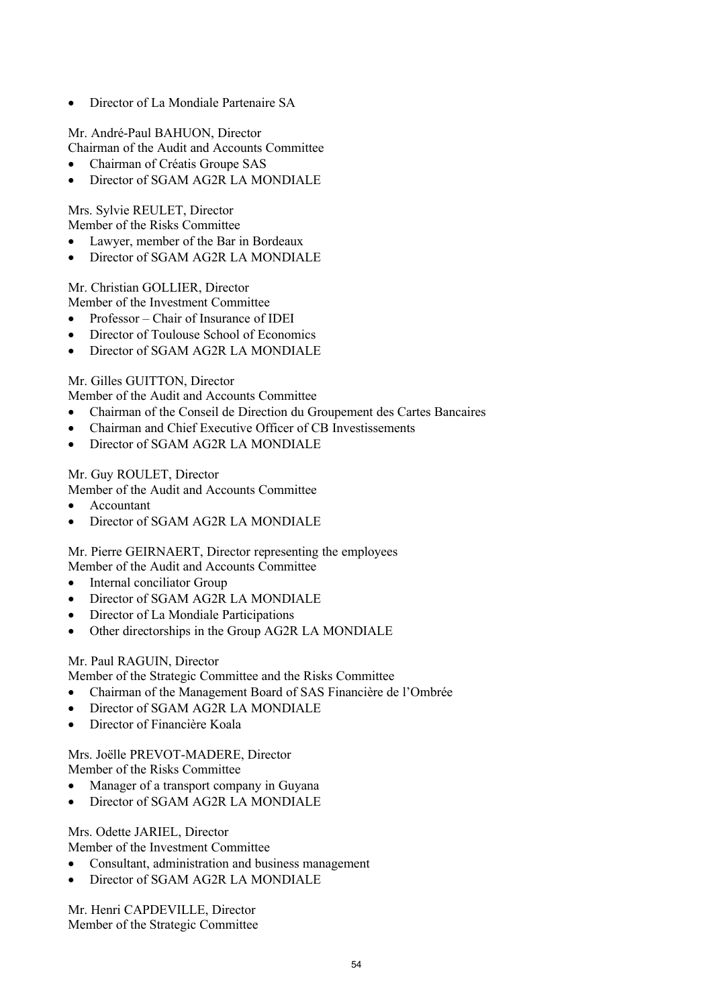· Director of La Mondiale Partenaire SA

Mr. André-Paul BAHUON, Director Chairman of the Audit and Accounts Committee

- · Chairman of Créatis Groupe SAS
- Director of SGAM AG2R LA MONDIALE

Mrs. Sylvie REULET, Director Member of the Risks Committee

- · Lawyer, member of the Bar in Bordeaux
- Director of SGAM AG2R LA MONDIALE

Mr. Christian GOLLIER, Director

Member of the Investment Committee

- Professor Chair of Insurance of IDEI
- Director of Toulouse School of Economics
- Director of SGAM AG2R LA MONDIALE

Mr. Gilles GUITTON, Director

Member of the Audit and Accounts Committee

- · Chairman of the Conseil de Direction du Groupement des Cartes Bancaires
- · Chairman and Chief Executive Officer of CB Investissements
- Director of SGAM AG2R LA MONDIALE

Mr. Guy ROULET, Director

Member of the Audit and Accounts Committee

- Accountant
- Director of SGAM AG2R LA MONDIALE

Mr. Pierre GEIRNAERT, Director representing the employees

Member of the Audit and Accounts Committee

- Internal conciliator Group
- Director of SGAM AG2R LA MONDIALE
- · Director of La Mondiale Participations
- Other directorships in the Group AG2R LA MONDIALE

### Mr. Paul RAGUIN, Director

Member of the Strategic Committee and the Risks Committee

- · Chairman of the Management Board of SAS Financière de l'Ombrée
- Director of SGAM AG2R LA MONDIALE
- Director of Financière Koala

Mrs. Joëlle PREVOT-MADERE, Director Member of the Risks Committee

- Manager of a transport company in Guyana
- Director of SGAM AG2R LA MONDIALE

### Mrs. Odette JARIEL, Director

Member of the Investment Committee

- Consultant, administration and business management
- Director of SGAM AG2R LA MONDIALE

Mr. Henri CAPDEVILLE, Director Member of the Strategic Committee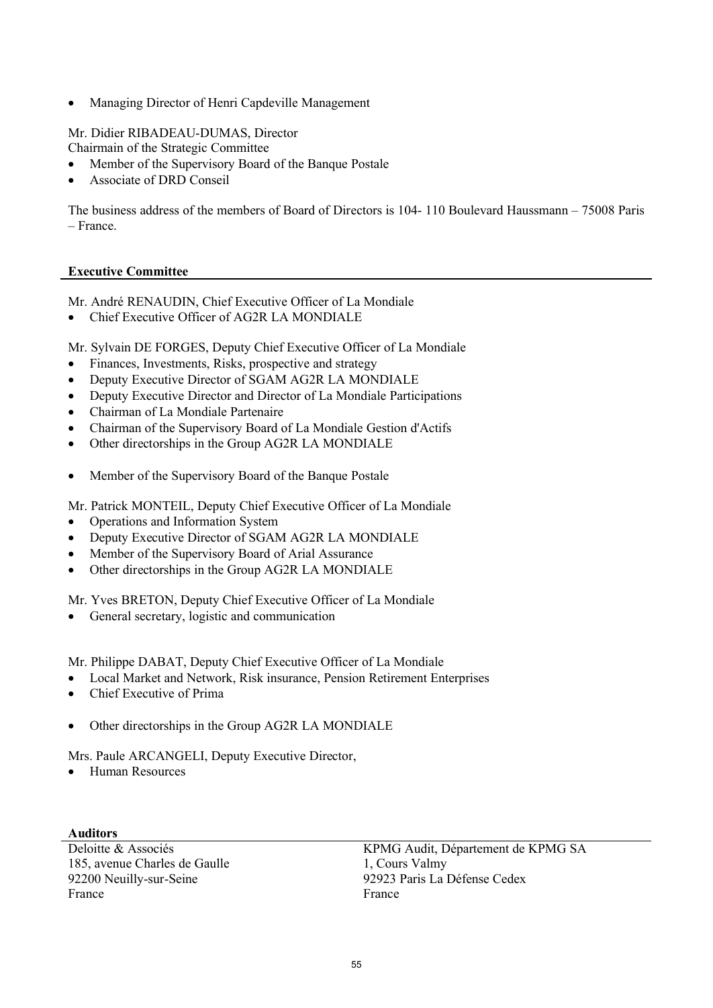· Managing Director of Henri Capdeville Management

Mr. Didier RIBADEAU-DUMAS, Director Chairmain of the Strategic Committee

- Member of the Supervisory Board of the Banque Postale
- Associate of DRD Conseil

The business address of the members of Board of Directors is 104- 110 Boulevard Haussmann – 75008 Paris – France.

# **Executive Committee**

Mr. André RENAUDIN, Chief Executive Officer of La Mondiale

• Chief Executive Officer of AG2R LA MONDIALE

Mr. Sylvain DE FORGES, Deputy Chief Executive Officer of La Mondiale

- Finances, Investments, Risks, prospective and strategy
- Deputy Executive Director of SGAM AG2R LA MONDIALE
- · Deputy Executive Director and Director of La Mondiale Participations
- · Chairman of La Mondiale Partenaire
- · Chairman of the Supervisory Board of La Mondiale Gestion d'Actifs
- Other directorships in the Group AG2R LA MONDIALE
- Member of the Supervisory Board of the Banque Postale
- Mr. Patrick MONTEIL, Deputy Chief Executive Officer of La Mondiale
- · Operations and Information System
- Deputy Executive Director of SGAM AG2R LA MONDIALE
- Member of the Supervisory Board of Arial Assurance
- Other directorships in the Group AG2R LA MONDIALE

Mr. Yves BRETON, Deputy Chief Executive Officer of La Mondiale

· General secretary, logistic and communication

Mr. Philippe DABAT, Deputy Chief Executive Officer of La Mondiale

- Local Market and Network, Risk insurance, Pension Retirement Enterprises
- · Chief Executive of Prima
- Other directorships in the Group AG2R LA MONDIALE

### Mrs. Paule ARCANGELI, Deputy Executive Director,

· Human Resources

### **Auditors**

185, avenue Charles de Gaulle 1, Cours Valmy France France **France** 

Deloitte & Associés KPMG Audit, Département de KPMG SA 92200 Neuilly-sur-Seine 92923 Paris La Défense Cedex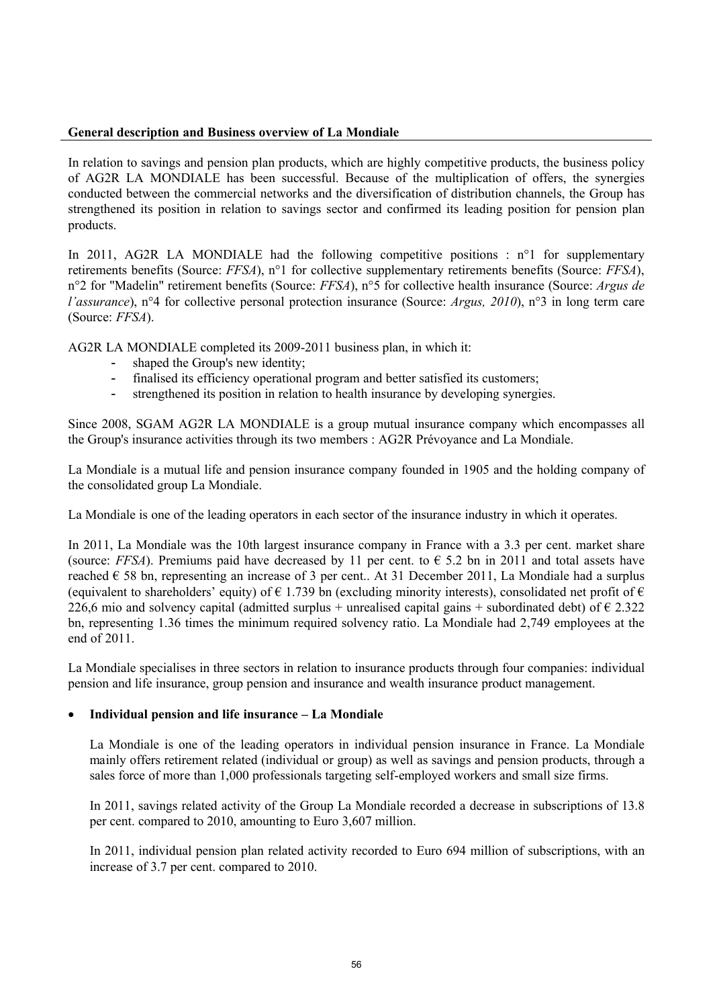# **General description and Business overview of La Mondiale**

In relation to savings and pension plan products, which are highly competitive products, the business policy of AG2R LA MONDIALE has been successful. Because of the multiplication of offers, the synergies conducted between the commercial networks and the diversification of distribution channels, the Group has strengthened its position in relation to savings sector and confirmed its leading position for pension plan products.

In 2011, AG2R LA MONDIALE had the following competitive positions :  $n^{\circ}1$  for supplementary retirements benefits (Source: *FFSA*), n°1 for collective supplementary retirements benefits (Source: *FFSA*), n°2 for "Madelin" retirement benefits (Source: *FFSA*), n°5 for collective health insurance (Source: *Argus de l'assurance*), n°4 for collective personal protection insurance (Source: *Argus, 2010*), n°3 in long term care (Source: *FFSA*).

AG2R LA MONDIALE completed its 2009-2011 business plan, in which it:

- shaped the Group's new identity;
- finalised its efficiency operational program and better satisfied its customers;
- strengthened its position in relation to health insurance by developing synergies.

Since 2008, SGAM AG2R LA MONDIALE is a group mutual insurance company which encompasses all the Group's insurance activities through its two members : AG2R Prévoyance and La Mondiale.

La Mondiale is a mutual life and pension insurance company founded in 1905 and the holding company of the consolidated group La Mondiale.

La Mondiale is one of the leading operators in each sector of the insurance industry in which it operates.

In 2011, La Mondiale was the 10th largest insurance company in France with a 3.3 per cent. market share (source: *FFSA*). Premiums paid have decreased by 11 per cent. to  $\epsilon$  5.2 bn in 2011 and total assets have reached  $\epsilon$  58 bn, representing an increase of 3 per cent.. At 31 December 2011, La Mondiale had a surplus (equivalent to shareholders' equity) of  $\epsilon$  1.739 bn (excluding minority interests), consolidated net profit of  $\epsilon$ 226,6 mio and solvency capital (admitted surplus + unrealised capital gains + subordinated debt) of  $\epsilon$  2.322 bn, representing 1.36 times the minimum required solvency ratio. La Mondiale had 2,749 employees at the end of 2011.

La Mondiale specialises in three sectors in relation to insurance products through four companies: individual pension and life insurance, group pension and insurance and wealth insurance product management.

### · **Individual pension and life insurance – La Mondiale**

La Mondiale is one of the leading operators in individual pension insurance in France. La Mondiale mainly offers retirement related (individual or group) as well as savings and pension products, through a sales force of more than 1,000 professionals targeting self-employed workers and small size firms.

In 2011, savings related activity of the Group La Mondiale recorded a decrease in subscriptions of 13.8 per cent. compared to 2010, amounting to Euro 3,607 million.

In 2011, individual pension plan related activity recorded to Euro 694 million of subscriptions, with an increase of 3.7 per cent. compared to 2010.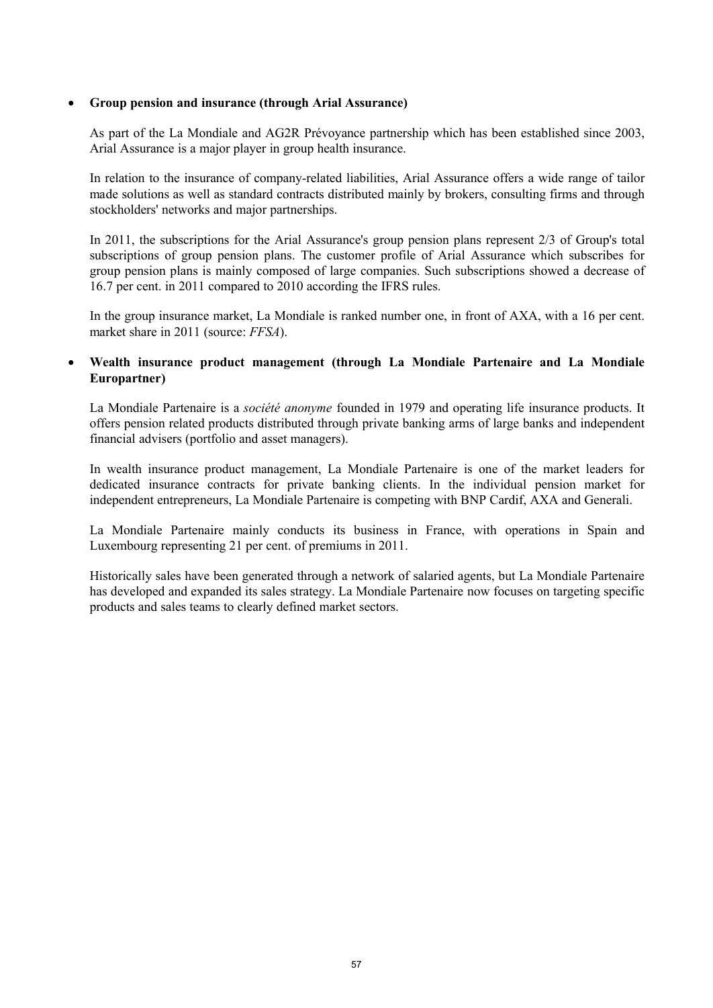### · **Group pension and insurance (through Arial Assurance)**

As part of the La Mondiale and AG2R Prévoyance partnership which has been established since 2003, Arial Assurance is a major player in group health insurance.

In relation to the insurance of company-related liabilities, Arial Assurance offers a wide range of tailor made solutions as well as standard contracts distributed mainly by brokers, consulting firms and through stockholders' networks and major partnerships.

In 2011, the subscriptions for the Arial Assurance's group pension plans represent 2/3 of Group's total subscriptions of group pension plans. The customer profile of Arial Assurance which subscribes for group pension plans is mainly composed of large companies. Such subscriptions showed a decrease of 16.7 per cent. in 2011 compared to 2010 according the IFRS rules.

In the group insurance market, La Mondiale is ranked number one, in front of AXA, with a 16 per cent. market share in 2011 (source: *FFSA*).

# · **Wealth insurance product management (through La Mondiale Partenaire and La Mondiale Europartner)**

La Mondiale Partenaire is a *société anonyme* founded in 1979 and operating life insurance products. It offers pension related products distributed through private banking arms of large banks and independent financial advisers (portfolio and asset managers).

In wealth insurance product management, La Mondiale Partenaire is one of the market leaders for dedicated insurance contracts for private banking clients. In the individual pension market for independent entrepreneurs, La Mondiale Partenaire is competing with BNP Cardif, AXA and Generali.

La Mondiale Partenaire mainly conducts its business in France, with operations in Spain and Luxembourg representing 21 per cent. of premiums in 2011.

Historically sales have been generated through a network of salaried agents, but La Mondiale Partenaire has developed and expanded its sales strategy. La Mondiale Partenaire now focuses on targeting specific products and sales teams to clearly defined market sectors.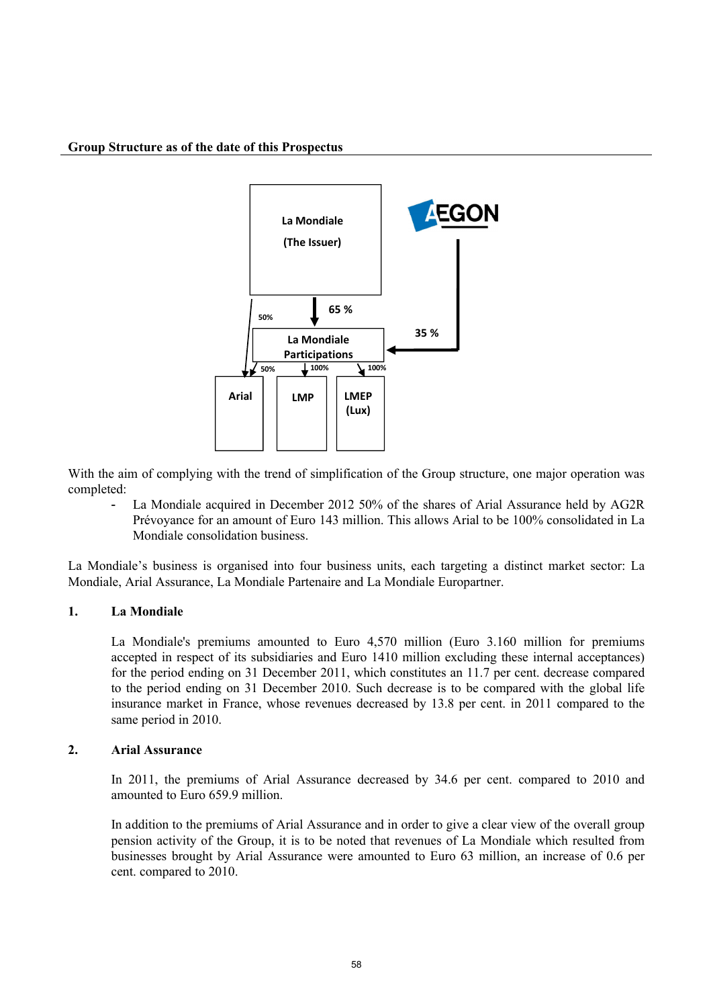#### **Group Structure as of the date of this Prospectus**



With the aim of complying with the trend of simplification of the Group structure, one major operation was completed:

 La Mondiale acquired in December 2012 50% of the shares of Arial Assurance held by AG2R Prévoyance for an amount of Euro 143 million. This allows Arial to be 100% consolidated in La Mondiale consolidation business.

La Mondiale's business is organised into four business units, each targeting a distinct market sector: La Mondiale, Arial Assurance, La Mondiale Partenaire and La Mondiale Europartner.

### **1. La Mondiale**

La Mondiale's premiums amounted to Euro 4,570 million (Euro 3.160 million for premiums accepted in respect of its subsidiaries and Euro 1410 million excluding these internal acceptances) for the period ending on 31 December 2011, which constitutes an 11.7 per cent. decrease compared to the period ending on 31 December 2010. Such decrease is to be compared with the global life insurance market in France, whose revenues decreased by 13.8 per cent. in 2011 compared to the same period in 2010.

#### **2. Arial Assurance**

In 2011, the premiums of Arial Assurance decreased by 34.6 per cent. compared to 2010 and amounted to Euro 659.9 million.

In addition to the premiums of Arial Assurance and in order to give a clear view of the overall group pension activity of the Group, it is to be noted that revenues of La Mondiale which resulted from businesses brought by Arial Assurance were amounted to Euro 63 million, an increase of 0.6 per cent. compared to 2010.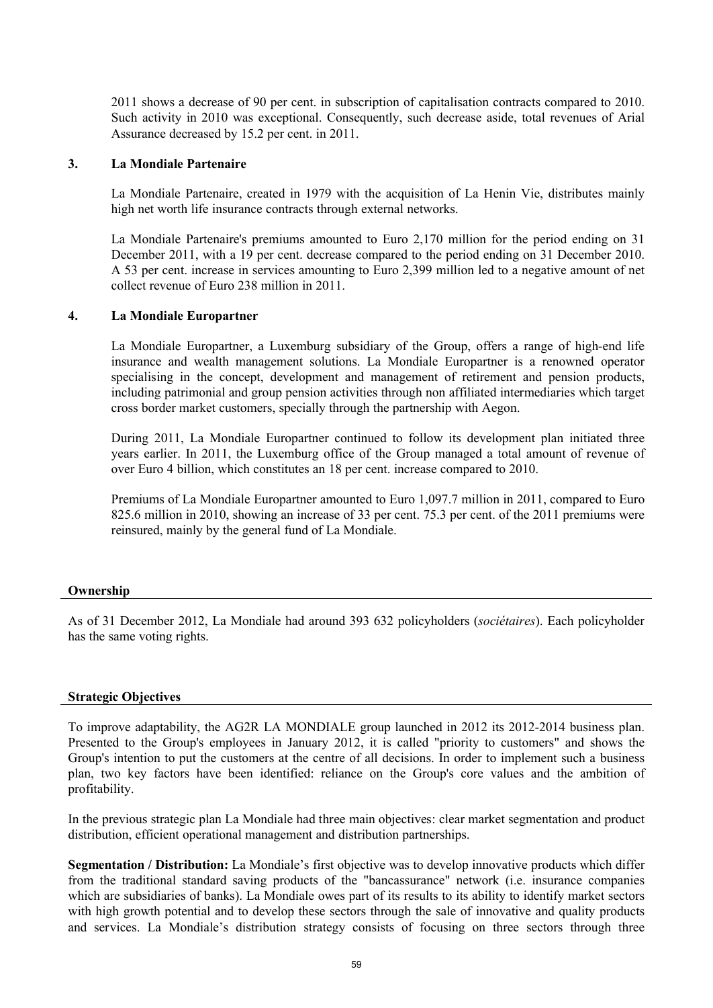2011 shows a decrease of 90 per cent. in subscription of capitalisation contracts compared to 2010. Such activity in 2010 was exceptional. Consequently, such decrease aside, total revenues of Arial Assurance decreased by 15.2 per cent. in 2011.

#### **3. La Mondiale Partenaire**

La Mondiale Partenaire, created in 1979 with the acquisition of La Henin Vie, distributes mainly high net worth life insurance contracts through external networks.

La Mondiale Partenaire's premiums amounted to Euro 2,170 million for the period ending on 31 December 2011, with a 19 per cent. decrease compared to the period ending on 31 December 2010. A 53 per cent. increase in services amounting to Euro 2,399 million led to a negative amount of net collect revenue of Euro 238 million in 2011.

#### **4. La Mondiale Europartner**

La Mondiale Europartner, a Luxemburg subsidiary of the Group, offers a range of high-end life insurance and wealth management solutions. La Mondiale Europartner is a renowned operator specialising in the concept, development and management of retirement and pension products, including patrimonial and group pension activities through non affiliated intermediaries which target cross border market customers, specially through the partnership with Aegon.

During 2011, La Mondiale Europartner continued to follow its development plan initiated three years earlier. In 2011, the Luxemburg office of the Group managed a total amount of revenue of over Euro 4 billion, which constitutes an 18 per cent. increase compared to 2010.

Premiums of La Mondiale Europartner amounted to Euro 1,097.7 million in 2011, compared to Euro 825.6 million in 2010, showing an increase of 33 per cent. 75.3 per cent. of the 2011 premiums were reinsured, mainly by the general fund of La Mondiale.

#### **Ownership**

As of 31 December 2012, La Mondiale had around 393 632 policyholders (*sociétaires*). Each policyholder has the same voting rights.

#### **Strategic Objectives**

To improve adaptability, the AG2R LA MONDIALE group launched in 2012 its 2012-2014 business plan. Presented to the Group's employees in January 2012, it is called "priority to customers" and shows the Group's intention to put the customers at the centre of all decisions. In order to implement such a business plan, two key factors have been identified: reliance on the Group's core values and the ambition of profitability.

In the previous strategic plan La Mondiale had three main objectives: clear market segmentation and product distribution, efficient operational management and distribution partnerships.

**Segmentation / Distribution:** La Mondiale's first objective was to develop innovative products which differ from the traditional standard saving products of the "bancassurance" network (i.e. insurance companies which are subsidiaries of banks). La Mondiale owes part of its results to its ability to identify market sectors with high growth potential and to develop these sectors through the sale of innovative and quality products and services. La Mondiale's distribution strategy consists of focusing on three sectors through three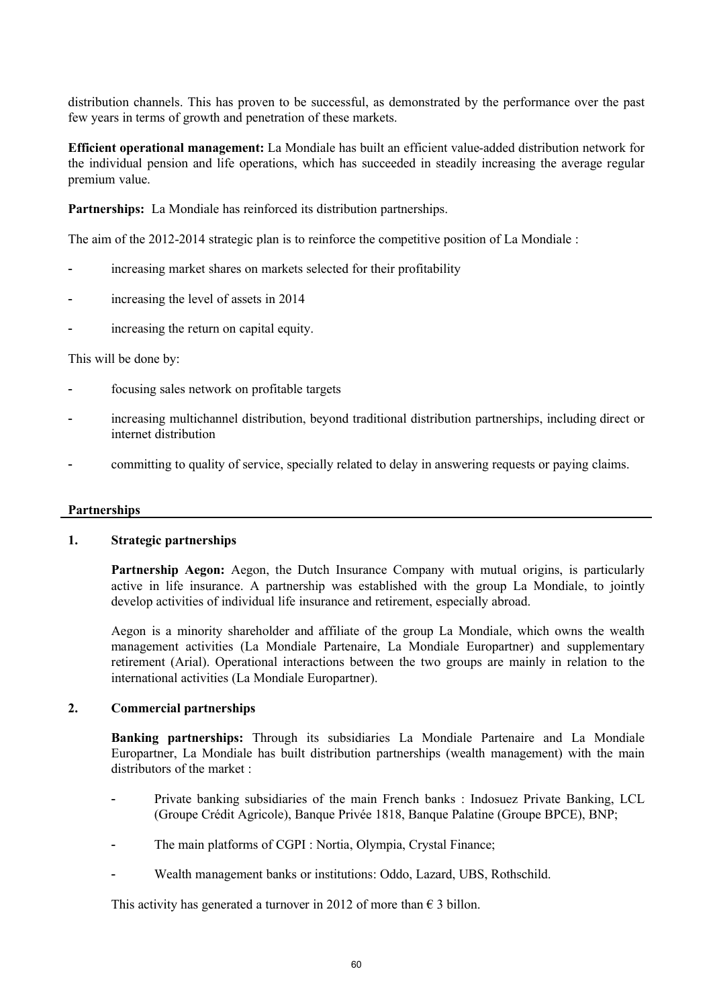distribution channels. This has proven to be successful, as demonstrated by the performance over the past few years in terms of growth and penetration of these markets.

**Efficient operational management:** La Mondiale has built an efficient value-added distribution network for the individual pension and life operations, which has succeeded in steadily increasing the average regular premium value.

**Partnerships:** La Mondiale has reinforced its distribution partnerships.

The aim of the 2012-2014 strategic plan is to reinforce the competitive position of La Mondiale :

- increasing market shares on markets selected for their profitability
- increasing the level of assets in 2014
- increasing the return on capital equity.

This will be done by:

- focusing sales network on profitable targets
- increasing multichannel distribution, beyond traditional distribution partnerships, including direct or internet distribution
- committing to quality of service, specially related to delay in answering requests or paying claims.

#### **Partnerships**

#### **1. Strategic partnerships**

Partnership Aegon: Aegon, the Dutch Insurance Company with mutual origins, is particularly active in life insurance. A partnership was established with the group La Mondiale, to jointly develop activities of individual life insurance and retirement, especially abroad.

Aegon is a minority shareholder and affiliate of the group La Mondiale, which owns the wealth management activities (La Mondiale Partenaire, La Mondiale Europartner) and supplementary retirement (Arial). Operational interactions between the two groups are mainly in relation to the international activities (La Mondiale Europartner).

## **2. Commercial partnerships**

**Banking partnerships:** Through its subsidiaries La Mondiale Partenaire and La Mondiale Europartner, La Mondiale has built distribution partnerships (wealth management) with the main distributors of the market :

- Private banking subsidiaries of the main French banks : Indosuez Private Banking, LCL (Groupe Crédit Agricole), Banque Privée 1818, Banque Palatine (Groupe BPCE), BNP;
- The main platforms of CGPI : Nortia, Olympia, Crystal Finance;
- Wealth management banks or institutions: Oddo, Lazard, UBS, Rothschild.

This activity has generated a turnover in 2012 of more than  $\epsilon$  3 billon.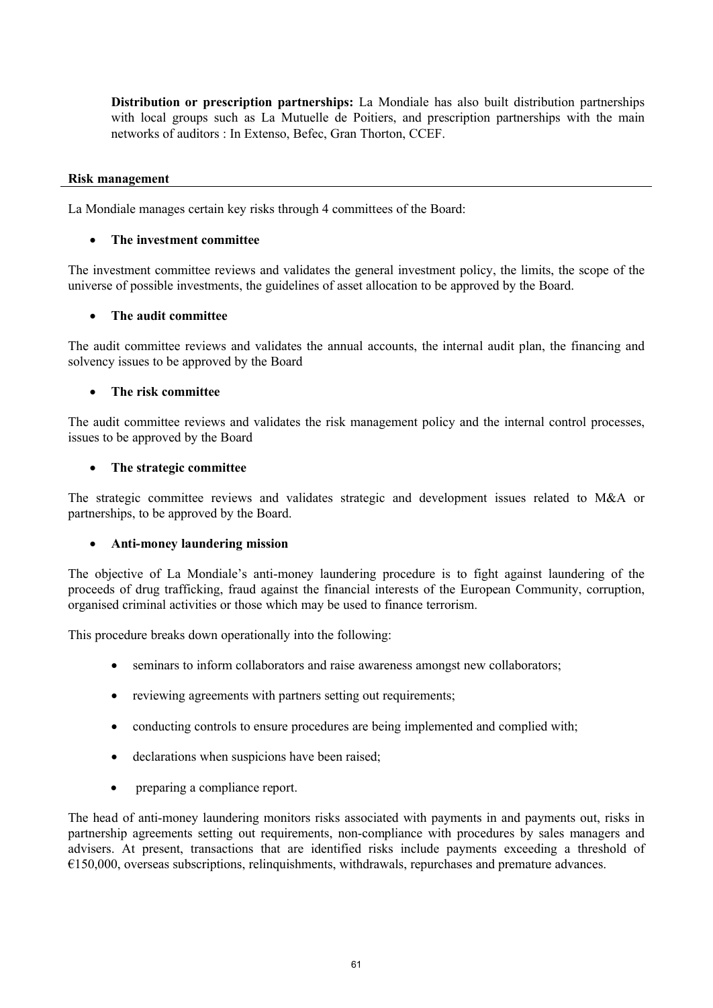**Distribution or prescription partnerships:** La Mondiale has also built distribution partnerships with local groups such as La Mutuelle de Poitiers, and prescription partnerships with the main networks of auditors : In Extenso, Befec, Gran Thorton, CCEF.

#### **Risk management**

La Mondiale manages certain key risks through 4 committees of the Board:

### · **The investment committee**

The investment committee reviews and validates the general investment policy, the limits, the scope of the universe of possible investments, the guidelines of asset allocation to be approved by the Board.

#### · **The audit committee**

The audit committee reviews and validates the annual accounts, the internal audit plan, the financing and solvency issues to be approved by the Board

### · **The risk committee**

The audit committee reviews and validates the risk management policy and the internal control processes, issues to be approved by the Board

#### · **The strategic committee**

The strategic committee reviews and validates strategic and development issues related to M&A or partnerships, to be approved by the Board.

### · **Anti-money laundering mission**

The objective of La Mondiale's anti-money laundering procedure is to fight against laundering of the proceeds of drug trafficking, fraud against the financial interests of the European Community, corruption, organised criminal activities or those which may be used to finance terrorism.

This procedure breaks down operationally into the following:

- seminars to inform collaborators and raise awareness amongst new collaborators;
- reviewing agreements with partners setting out requirements;
- conducting controls to ensure procedures are being implemented and complied with;
- declarations when suspicions have been raised;
- preparing a compliance report.

The head of anti-money laundering monitors risks associated with payments in and payments out, risks in partnership agreements setting out requirements, non-compliance with procedures by sales managers and advisers. At present, transactions that are identified risks include payments exceeding a threshold of  $€150,000$ , overseas subscriptions, relinquishments, withdrawals, repurchases and premature advances.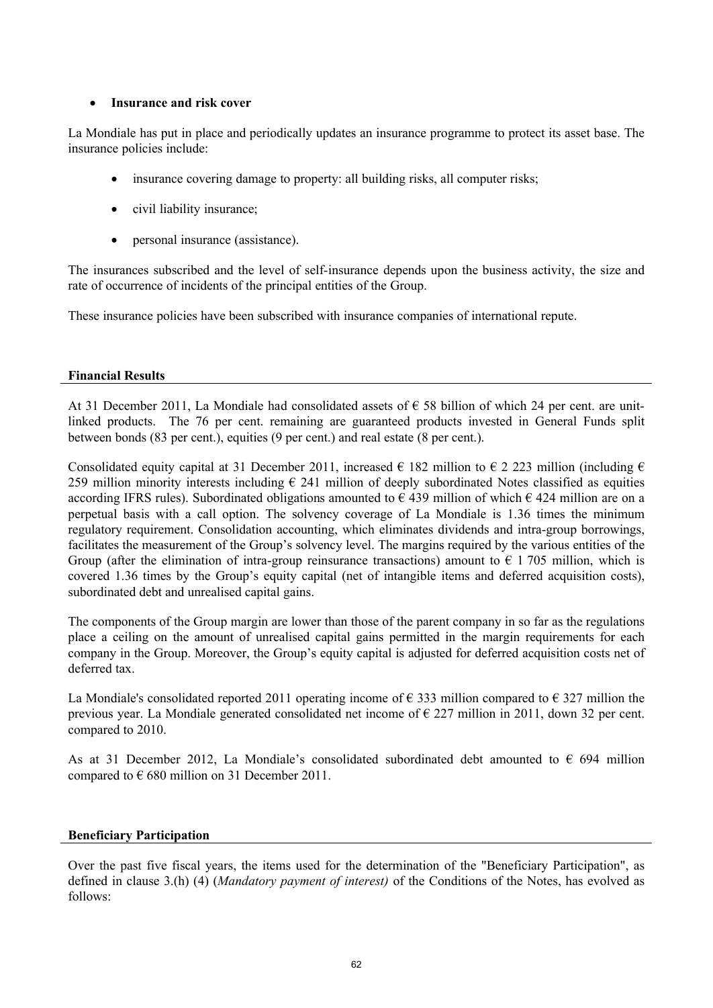# · **Insurance and risk cover**

La Mondiale has put in place and periodically updates an insurance programme to protect its asset base. The insurance policies include:

- insurance covering damage to property: all building risks, all computer risks;
- civil liability insurance;
- personal insurance (assistance).

The insurances subscribed and the level of self-insurance depends upon the business activity, the size and rate of occurrence of incidents of the principal entities of the Group.

These insurance policies have been subscribed with insurance companies of international repute.

#### **Financial Results**

At 31 December 2011, La Mondiale had consolidated assets of  $\epsilon$  58 billion of which 24 per cent. are unitlinked products. The 76 per cent. remaining are guaranteed products invested in General Funds split between bonds (83 per cent.), equities (9 per cent.) and real estate (8 per cent.).

Consolidated equity capital at 31 December 2011, increased  $\epsilon$  182 million to  $\epsilon$  2 223 million (including  $\epsilon$ ) 259 million minority interests including  $\epsilon$  241 million of deeply subordinated Notes classified as equities according IFRS rules). Subordinated obligations amounted to  $\epsilon$  439 million of which  $\epsilon$  424 million are on a perpetual basis with a call option. The solvency coverage of La Mondiale is 1.36 times the minimum regulatory requirement. Consolidation accounting, which eliminates dividends and intra-group borrowings, facilitates the measurement of the Group's solvency level. The margins required by the various entities of the Group (after the elimination of intra-group reinsurance transactions) amount to  $\epsilon$  1 705 million, which is covered 1.36 times by the Group's equity capital (net of intangible items and deferred acquisition costs), subordinated debt and unrealised capital gains.

The components of the Group margin are lower than those of the parent company in so far as the regulations place a ceiling on the amount of unrealised capital gains permitted in the margin requirements for each company in the Group. Moreover, the Group's equity capital is adjusted for deferred acquisition costs net of deferred tax.

La Mondiale's consolidated reported 2011 operating income of  $\epsilon$  333 million compared to  $\epsilon$  327 million the previous year. La Mondiale generated consolidated net income of  $\epsilon$  227 million in 2011, down 32 per cent. compared to 2010.

As at 31 December 2012, La Mondiale's consolidated subordinated debt amounted to  $\epsilon$  694 million compared to  $\epsilon$  680 million on 31 December 2011.

### **Beneficiary Participation**

Over the past five fiscal years, the items used for the determination of the "Beneficiary Participation", as defined in clause 3.(h) (4) (*Mandatory payment of interest)* of the Conditions of the Notes, has evolved as follows: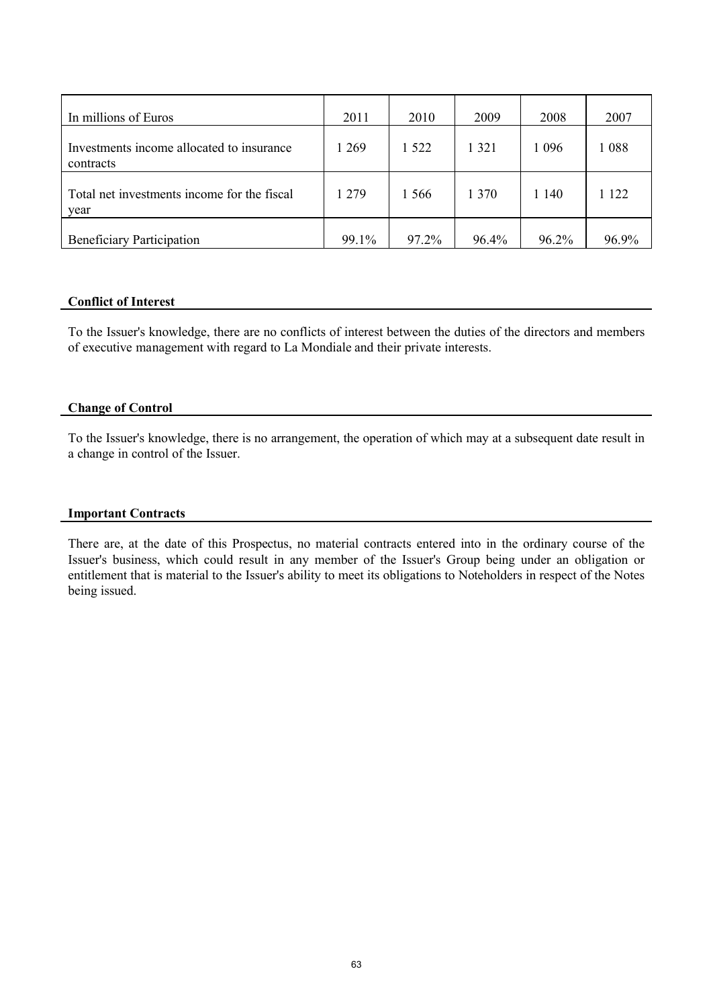| In millions of Euros                                   | 2011  | 2010    | 2009    | 2008    | 2007    |
|--------------------------------------------------------|-------|---------|---------|---------|---------|
| Investments income allocated to insurance<br>contracts | 1 269 | 1 5 2 2 | 1 3 2 1 | 1 0 9 6 | 1088    |
| Total net investments income for the fiscal<br>year    | 1 279 | 1 5 6 6 | 1 370   | 1 140   | 1 1 2 2 |
| <b>Beneficiary Participation</b>                       | 99.1% | 97.2%   | 96.4%   | 96.2%   | 96.9%   |

#### **Conflict of Interest**

To the Issuer's knowledge, there are no conflicts of interest between the duties of the directors and members of executive management with regard to La Mondiale and their private interests.

#### **Change of Control**

To the Issuer's knowledge, there is no arrangement, the operation of which may at a subsequent date result in a change in control of the Issuer.

#### **Important Contracts**

There are, at the date of this Prospectus, no material contracts entered into in the ordinary course of the Issuer's business, which could result in any member of the Issuer's Group being under an obligation or entitlement that is material to the Issuer's ability to meet its obligations to Noteholders in respect of the Notes being issued.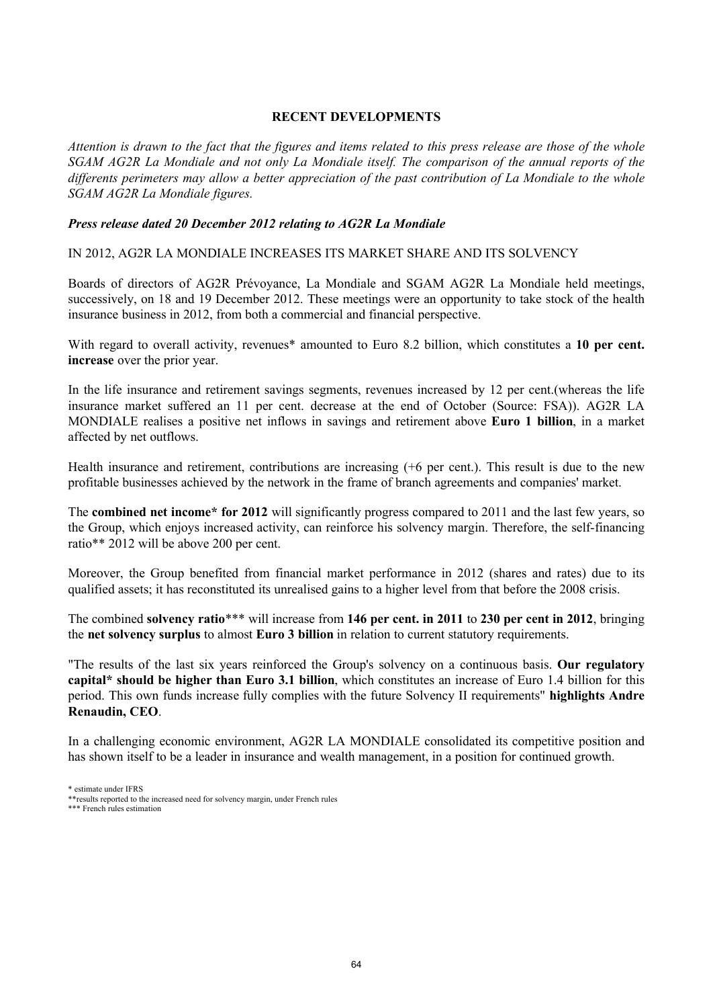# **RECENT DEVELOPMENTS**

*Attention is drawn to the fact that the figures and items related to this press release are those of the whole SGAM AG2R La Mondiale and not only La Mondiale itself. The comparison of the annual reports of the differents perimeters may allow a better appreciation of the past contribution of La Mondiale to the whole SGAM AG2R La Mondiale figures.*

# *Press release dated 20 December 2012 relating to AG2R La Mondiale*

IN 2012, AG2R LA MONDIALE INCREASES ITS MARKET SHARE AND ITS SOLVENCY

Boards of directors of AG2R Prévoyance, La Mondiale and SGAM AG2R La Mondiale held meetings, successively, on 18 and 19 December 2012. These meetings were an opportunity to take stock of the health insurance business in 2012, from both a commercial and financial perspective.

With regard to overall activity, revenues<sup>\*</sup> amounted to Euro 8.2 billion, which constitutes a 10 per cent. **increase** over the prior year.

In the life insurance and retirement savings segments, revenues increased by 12 per cent.(whereas the life insurance market suffered an 11 per cent. decrease at the end of October (Source: FSA)). AG2R LA MONDIALE realises a positive net inflows in savings and retirement above **Euro 1 billion**, in a market affected by net outflows.

Health insurance and retirement, contributions are increasing (+6 per cent.). This result is due to the new profitable businesses achieved by the network in the frame of branch agreements and companies' market.

The **combined net income\* for 2012** will significantly progress compared to 2011 and the last few years, so the Group, which enjoys increased activity, can reinforce his solvency margin. Therefore, the self-financing ratio\*\* 2012 will be above 200 per cent.

Moreover, the Group benefited from financial market performance in 2012 (shares and rates) due to its qualified assets; it has reconstituted its unrealised gains to a higher level from that before the 2008 crisis.

The combined **solvency ratio**\*\*\* will increase from **146 per cent. in 2011** to **230 per cent in 2012**, bringing the **net solvency surplus** to almost **Euro 3 billion** in relation to current statutory requirements.

"The results of the last six years reinforced the Group's solvency on a continuous basis. **Our regulatory capital\* should be higher than Euro 3.1 billion**, which constitutes an increase of Euro 1.4 billion for this period. This own funds increase fully complies with the future Solvency II requirements" **highlights Andre Renaudin, CEO**.

In a challenging economic environment, AG2R LA MONDIALE consolidated its competitive position and has shown itself to be a leader in insurance and wealth management, in a position for continued growth.

<sup>\*</sup> estimate under IFRS

<sup>\*\*</sup>results reported to the increased need for solvency margin, under French rules

<sup>\*\*\*</sup> French rules estimation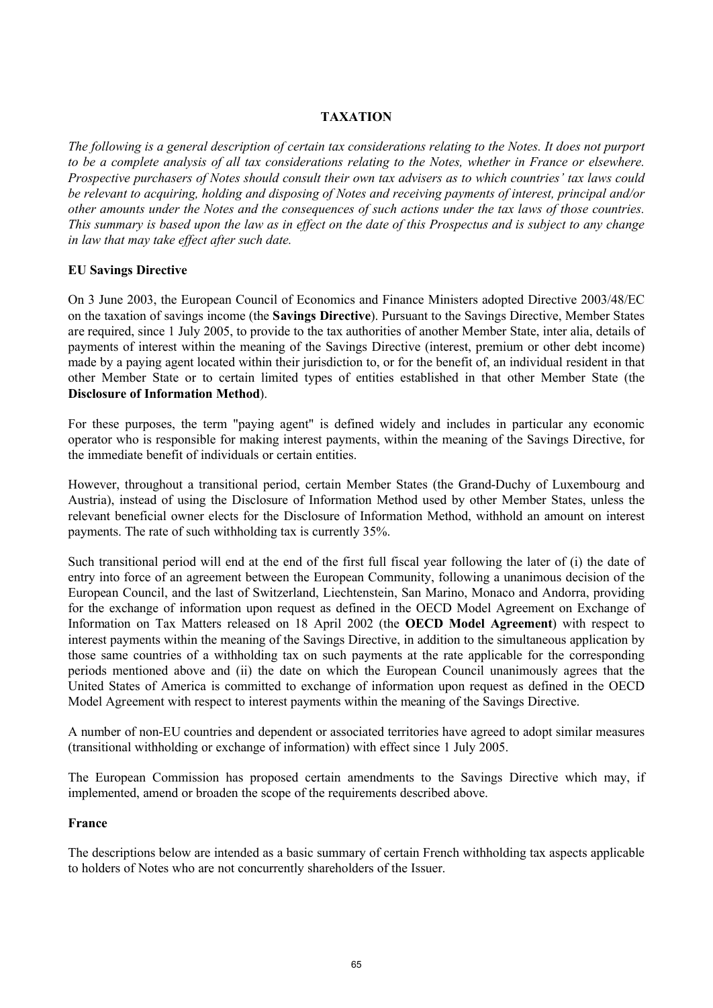# **TAXATION**

*The following is a general description of certain tax considerations relating to the Notes. It does not purport to be a complete analysis of all tax considerations relating to the Notes, whether in France or elsewhere. Prospective purchasers of Notes should consult their own tax advisers as to which countries' tax laws could be relevant to acquiring, holding and disposing of Notes and receiving payments of interest, principal and/or other amounts under the Notes and the consequences of such actions under the tax laws of those countries. This summary is based upon the law as in effect on the date of this Prospectus and is subject to any change in law that may take effect after such date.*

### **EU Savings Directive**

On 3 June 2003, the European Council of Economics and Finance Ministers adopted Directive 2003/48/EC on the taxation of savings income (the **Savings Directive**). Pursuant to the Savings Directive, Member States are required, since 1 July 2005, to provide to the tax authorities of another Member State, inter alia, details of payments of interest within the meaning of the Savings Directive (interest, premium or other debt income) made by a paying agent located within their jurisdiction to, or for the benefit of, an individual resident in that other Member State or to certain limited types of entities established in that other Member State (the **Disclosure of Information Method**).

For these purposes, the term "paying agent" is defined widely and includes in particular any economic operator who is responsible for making interest payments, within the meaning of the Savings Directive, for the immediate benefit of individuals or certain entities.

However, throughout a transitional period, certain Member States (the Grand-Duchy of Luxembourg and Austria), instead of using the Disclosure of Information Method used by other Member States, unless the relevant beneficial owner elects for the Disclosure of Information Method, withhold an amount on interest payments. The rate of such withholding tax is currently 35%.

Such transitional period will end at the end of the first full fiscal year following the later of (i) the date of entry into force of an agreement between the European Community, following a unanimous decision of the European Council, and the last of Switzerland, Liechtenstein, San Marino, Monaco and Andorra, providing for the exchange of information upon request as defined in the OECD Model Agreement on Exchange of Information on Tax Matters released on 18 April 2002 (the **OECD Model Agreement**) with respect to interest payments within the meaning of the Savings Directive, in addition to the simultaneous application by those same countries of a withholding tax on such payments at the rate applicable for the corresponding periods mentioned above and (ii) the date on which the European Council unanimously agrees that the United States of America is committed to exchange of information upon request as defined in the OECD Model Agreement with respect to interest payments within the meaning of the Savings Directive.

A number of non-EU countries and dependent or associated territories have agreed to adopt similar measures (transitional withholding or exchange of information) with effect since 1 July 2005.

The European Commission has proposed certain amendments to the Savings Directive which may, if implemented, amend or broaden the scope of the requirements described above.

### **France**

The descriptions below are intended as a basic summary of certain French withholding tax aspects applicable to holders of Notes who are not concurrently shareholders of the Issuer.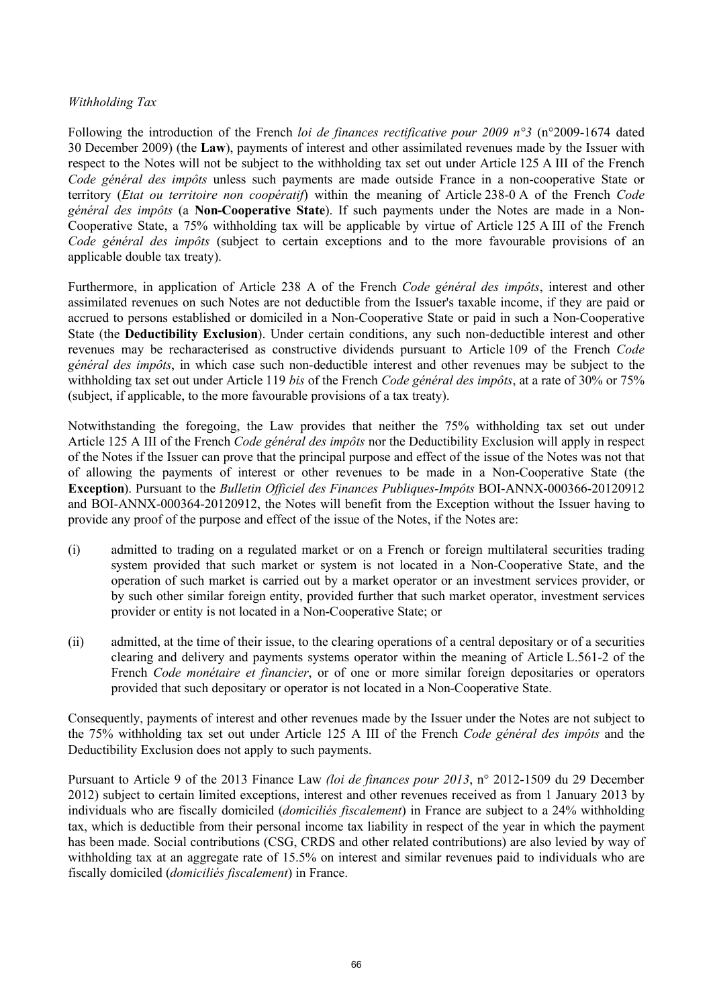# *Withholding Tax*

Following the introduction of the French *loi de finances rectificative pour 2009 n°3* (n°2009-1674 dated 30 December 2009) (the **Law**), payments of interest and other assimilated revenues made by the Issuer with respect to the Notes will not be subject to the withholding tax set out under Article 125 A III of the French *Code général des impôts* unless such payments are made outside France in a non-cooperative State or territory (*Etat ou territoire non coopératif*) within the meaning of Article 238-0 A of the French *Code général des impôts* (a **Non-Cooperative State**). If such payments under the Notes are made in a Non-Cooperative State, a 75% withholding tax will be applicable by virtue of Article 125 A III of the French *Code général des impôts* (subject to certain exceptions and to the more favourable provisions of an applicable double tax treaty).

Furthermore, in application of Article 238 A of the French *Code général des impôts*, interest and other assimilated revenues on such Notes are not deductible from the Issuer's taxable income, if they are paid or accrued to persons established or domiciled in a Non-Cooperative State or paid in such a Non-Cooperative State (the **Deductibility Exclusion**). Under certain conditions, any such non-deductible interest and other revenues may be recharacterised as constructive dividends pursuant to Article 109 of the French *Code général des impôts*, in which case such non-deductible interest and other revenues may be subject to the withholding tax set out under Article 119 *bis* of the French *Code général des impôts*, at a rate of 30% or 75% (subject, if applicable, to the more favourable provisions of a tax treaty).

Notwithstanding the foregoing, the Law provides that neither the 75% withholding tax set out under Article 125 A III of the French *Code général des impôts* nor the Deductibility Exclusion will apply in respect of the Notes if the Issuer can prove that the principal purpose and effect of the issue of the Notes was not that of allowing the payments of interest or other revenues to be made in a Non-Cooperative State (the **Exception**). Pursuant to the *Bulletin Officiel des Finances Publiques-Impôts* BOI-ANNX-000366-20120912 and BOI-ANNX-000364-20120912, the Notes will benefit from the Exception without the Issuer having to provide any proof of the purpose and effect of the issue of the Notes, if the Notes are:

- (i) admitted to trading on a regulated market or on a French or foreign multilateral securities trading system provided that such market or system is not located in a Non-Cooperative State, and the operation of such market is carried out by a market operator or an investment services provider, or by such other similar foreign entity, provided further that such market operator, investment services provider or entity is not located in a Non-Cooperative State; or
- (ii) admitted, at the time of their issue, to the clearing operations of a central depositary or of a securities clearing and delivery and payments systems operator within the meaning of Article L.561-2 of the French *Code monétaire et financier*, or of one or more similar foreign depositaries or operators provided that such depositary or operator is not located in a Non-Cooperative State.

Consequently, payments of interest and other revenues made by the Issuer under the Notes are not subject to the 75% withholding tax set out under Article 125 A III of the French *Code général des impôts* and the Deductibility Exclusion does not apply to such payments.

Pursuant to Article 9 of the 2013 Finance Law *(loi de finances pour 2013*, n° 2012-1509 du 29 December 2012) subject to certain limited exceptions, interest and other revenues received as from 1 January 2013 by individuals who are fiscally domiciled (*domiciliés fiscalement*) in France are subject to a 24% withholding tax, which is deductible from their personal income tax liability in respect of the year in which the payment has been made. Social contributions (CSG, CRDS and other related contributions) are also levied by way of withholding tax at an aggregate rate of 15.5% on interest and similar revenues paid to individuals who are fiscally domiciled (*domiciliés fiscalement*) in France.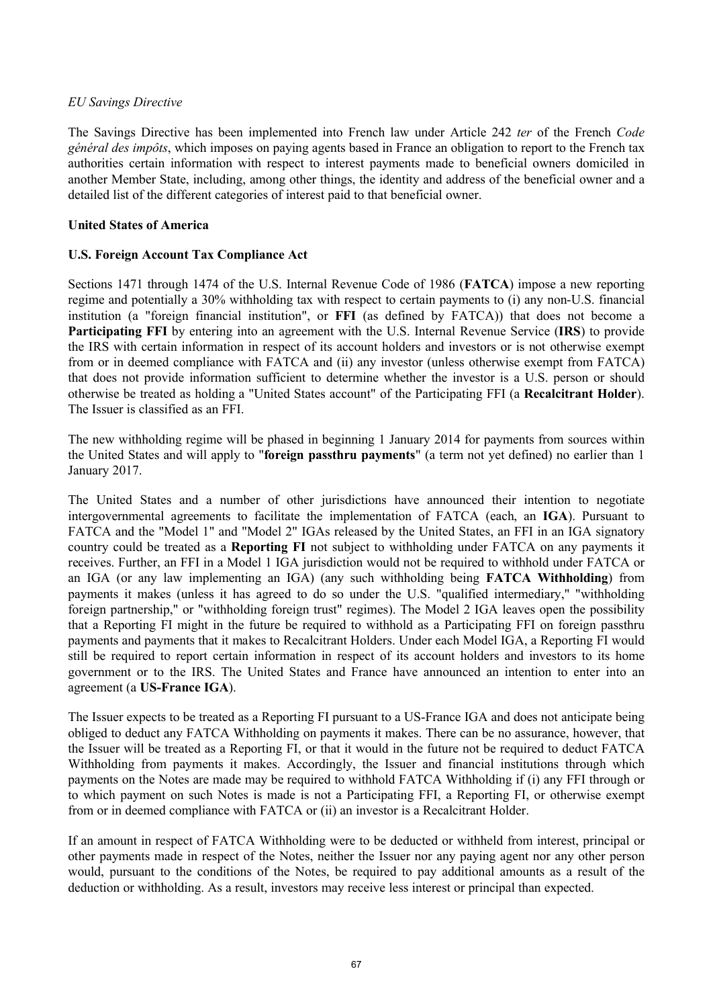# *EU Savings Directive*

The Savings Directive has been implemented into French law under Article 242 *ter* of the French *Code général des impôts*, which imposes on paying agents based in France an obligation to report to the French tax authorities certain information with respect to interest payments made to beneficial owners domiciled in another Member State, including, among other things, the identity and address of the beneficial owner and a detailed list of the different categories of interest paid to that beneficial owner.

# **United States of America**

# **U.S. Foreign Account Tax Compliance Act**

Sections 1471 through 1474 of the U.S. Internal Revenue Code of 1986 (**FATCA**) impose a new reporting regime and potentially a 30% withholding tax with respect to certain payments to (i) any non-U.S. financial institution (a "foreign financial institution", or **FFI** (as defined by FATCA)) that does not become a **Participating FFI** by entering into an agreement with the U.S. Internal Revenue Service (**IRS**) to provide the IRS with certain information in respect of its account holders and investors or is not otherwise exempt from or in deemed compliance with FATCA and (ii) any investor (unless otherwise exempt from FATCA) that does not provide information sufficient to determine whether the investor is a U.S. person or should otherwise be treated as holding a "United States account" of the Participating FFI (a **Recalcitrant Holder**). The Issuer is classified as an FFI.

The new withholding regime will be phased in beginning 1 January 2014 for payments from sources within the United States and will apply to "**foreign passthru payments**" (a term not yet defined) no earlier than 1 January 2017.

The United States and a number of other jurisdictions have announced their intention to negotiate intergovernmental agreements to facilitate the implementation of FATCA (each, an **IGA**). Pursuant to FATCA and the "Model 1" and "Model 2" IGAs released by the United States, an FFI in an IGA signatory country could be treated as a **Reporting FI** not subject to withholding under FATCA on any payments it receives. Further, an FFI in a Model 1 IGA jurisdiction would not be required to withhold under FATCA or an IGA (or any law implementing an IGA) (any such withholding being **FATCA Withholding**) from payments it makes (unless it has agreed to do so under the U.S. "qualified intermediary," "withholding foreign partnership," or "withholding foreign trust" regimes). The Model 2 IGA leaves open the possibility that a Reporting FI might in the future be required to withhold as a Participating FFI on foreign passthru payments and payments that it makes to Recalcitrant Holders. Under each Model IGA, a Reporting FI would still be required to report certain information in respect of its account holders and investors to its home government or to the IRS. The United States and France have announced an intention to enter into an agreement (a **US-France IGA**).

The Issuer expects to be treated as a Reporting FI pursuant to a US-France IGA and does not anticipate being obliged to deduct any FATCA Withholding on payments it makes. There can be no assurance, however, that the Issuer will be treated as a Reporting FI, or that it would in the future not be required to deduct FATCA Withholding from payments it makes. Accordingly, the Issuer and financial institutions through which payments on the Notes are made may be required to withhold FATCA Withholding if (i) any FFI through or to which payment on such Notes is made is not a Participating FFI, a Reporting FI, or otherwise exempt from or in deemed compliance with FATCA or (ii) an investor is a Recalcitrant Holder.

If an amount in respect of FATCA Withholding were to be deducted or withheld from interest, principal or other payments made in respect of the Notes, neither the Issuer nor any paying agent nor any other person would, pursuant to the conditions of the Notes, be required to pay additional amounts as a result of the deduction or withholding. As a result, investors may receive less interest or principal than expected.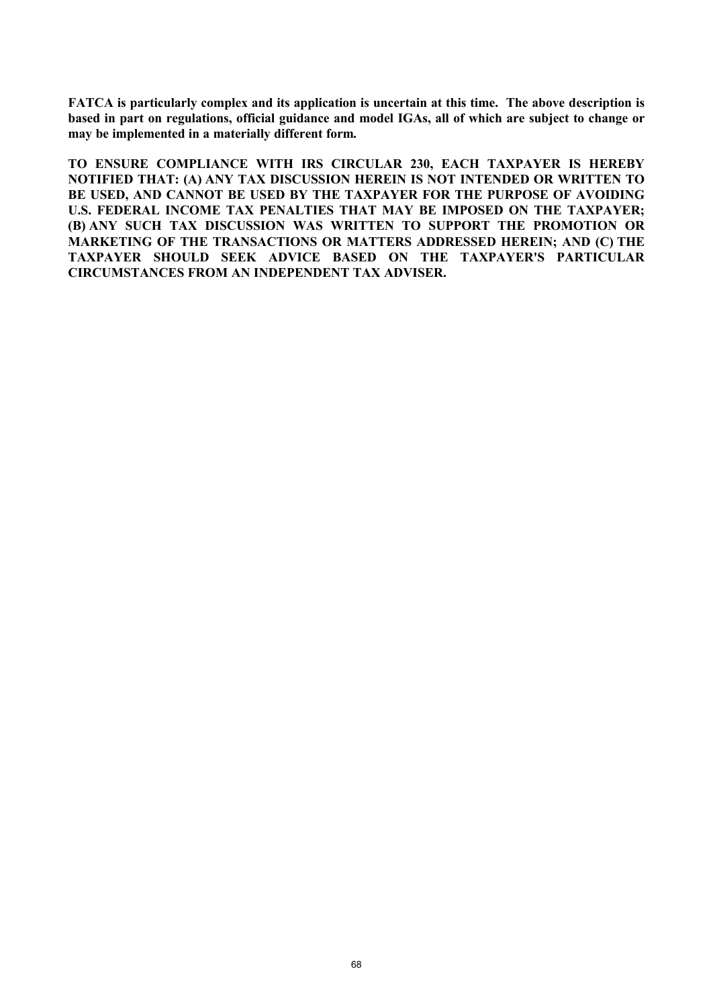**FATCA is particularly complex and its application is uncertain at this time. The above description is based in part on regulations, official guidance and model IGAs, all of which are subject to change or may be implemented in a materially different form.** 

**TO ENSURE COMPLIANCE WITH IRS CIRCULAR 230, EACH TAXPAYER IS HEREBY NOTIFIED THAT: (A) ANY TAX DISCUSSION HEREIN IS NOT INTENDED OR WRITTEN TO BE USED, AND CANNOT BE USED BY THE TAXPAYER FOR THE PURPOSE OF AVOIDING U.S. FEDERAL INCOME TAX PENALTIES THAT MAY BE IMPOSED ON THE TAXPAYER; (B) ANY SUCH TAX DISCUSSION WAS WRITTEN TO SUPPORT THE PROMOTION OR MARKETING OF THE TRANSACTIONS OR MATTERS ADDRESSED HEREIN; AND (C) THE TAXPAYER SHOULD SEEK ADVICE BASED ON THE TAXPAYER'S PARTICULAR CIRCUMSTANCES FROM AN INDEPENDENT TAX ADVISER.**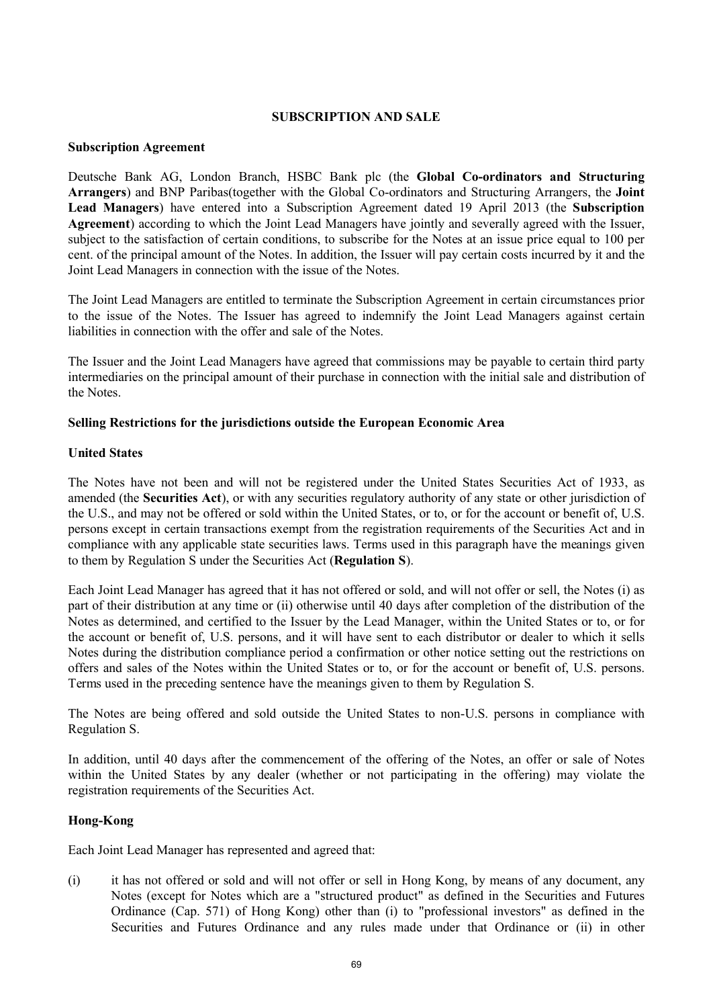### **SUBSCRIPTION AND SALE**

### **Subscription Agreement**

Deutsche Bank AG, London Branch, HSBC Bank plc (the **Global Co-ordinators and Structuring Arrangers**) and BNP Paribas(together with the Global Co-ordinators and Structuring Arrangers, the **Joint Lead Managers**) have entered into a Subscription Agreement dated 19 April 2013 (the **Subscription Agreement**) according to which the Joint Lead Managers have jointly and severally agreed with the Issuer, subject to the satisfaction of certain conditions, to subscribe for the Notes at an issue price equal to 100 per cent. of the principal amount of the Notes. In addition, the Issuer will pay certain costs incurred by it and the Joint Lead Managers in connection with the issue of the Notes.

The Joint Lead Managers are entitled to terminate the Subscription Agreement in certain circumstances prior to the issue of the Notes. The Issuer has agreed to indemnify the Joint Lead Managers against certain liabilities in connection with the offer and sale of the Notes.

The Issuer and the Joint Lead Managers have agreed that commissions may be payable to certain third party intermediaries on the principal amount of their purchase in connection with the initial sale and distribution of the Notes.

### **Selling Restrictions for the jurisdictions outside the European Economic Area**

# **United States**

The Notes have not been and will not be registered under the United States Securities Act of 1933, as amended (the **Securities Act**), or with any securities regulatory authority of any state or other jurisdiction of the U.S., and may not be offered or sold within the United States, or to, or for the account or benefit of, U.S. persons except in certain transactions exempt from the registration requirements of the Securities Act and in compliance with any applicable state securities laws. Terms used in this paragraph have the meanings given to them by Regulation S under the Securities Act (**Regulation S**).

Each Joint Lead Manager has agreed that it has not offered or sold, and will not offer or sell, the Notes (i) as part of their distribution at any time or (ii) otherwise until 40 days after completion of the distribution of the Notes as determined, and certified to the Issuer by the Lead Manager, within the United States or to, or for the account or benefit of, U.S. persons, and it will have sent to each distributor or dealer to which it sells Notes during the distribution compliance period a confirmation or other notice setting out the restrictions on offers and sales of the Notes within the United States or to, or for the account or benefit of, U.S. persons. Terms used in the preceding sentence have the meanings given to them by Regulation S.

The Notes are being offered and sold outside the United States to non-U.S. persons in compliance with Regulation S.

In addition, until 40 days after the commencement of the offering of the Notes, an offer or sale of Notes within the United States by any dealer (whether or not participating in the offering) may violate the registration requirements of the Securities Act.

### **Hong-Kong**

Each Joint Lead Manager has represented and agreed that:

(i) it has not offered or sold and will not offer or sell in Hong Kong, by means of any document, any Notes (except for Notes which are a "structured product" as defined in the Securities and Futures Ordinance (Cap. 571) of Hong Kong) other than (i) to "professional investors" as defined in the Securities and Futures Ordinance and any rules made under that Ordinance or (ii) in other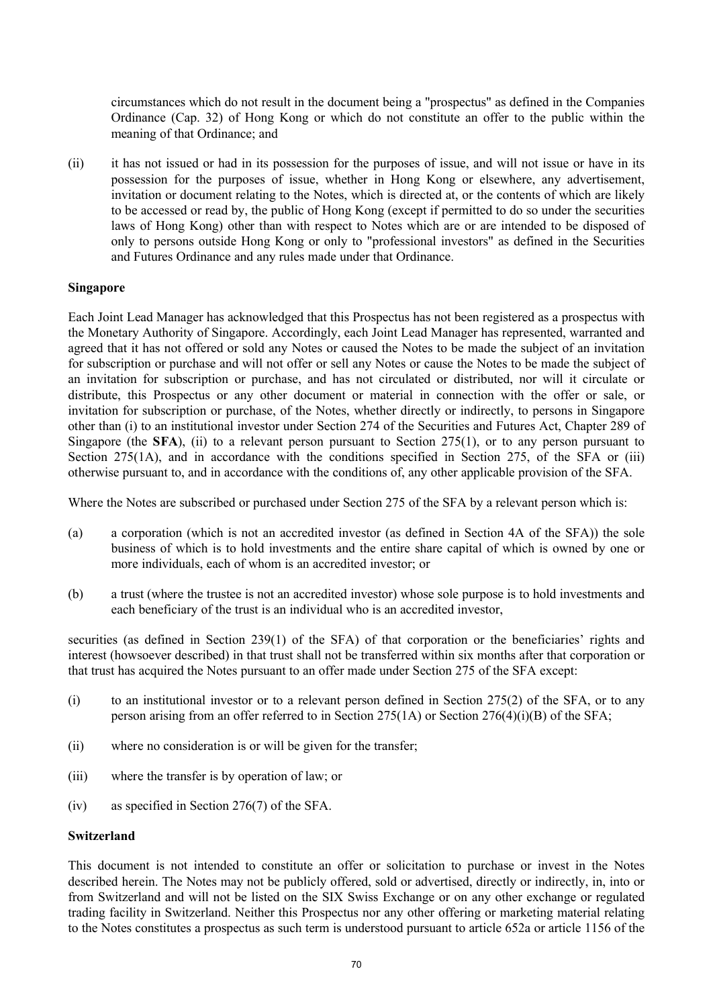circumstances which do not result in the document being a "prospectus" as defined in the Companies Ordinance (Cap. 32) of Hong Kong or which do not constitute an offer to the public within the meaning of that Ordinance; and

(ii) it has not issued or had in its possession for the purposes of issue, and will not issue or have in its possession for the purposes of issue, whether in Hong Kong or elsewhere, any advertisement, invitation or document relating to the Notes, which is directed at, or the contents of which are likely to be accessed or read by, the public of Hong Kong (except if permitted to do so under the securities laws of Hong Kong) other than with respect to Notes which are or are intended to be disposed of only to persons outside Hong Kong or only to "professional investors" as defined in the Securities and Futures Ordinance and any rules made under that Ordinance.

#### **Singapore**

Each Joint Lead Manager has acknowledged that this Prospectus has not been registered as a prospectus with the Monetary Authority of Singapore. Accordingly, each Joint Lead Manager has represented, warranted and agreed that it has not offered or sold any Notes or caused the Notes to be made the subject of an invitation for subscription or purchase and will not offer or sell any Notes or cause the Notes to be made the subject of an invitation for subscription or purchase, and has not circulated or distributed, nor will it circulate or distribute, this Prospectus or any other document or material in connection with the offer or sale, or invitation for subscription or purchase, of the Notes, whether directly or indirectly, to persons in Singapore other than (i) to an institutional investor under Section 274 of the Securities and Futures Act, Chapter 289 of Singapore (the **SFA**), (ii) to a relevant person pursuant to Section 275(1), or to any person pursuant to Section 275(1A), and in accordance with the conditions specified in Section 275, of the SFA or (iii) otherwise pursuant to, and in accordance with the conditions of, any other applicable provision of the SFA.

Where the Notes are subscribed or purchased under Section 275 of the SFA by a relevant person which is:

- (a) a corporation (which is not an accredited investor (as defined in Section 4A of the SFA)) the sole business of which is to hold investments and the entire share capital of which is owned by one or more individuals, each of whom is an accredited investor; or
- (b) a trust (where the trustee is not an accredited investor) whose sole purpose is to hold investments and each beneficiary of the trust is an individual who is an accredited investor,

securities (as defined in Section 239(1) of the SFA) of that corporation or the beneficiaries' rights and interest (howsoever described) in that trust shall not be transferred within six months after that corporation or that trust has acquired the Notes pursuant to an offer made under Section 275 of the SFA except:

- (i) to an institutional investor or to a relevant person defined in Section 275(2) of the SFA, or to any person arising from an offer referred to in Section 275(1A) or Section 276(4)(i)(B) of the SFA;
- (ii) where no consideration is or will be given for the transfer;
- (iii) where the transfer is by operation of law; or
- (iv) as specified in Section 276(7) of the SFA.

#### **Switzerland**

This document is not intended to constitute an offer or solicitation to purchase or invest in the Notes described herein. The Notes may not be publicly offered, sold or advertised, directly or indirectly, in, into or from Switzerland and will not be listed on the SIX Swiss Exchange or on any other exchange or regulated trading facility in Switzerland. Neither this Prospectus nor any other offering or marketing material relating to the Notes constitutes a prospectus as such term is understood pursuant to article 652a or article 1156 of the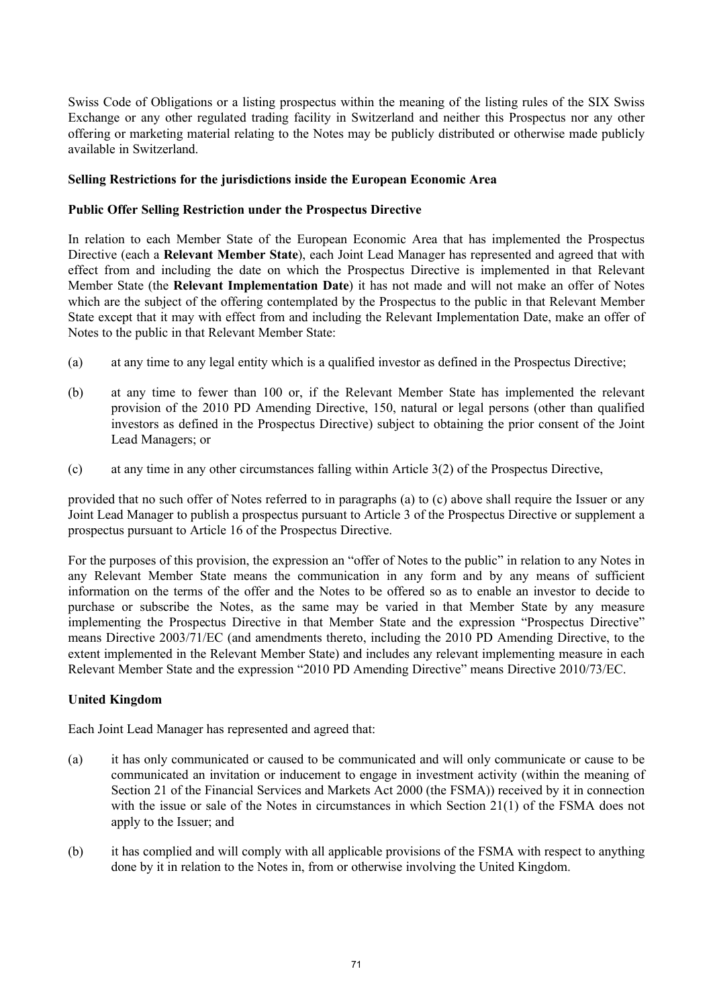Swiss Code of Obligations or a listing prospectus within the meaning of the listing rules of the SIX Swiss Exchange or any other regulated trading facility in Switzerland and neither this Prospectus nor any other offering or marketing material relating to the Notes may be publicly distributed or otherwise made publicly available in Switzerland.

# **Selling Restrictions for the jurisdictions inside the European Economic Area**

# **Public Offer Selling Restriction under the Prospectus Directive**

In relation to each Member State of the European Economic Area that has implemented the Prospectus Directive (each a **Relevant Member State**), each Joint Lead Manager has represented and agreed that with effect from and including the date on which the Prospectus Directive is implemented in that Relevant Member State (the **Relevant Implementation Date**) it has not made and will not make an offer of Notes which are the subject of the offering contemplated by the Prospectus to the public in that Relevant Member State except that it may with effect from and including the Relevant Implementation Date, make an offer of Notes to the public in that Relevant Member State:

- (a) at any time to any legal entity which is a qualified investor as defined in the Prospectus Directive;
- (b) at any time to fewer than 100 or, if the Relevant Member State has implemented the relevant provision of the 2010 PD Amending Directive, 150, natural or legal persons (other than qualified investors as defined in the Prospectus Directive) subject to obtaining the prior consent of the Joint Lead Managers; or
- (c) at any time in any other circumstances falling within Article 3(2) of the Prospectus Directive,

provided that no such offer of Notes referred to in paragraphs (a) to (c) above shall require the Issuer or any Joint Lead Manager to publish a prospectus pursuant to Article 3 of the Prospectus Directive or supplement a prospectus pursuant to Article 16 of the Prospectus Directive.

For the purposes of this provision, the expression an "offer of Notes to the public" in relation to any Notes in any Relevant Member State means the communication in any form and by any means of sufficient information on the terms of the offer and the Notes to be offered so as to enable an investor to decide to purchase or subscribe the Notes, as the same may be varied in that Member State by any measure implementing the Prospectus Directive in that Member State and the expression "Prospectus Directive" means Directive 2003/71/EC (and amendments thereto, including the 2010 PD Amending Directive, to the extent implemented in the Relevant Member State) and includes any relevant implementing measure in each Relevant Member State and the expression "2010 PD Amending Directive" means Directive 2010/73/EC.

# **United Kingdom**

Each Joint Lead Manager has represented and agreed that:

- (a) it has only communicated or caused to be communicated and will only communicate or cause to be communicated an invitation or inducement to engage in investment activity (within the meaning of Section 21 of the Financial Services and Markets Act 2000 (the FSMA)) received by it in connection with the issue or sale of the Notes in circumstances in which Section 21(1) of the FSMA does not apply to the Issuer; and
- (b) it has complied and will comply with all applicable provisions of the FSMA with respect to anything done by it in relation to the Notes in, from or otherwise involving the United Kingdom.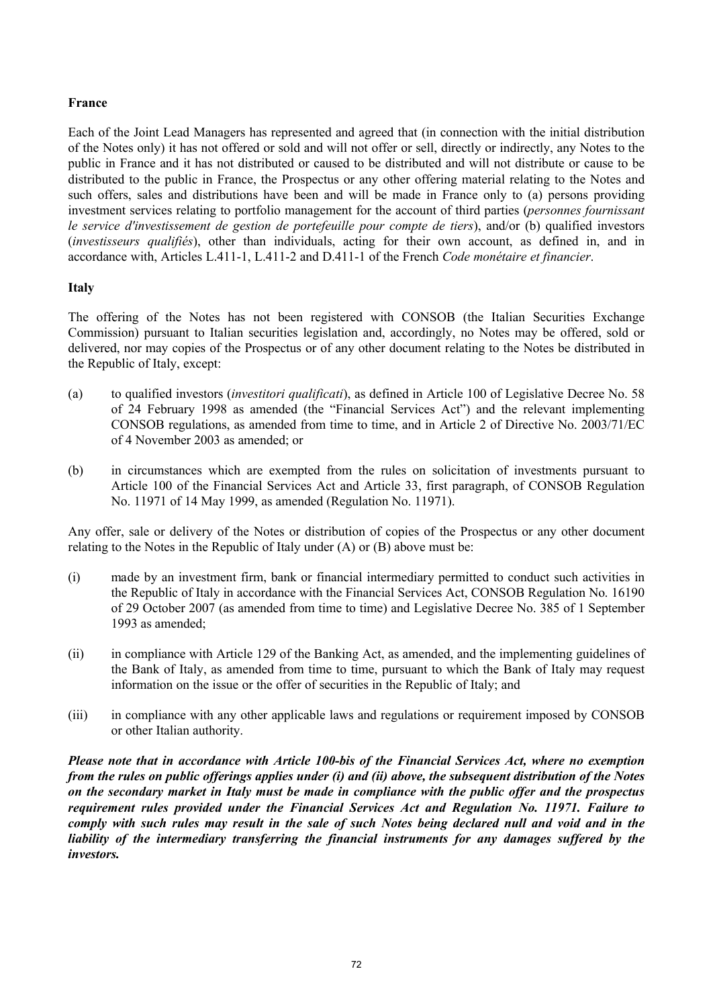# **France**

Each of the Joint Lead Managers has represented and agreed that (in connection with the initial distribution of the Notes only) it has not offered or sold and will not offer or sell, directly or indirectly, any Notes to the public in France and it has not distributed or caused to be distributed and will not distribute or cause to be distributed to the public in France, the Prospectus or any other offering material relating to the Notes and such offers, sales and distributions have been and will be made in France only to (a) persons providing investment services relating to portfolio management for the account of third parties (*personnes fournissant le service d'investissement de gestion de portefeuille pour compte de tiers*), and/or (b) qualified investors (*investisseurs qualifiés*), other than individuals, acting for their own account, as defined in, and in accordance with, Articles L.411-1, L.411-2 and D.411-1 of the French *Code monétaire et financier*.

# **Italy**

The offering of the Notes has not been registered with CONSOB (the Italian Securities Exchange Commission) pursuant to Italian securities legislation and, accordingly, no Notes may be offered, sold or delivered, nor may copies of the Prospectus or of any other document relating to the Notes be distributed in the Republic of Italy, except:

- (a) to qualified investors (*investitori qualificati*), as defined in Article 100 of Legislative Decree No. 58 of 24 February 1998 as amended (the "Financial Services Act") and the relevant implementing CONSOB regulations, as amended from time to time, and in Article 2 of Directive No. 2003/71/EC of 4 November 2003 as amended; or
- (b) in circumstances which are exempted from the rules on solicitation of investments pursuant to Article 100 of the Financial Services Act and Article 33, first paragraph, of CONSOB Regulation No. 11971 of 14 May 1999, as amended (Regulation No. 11971).

Any offer, sale or delivery of the Notes or distribution of copies of the Prospectus or any other document relating to the Notes in the Republic of Italy under (A) or (B) above must be:

- (i) made by an investment firm, bank or financial intermediary permitted to conduct such activities in the Republic of Italy in accordance with the Financial Services Act, CONSOB Regulation No. 16190 of 29 October 2007 (as amended from time to time) and Legislative Decree No. 385 of 1 September 1993 as amended;
- (ii) in compliance with Article 129 of the Banking Act, as amended, and the implementing guidelines of the Bank of Italy, as amended from time to time, pursuant to which the Bank of Italy may request information on the issue or the offer of securities in the Republic of Italy; and
- (iii) in compliance with any other applicable laws and regulations or requirement imposed by CONSOB or other Italian authority.

*Please note that in accordance with Article 100-bis of the Financial Services Act, where no exemption from the rules on public offerings applies under (i) and (ii) above, the subsequent distribution of the Notes on the secondary market in Italy must be made in compliance with the public offer and the prospectus requirement rules provided under the Financial Services Act and Regulation No. 11971. Failure to comply with such rules may result in the sale of such Notes being declared null and void and in the liability of the intermediary transferring the financial instruments for any damages suffered by the investors.*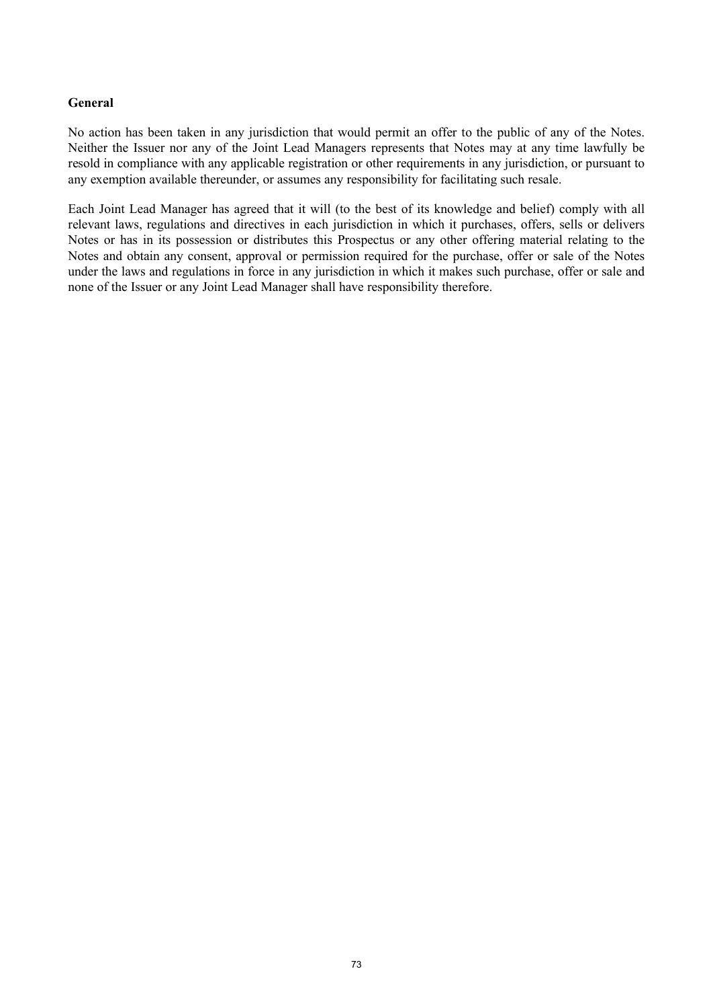# **General**

No action has been taken in any jurisdiction that would permit an offer to the public of any of the Notes. Neither the Issuer nor any of the Joint Lead Managers represents that Notes may at any time lawfully be resold in compliance with any applicable registration or other requirements in any jurisdiction, or pursuant to any exemption available thereunder, or assumes any responsibility for facilitating such resale.

Each Joint Lead Manager has agreed that it will (to the best of its knowledge and belief) comply with all relevant laws, regulations and directives in each jurisdiction in which it purchases, offers, sells or delivers Notes or has in its possession or distributes this Prospectus or any other offering material relating to the Notes and obtain any consent, approval or permission required for the purchase, offer or sale of the Notes under the laws and regulations in force in any jurisdiction in which it makes such purchase, offer or sale and none of the Issuer or any Joint Lead Manager shall have responsibility therefore.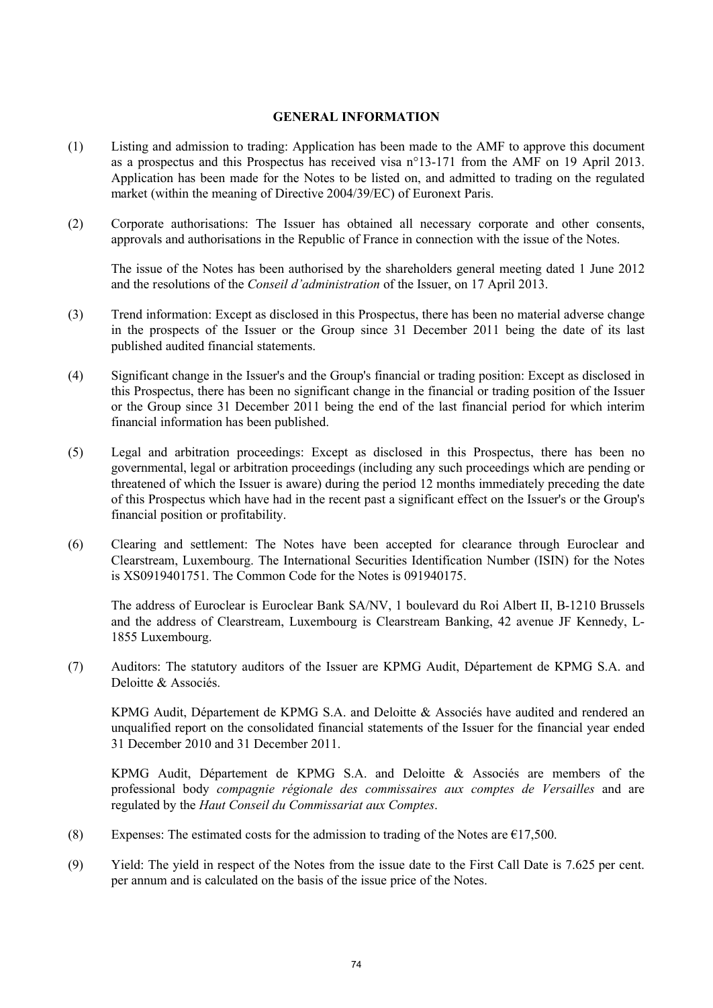#### **GENERAL INFORMATION**

- (1) Listing and admission to trading: Application has been made to the AMF to approve this document as a prospectus and this Prospectus has received visa n°13-171 from the AMF on 19 April 2013. Application has been made for the Notes to be listed on, and admitted to trading on the regulated market (within the meaning of Directive 2004/39/EC) of Euronext Paris.
- (2) Corporate authorisations: The Issuer has obtained all necessary corporate and other consents, approvals and authorisations in the Republic of France in connection with the issue of the Notes.

The issue of the Notes has been authorised by the shareholders general meeting dated 1 June 2012 and the resolutions of the *Conseil d'administration* of the Issuer, on 17 April 2013.

- (3) Trend information: Except as disclosed in this Prospectus, there has been no material adverse change in the prospects of the Issuer or the Group since 31 December 2011 being the date of its last published audited financial statements.
- (4) Significant change in the Issuer's and the Group's financial or trading position: Except as disclosed in this Prospectus, there has been no significant change in the financial or trading position of the Issuer or the Group since 31 December 2011 being the end of the last financial period for which interim financial information has been published.
- (5) Legal and arbitration proceedings: Except as disclosed in this Prospectus, there has been no governmental, legal or arbitration proceedings (including any such proceedings which are pending or threatened of which the Issuer is aware) during the period 12 months immediately preceding the date of this Prospectus which have had in the recent past a significant effect on the Issuer's or the Group's financial position or profitability.
- (6) Clearing and settlement: The Notes have been accepted for clearance through Euroclear and Clearstream, Luxembourg. The International Securities Identification Number (ISIN) for the Notes is XS0919401751. The Common Code for the Notes is 091940175.

The address of Euroclear is Euroclear Bank SA/NV, 1 boulevard du Roi Albert II, B-1210 Brussels and the address of Clearstream, Luxembourg is Clearstream Banking, 42 avenue JF Kennedy, L-1855 Luxembourg.

(7) Auditors: The statutory auditors of the Issuer are KPMG Audit, Département de KPMG S.A. and Deloitte & Associés.

KPMG Audit, Département de KPMG S.A. and Deloitte & Associés have audited and rendered an unqualified report on the consolidated financial statements of the Issuer for the financial year ended 31 December 2010 and 31 December 2011.

KPMG Audit, Département de KPMG S.A. and Deloitte & Associés are members of the professional body *compagnie régionale des commissaires aux comptes de Versailles* and are regulated by the *Haut Conseil du Commissariat aux Comptes*.

- (8) Expenses: The estimated costs for the admission to trading of the Notes are  $\epsilon$ 17,500.
- (9) Yield: The yield in respect of the Notes from the issue date to the First Call Date is 7.625 per cent. per annum and is calculated on the basis of the issue price of the Notes.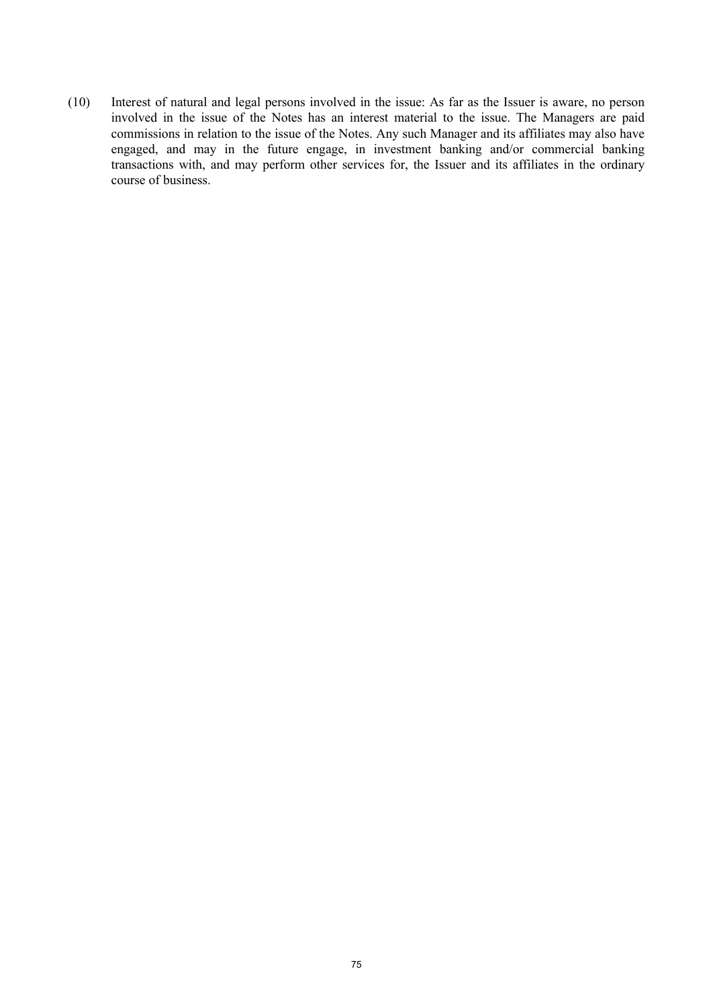(10) Interest of natural and legal persons involved in the issue: As far as the Issuer is aware, no person involved in the issue of the Notes has an interest material to the issue. The Managers are paid commissions in relation to the issue of the Notes. Any such Manager and its affiliates may also have engaged, and may in the future engage, in investment banking and/or commercial banking transactions with, and may perform other services for, the Issuer and its affiliates in the ordinary course of business.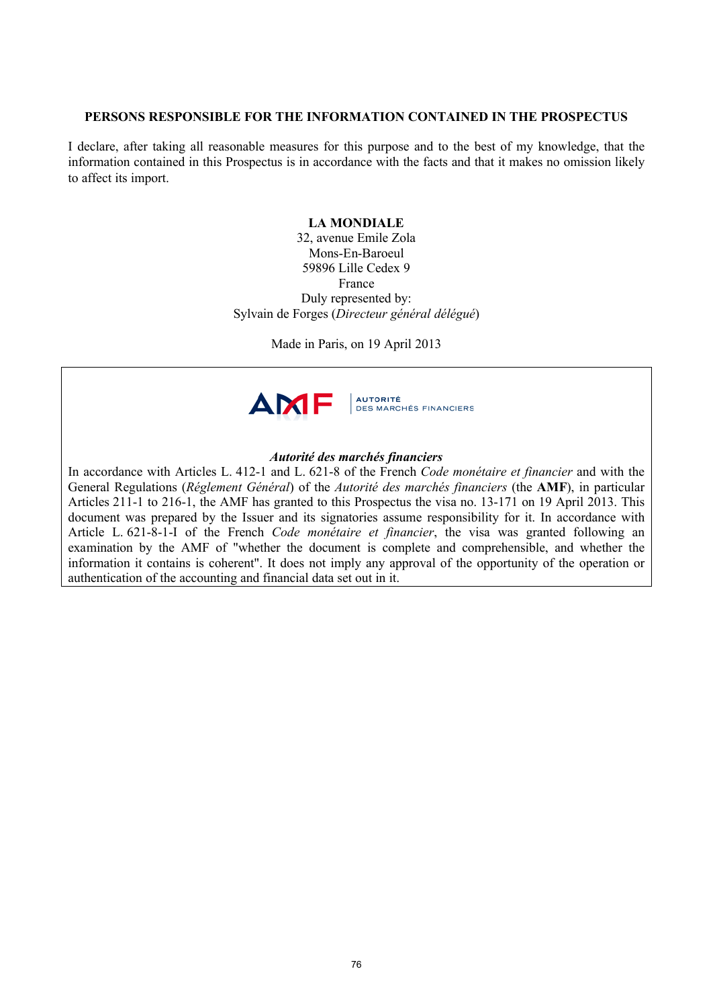## **PERSONS RESPONSIBLE FOR THE INFORMATION CONTAINED IN THE PROSPECTUS**

I declare, after taking all reasonable measures for this purpose and to the best of my knowledge, that the information contained in this Prospectus is in accordance with the facts and that it makes no omission likely to affect its import.

# **LA MONDIALE**

32, avenue Emile Zola Mons-En-Baroeul 59896 Lille Cedex 9 France Duly represented by: Sylvain de Forges (*Directeur général délégué*)

Made in Paris, on 19 April 2013



# *Autorité des marchés financiers*

In accordance with Articles L. 412-1 and L. 621-8 of the French *Code monétaire et financier* and with the General Regulations (*Réglement Général*) of the *Autorité des marchés financiers* (the **AMF**), in particular Articles 211-1 to 216-1, the AMF has granted to this Prospectus the visa no. 13-171 on 19 April 2013. This document was prepared by the Issuer and its signatories assume responsibility for it. In accordance with Article L. 621-8-1-I of the French *Code monétaire et financier*, the visa was granted following an examination by the AMF of "whether the document is complete and comprehensible, and whether the information it contains is coherent". It does not imply any approval of the opportunity of the operation or authentication of the accounting and financial data set out in it.